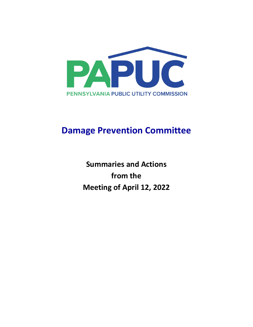

# **Damage Prevention Committee**

**Summaries and Actions from the Meeting of April 12, 2022**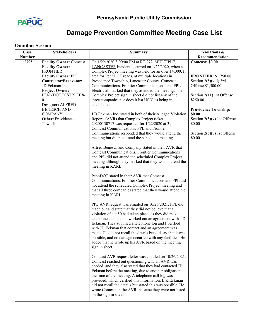

# **Damage Prevention Committee Meeting Case List**

## **Omnibus Session**

| Case   | <b>Stakeholders</b>                                                                           | <b>Summary</b>                                                                                                                                                                                                                                                                                                                                                                                                                                                                                                                                | Violations &                                                                  |
|--------|-----------------------------------------------------------------------------------------------|-----------------------------------------------------------------------------------------------------------------------------------------------------------------------------------------------------------------------------------------------------------------------------------------------------------------------------------------------------------------------------------------------------------------------------------------------------------------------------------------------------------------------------------------------|-------------------------------------------------------------------------------|
| Number |                                                                                               |                                                                                                                                                                                                                                                                                                                                                                                                                                                                                                                                               | Recommendation                                                                |
| 12795  | <b>Facility Owner: Comcast</b><br><b>Facility Owner:</b><br><b>FRONTIER</b>                   | On 1/22/2020 3:00:00 PM at RT 272, MULTIPLE,<br>LANCASTER Incident occurred on 1/22/2020, when a<br>Complex Project meeting was held for an over 14,000. ft                                                                                                                                                                                                                                                                                                                                                                                   | Comcast: \$0.00                                                               |
|        | <b>Facility Owner: PPL</b><br>Contractor/Excavator:<br>JD Eckman Inc<br><b>Project Owner:</b> | area for PennDOT roads, at multiple locations in<br>Providence Township, Lancaster County. Comcast<br>Communications, Frontier Communications, and PPL<br>Electric all marked that they attended the meeting. The                                                                                                                                                                                                                                                                                                                             | <b>FRONTIER: \$1,750.00</b><br>Section $2(5)(viii)$ 3rd<br>Offense \$1,500.00 |
|        | PENNDOT DISTRICT 8-<br>0<br>Designer: ALFRED                                                  | Complex Project sign in sheet did not list any of the<br>three companies nor does it list USIC as being in<br>attendance.                                                                                                                                                                                                                                                                                                                                                                                                                     | Section 2(11) 1st Offense<br>\$250.00                                         |
|        | <b>BENESCH AND</b><br><b>COMPANY</b><br><b>Other: Providence</b>                              | J D Eckman Inc. stated in both of their Alleged Violation<br>Reports (AVR) that Complex Project ticket                                                                                                                                                                                                                                                                                                                                                                                                                                        | <b>Providence Township:</b><br>\$0.00<br>Section $2(5)(v)$ 1st Offense        |
|        | Township                                                                                      | 20200130717 was requested for 1/22/2020 at 3 pm.<br>Comcast Communications, PPL and Frontier<br>Communications responded that they would attend the<br>meeting but did not attend the scheduled meeting.                                                                                                                                                                                                                                                                                                                                      | \$0.00<br>Section $2(5)(v)$ 1st Offense<br>\$0.00                             |
|        |                                                                                               | Alfred Benesch and Company stated in their AVR that<br><b>Comcast Communications, Frontier Communications</b><br>and PPL did not attend the scheduled Complex Project<br>meeting although they marked that they would attend the<br>meeting in KARL.                                                                                                                                                                                                                                                                                          |                                                                               |
|        |                                                                                               | PennDOT stated in their AVR that Comcast<br>Communications, Frontier Communications and PPL did<br>not attend the scheduled Complex Project meeting and<br>that all three companies stated that they would attend the<br>meeting in KARL.                                                                                                                                                                                                                                                                                                     |                                                                               |
|        |                                                                                               | PPL AVR request was emailed on 10/26/2021. PPL did<br>reach out and state that they did not believe that a<br>violation of act 50 had taken place, as they did make<br>telephone contact and worked out an agreement with J D<br>Eckman. They supplied a telephone log and I verified<br>with JD Eckman that contact and an agreement was<br>made. He did not recall the details but did say that it was<br>possible, and no damage occurred with any facilities. He<br>added that he wrote up his AVR based on the meeting<br>sign in sheet. |                                                                               |
|        |                                                                                               | Comcast AVR request letter was emailed on 10/26/2021.<br>Comcast reached out questioning why an AVR was<br>needed, and they also stated that they had contacted JD<br>Eckman before the meeting, due to another obligation at<br>the time of the meeting. A telephone call log was<br>provided, which verified this information. E K Eckman<br>did not recall the details but stated this was possible. He<br>wrote Comcast in the AVR, because they were not listed<br>on the sign in sheet.                                                 |                                                                               |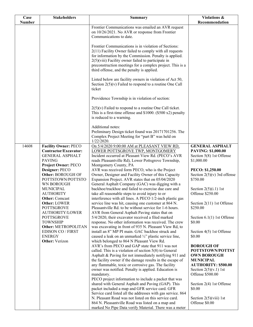| Case          | <b>Stakeholders</b>                                                                                                                                                                                                                                                                                                                                                                                                                                            | <b>Summary</b>                                                                                                                                                                                                                                                                                                                                                                                                                                                                                                                                                                                                                                                                                                                                                                                                                                                                                                                                                                                                                                                                                                                                                                                                                                                                                                                                                                                                                                                                                                                                                                                                                                                                                                                                                                                                                                                                                   | Violations &                                                                                                                                                                                                                                                                                                                                                                                                                                                                                                                                                                        |
|---------------|----------------------------------------------------------------------------------------------------------------------------------------------------------------------------------------------------------------------------------------------------------------------------------------------------------------------------------------------------------------------------------------------------------------------------------------------------------------|--------------------------------------------------------------------------------------------------------------------------------------------------------------------------------------------------------------------------------------------------------------------------------------------------------------------------------------------------------------------------------------------------------------------------------------------------------------------------------------------------------------------------------------------------------------------------------------------------------------------------------------------------------------------------------------------------------------------------------------------------------------------------------------------------------------------------------------------------------------------------------------------------------------------------------------------------------------------------------------------------------------------------------------------------------------------------------------------------------------------------------------------------------------------------------------------------------------------------------------------------------------------------------------------------------------------------------------------------------------------------------------------------------------------------------------------------------------------------------------------------------------------------------------------------------------------------------------------------------------------------------------------------------------------------------------------------------------------------------------------------------------------------------------------------------------------------------------------------------------------------------------------------|-------------------------------------------------------------------------------------------------------------------------------------------------------------------------------------------------------------------------------------------------------------------------------------------------------------------------------------------------------------------------------------------------------------------------------------------------------------------------------------------------------------------------------------------------------------------------------------|
| <b>Number</b> |                                                                                                                                                                                                                                                                                                                                                                                                                                                                |                                                                                                                                                                                                                                                                                                                                                                                                                                                                                                                                                                                                                                                                                                                                                                                                                                                                                                                                                                                                                                                                                                                                                                                                                                                                                                                                                                                                                                                                                                                                                                                                                                                                                                                                                                                                                                                                                                  | Recommendation                                                                                                                                                                                                                                                                                                                                                                                                                                                                                                                                                                      |
|               |                                                                                                                                                                                                                                                                                                                                                                                                                                                                | Frontier Communications was emailed an AVR request<br>on 10/26/2021. No AVR or response from Frontier<br>Communications to date.                                                                                                                                                                                                                                                                                                                                                                                                                                                                                                                                                                                                                                                                                                                                                                                                                                                                                                                                                                                                                                                                                                                                                                                                                                                                                                                                                                                                                                                                                                                                                                                                                                                                                                                                                                 |                                                                                                                                                                                                                                                                                                                                                                                                                                                                                                                                                                                     |
|               |                                                                                                                                                                                                                                                                                                                                                                                                                                                                | Frontier Communications is in violation of Sections:<br>2(11) Facility Owner failed to comply with all requests<br>for information by the Commission. Penalty is applied.<br>$2(5)$ (viii) Facility owner failed to participate in<br>preconstruction meetings for a complex project. This is a<br>third offense, and the penalty is applied.                                                                                                                                                                                                                                                                                                                                                                                                                                                                                                                                                                                                                                                                                                                                                                                                                                                                                                                                                                                                                                                                                                                                                                                                                                                                                                                                                                                                                                                                                                                                                    |                                                                                                                                                                                                                                                                                                                                                                                                                                                                                                                                                                                     |
|               |                                                                                                                                                                                                                                                                                                                                                                                                                                                                | Listed below are facility owners in violation of Act 50,<br>Section $2(5)(v)$ Failed to respond to a routine One Call<br>ticket                                                                                                                                                                                                                                                                                                                                                                                                                                                                                                                                                                                                                                                                                                                                                                                                                                                                                                                                                                                                                                                                                                                                                                                                                                                                                                                                                                                                                                                                                                                                                                                                                                                                                                                                                                  |                                                                                                                                                                                                                                                                                                                                                                                                                                                                                                                                                                                     |
|               |                                                                                                                                                                                                                                                                                                                                                                                                                                                                | Providence Township is in violation of section:                                                                                                                                                                                                                                                                                                                                                                                                                                                                                                                                                                                                                                                                                                                                                                                                                                                                                                                                                                                                                                                                                                                                                                                                                                                                                                                                                                                                                                                                                                                                                                                                                                                                                                                                                                                                                                                  |                                                                                                                                                                                                                                                                                                                                                                                                                                                                                                                                                                                     |
|               |                                                                                                                                                                                                                                                                                                                                                                                                                                                                | $2(5)(v)$ Failed to respond to a routine One Call ticket.<br>This is a first-time offense and $$1000.$ (\$500 x2) penalty<br>is reduced to a warning.                                                                                                                                                                                                                                                                                                                                                                                                                                                                                                                                                                                                                                                                                                                                                                                                                                                                                                                                                                                                                                                                                                                                                                                                                                                                                                                                                                                                                                                                                                                                                                                                                                                                                                                                            |                                                                                                                                                                                                                                                                                                                                                                                                                                                                                                                                                                                     |
|               |                                                                                                                                                                                                                                                                                                                                                                                                                                                                | Additional notes:<br>Preliminary Design ticket found was 20171701256. The<br>Complex Project Meeting for "part B" was held on<br>$1/22/2020$ .                                                                                                                                                                                                                                                                                                                                                                                                                                                                                                                                                                                                                                                                                                                                                                                                                                                                                                                                                                                                                                                                                                                                                                                                                                                                                                                                                                                                                                                                                                                                                                                                                                                                                                                                                   |                                                                                                                                                                                                                                                                                                                                                                                                                                                                                                                                                                                     |
| 14608         | <b>Facility Owner: PECO</b><br>Contractor/Excavator:<br><b>GENERAL ASPHALT</b><br><b>PAVING</b><br>Project Owner: PECO<br>Designer: PECO<br>Other: BOROUGH OF<br>POTTSTOWN/POTTSTO<br>WN BOROUGH<br><b>MUNICIPAL</b><br><b>AUTHORITY</b><br><b>Other:</b> Comcast<br>Other: LOWER<br><b>POTTSGROVE</b><br>AUTHORITY/LOWER<br><b>POTTSGROVE</b><br><b>TOWNSHIP</b><br>Other: METROPOLITAN<br><b>EDISON CO / FIRST</b><br><b>ENERGY</b><br><b>Other:</b> Verizon | On 5/4/2020 9:00:00 AM at PLEASANT VIEW RD,<br>LOWER POTTSGROVE TWP, MONTGOMERY<br>Incident occurred at Pleasant View Rd. (PECO's AVR<br>reads Pleasantville Rd), Lower Pottsgrove Township,<br>Montgomery County, PA<br>AVR was received form PECO, who is the Project<br>Owner, Designer and Facility Owner of this Capacity<br>Expansion Project. AVR states that on 05/04/2020<br>General Asphalt Company (GAC) was digging with a<br>backhoe/trackhoe and failed to exercise due care and<br>take all reasonable steps to avoid injury to or<br>interference with all lines. A PECO 1/2-inch plastic gas<br>service line was hit, causing one customer at 864 N.<br>Pleasantville Rd. to be without service for 1-6 hours.<br>AVR from General Asphalt Paving states that on<br>5/4/2020, their excavator received a filed marked<br>response. No other information was received. The crew<br>was excavating in front of 935 N. Pleasant View Rd, to<br>install an 8" MP PI main. GAC backhoe struck and<br>caused a leak on an unmarked 1/2" plastic service line,<br>which belonged to 864 N Pleasant View Rd.<br>AVR's from PECO and GAP state that 911 was not<br>called. This is a violation of section $5(8)$ to General<br>Asphalt & Paving for not immediately notifying 911 and<br>the facility owner if the damage results in the escape of<br>any flammable, toxic or corrosive gas. The facility<br>owner was notified. Penalty is applied. Education is<br>mandatory.<br>PECO project information to include a packet that was<br>shared with General Asphalt and Paving (GAP). This<br>packet included a map and GFR service card. GFR<br>Service card listed all the addresses with gas service. 864<br>N. Pleasant Road was not listed on this service card.<br>864 N. Pleasantville Road was listed on a map and<br>marked No Pipe Data verify Material. There was a meter | <b>GENERAL ASPHALT</b><br>PAVING: \$1,000.00<br>Section 5(8) 1st Offense<br>\$1,000.00<br>PECO: \$1,250.00<br>Section $2(5)(v)$ 3rd offense<br>\$750.00<br>Section $2(5)(i.1)$ 1st<br>Offense \$250.00<br>Section 2(11) 1st Offense<br>\$250.00<br>Section $6.1(1)$ 1st Offense<br>\$0.00<br>Section 4(5) 1st Offense<br>\$0.00<br><b>BOROUGH OF</b><br>POTTSTOWN/POTTST<br><b>OWN BOROUGH</b><br><b>MUNICIPAL</b><br><b>AUTHORITY: \$500.00</b><br>Section $2(5)(v.1)$ 1st<br>Offense \$500.00<br>Section 2(4) 1st Offense<br>\$0.00<br>Section $2(5)(viii)$ 1st<br>Offense \$0.00 |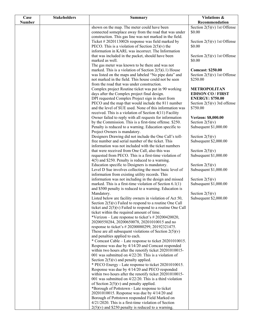| Case          | <b>Stakeholders</b> | <b>Summary</b>                                                                                                       | Violations &                               |
|---------------|---------------------|----------------------------------------------------------------------------------------------------------------------|--------------------------------------------|
| <b>Number</b> |                     |                                                                                                                      | Recommendation                             |
|               |                     | shown on the map. The meter could have been                                                                          | Section $2(5)(v)$ 1st Offense              |
|               |                     | connected someplace away from the road that was under                                                                | \$0.00                                     |
|               |                     | construction. This gas line was not marked in the field.                                                             |                                            |
|               |                     | Ticket $#20201130026$ response was field marked by                                                                   | Section $2(5)(v)$ 1st Offense              |
|               |                     | PECO. This is a violation of Section $2(5)(v)$ the<br>information in KARL was incorrect. The Information             | \$0.00                                     |
|               |                     | that was included in the packet, should have been                                                                    | Section $2(5)(v)$ 1st Offense              |
|               |                     | marked as well.                                                                                                      | \$0.00                                     |
|               |                     | The gas meter was known to be there and was not                                                                      |                                            |
|               |                     | marked. This is a violation of Section $2(5)(i.1)$ House                                                             | <b>Comcast: \$250.00</b>                   |
|               |                     | was listed on the maps and labeled "No pipe data" and                                                                | Section $2(5)(v)$ 1st Offense              |
|               |                     | not marked in the field. This house could not be seen                                                                | \$250.00                                   |
|               |                     | from the road that was under construction.                                                                           |                                            |
|               |                     | Complex project Routine ticket was put in 90 working                                                                 | METROPOLITAN                               |
|               |                     | days after the Complex project final design.                                                                         | <b>EDISON CO / FIRST</b>                   |
|               |                     | DPI requested Complex Project sign in sheet from                                                                     | <b>ENERGY: \$750.00</b>                    |
|               |                     | PECO and the map that would include the 811 number                                                                   | Section $2(5)(v)$ 3rd offense              |
|               |                     | and the level of SUE used. None of this information was                                                              | \$750.00                                   |
|               |                     | received. This is a violation of Section $4(11)$ Facility<br>Owner failed to reply with all requests for information | Verizon: \$8,000.00                        |
|               |                     | by the Commission. This is a first-time offense. \$250.                                                              | Section $2(5)(v)$                          |
|               |                     | Penalty is reduced to a warning. Education specific to                                                               | Subsequent \$1,000.00                      |
|               |                     | Project Owners is mandatory.                                                                                         |                                            |
|               |                     | Designers Drawing did not include the One Call's toll-                                                               | Section $2(5)(v)$                          |
|               |                     | free number and serial number of the ticket. This                                                                    | Subsequent \$2,000.00                      |
|               |                     | information was not included with the ticket numbers                                                                 |                                            |
|               |                     | that were received from One Call, also this was                                                                      | Section $2(5)(v)$                          |
|               |                     | requested from PECO. This is a first-time violation of                                                               | Subsequent \$1,000.00                      |
|               |                     | $4(5)$ and \$250. Penalty is reduced to a warning.                                                                   |                                            |
|               |                     | Education specific to Designers is mandatory.<br>Level D Sue involves collecting the most basic level of             | Section $2(5)(v)$<br>Subsequent \$1,000.00 |
|               |                     | information from existing utility records. This                                                                      |                                            |
|               |                     | information was not including in the design and missed                                                               | Section $2(5)(v)$                          |
|               |                     | marked. This is a first-time violation of Section $6.1(1)$                                                           | Subsequent \$1,000.00                      |
|               |                     | and \$500 penalty is reduced to a warning. Education is                                                              |                                            |
|               |                     | Mandatory.                                                                                                           | Section $2(5)(v)$                          |
|               |                     | Listed below are facility owners in violation of Act 50,                                                             | Subsequent \$2,000.00                      |
|               |                     | Section $2(5)(v)$ Failed to respond to a routine One Call                                                            |                                            |
|               |                     | ticket and $2(5)(v)$ Failed to respond to a routine One Call                                                         |                                            |
|               |                     | ticket within the required amount of time.<br>*Verizon – Late response to ticket's # 20200420020,                    |                                            |
|               |                     | 20200550284, 20200650078, 20201010015 and no                                                                         |                                            |
|               |                     | response to ticket's #20200080299, 20192321475.                                                                      |                                            |
|               |                     | These are all subsequent violations of Section $2(5)(v)$                                                             |                                            |
|               |                     | and penalties applied to each.                                                                                       |                                            |
|               |                     | * Comcast Cable – Late response to ticket 20201010015.                                                               |                                            |
|               |                     | Response was due by 4/14/20 and Comcast responded                                                                    |                                            |
|               |                     | within two hours after the renotify ticket 20201010015-                                                              |                                            |
|               |                     | 001 was submitted on $4/22/20$ . This is a violation of                                                              |                                            |
|               |                     | Section $2(5)(v)$ and penalty applied.                                                                               |                                            |
|               |                     | * PECO Energy - Late response to ticket 20201010015.                                                                 |                                            |
|               |                     | Response was due by 4/14/20 and PECO responded<br>within two hours after the renotify ticket 20201010015-            |                                            |
|               |                     | 001 was submitted on $4/22/20$ . This is a third violation                                                           |                                            |
|               |                     | of Section $2(5)(v)$ and penalty applied.                                                                            |                                            |
|               |                     | *Borough of Pottstown - Late response to ticket                                                                      |                                            |
|               |                     | 20201010015. Response was due by 4/14/20 and                                                                         |                                            |
|               |                     | Borough of Pottstown responded Field Marked on                                                                       |                                            |
|               |                     | 4/21/2020. This is a first-time violation of Section                                                                 |                                            |
|               |                     | $2(5)(v)$ and \$250 penalty is reduced to a warning.                                                                 |                                            |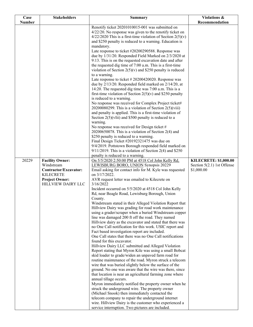| Case          | <b>Stakeholders</b>                         | <b>Summary</b>                                                                                                            | Violations &                 |
|---------------|---------------------------------------------|---------------------------------------------------------------------------------------------------------------------------|------------------------------|
| <b>Number</b> |                                             |                                                                                                                           | Recommendation               |
|               |                                             | Renotify ticket 20201010015-001 was submitted on                                                                          |                              |
|               |                                             | 4/22/20. No response was given to the renotify ticket on<br>$4/22/2020$ This is a first-time violation of Section 2(5)(v) |                              |
|               |                                             | and \$250 penalty is reduced to a warning. Education is                                                                   |                              |
|               |                                             | mandatory.                                                                                                                |                              |
|               |                                             | Late response to ticket #20200290588. Response was                                                                        |                              |
|               |                                             | due by 1/31/20. Responded Field Marked on 2/3/2020 at                                                                     |                              |
|               |                                             | 9:13. This is on the requested excavation date and after                                                                  |                              |
|               |                                             | the requested dig time of 7:00 a.m. This is a first-time                                                                  |                              |
|               |                                             | violation of Section $2(5)(v)$ and \$250 penalty is reduced                                                               |                              |
|               |                                             | to a warning.                                                                                                             |                              |
|               |                                             | Late response to ticket $#20200420020$ . Response was                                                                     |                              |
|               |                                             | due by 2/13/20. Responded field marked on 2/14/20, at<br>14:20. The requested dig time was 7:00 a.m. This is a            |                              |
|               |                                             | first-time violation of Section $2(5)(v)$ and \$250 penalty                                                               |                              |
|               |                                             | is reduced to a warning.                                                                                                  |                              |
|               |                                             | No response was received for Complex Project ticket#                                                                      |                              |
|               |                                             | 20200080299. This is a violation of Section $2(5)(viii)$                                                                  |                              |
|               |                                             | and penalty is applied. This is a first-time violation of                                                                 |                              |
|               |                                             | Section $2(5)(vIii)$ and \$500 penalty is reduced to a                                                                    |                              |
|               |                                             | warning.                                                                                                                  |                              |
|               |                                             | No response was received for Design ticket #                                                                              |                              |
|               |                                             | 20200650078. This is a violation of Section $2(4)$ and<br>\$250 penalty is reduced to a warning.                          |                              |
|               |                                             | Final Design Ticket #20192321475 was due on                                                                               |                              |
|               |                                             | 9/4/2019. Pottstown Borough responded field marked on                                                                     |                              |
|               |                                             | $9/11/2019$ . This is a violation of Section 2(4) and \$250                                                               |                              |
|               |                                             | penalty is reduced to a warning.                                                                                          |                              |
| 20229         | <b>Facility Owner:</b>                      | On 5/5/2020 2:50:00 PM at 4518 Col John Kelly Rd,                                                                         | <b>KILECRETE: \$1,000.00</b> |
|               | Windstream                                  | LEWISBURG BORO, UNION Synopsis 20229                                                                                      | Section $5(2.1)$ 1st Offense |
|               | Contractor/Excavator:                       | Email asking for contact info for M. Kyle was requested                                                                   | \$1,000.00                   |
|               | <b>KILECRETE</b>                            | on 3/17/2022.                                                                                                             |                              |
|               | <b>Project Owner:</b><br>HILLVIEW DAIRY LLC | AVR request letter was emailed to Kilecrete on<br>3/16/2022                                                               |                              |
|               |                                             | Incident occurred on 5/5/2020 at 4518 Col John Kelly                                                                      |                              |
|               |                                             | Rd, near Beagle Road, Lewisburg Borough, Union                                                                            |                              |
|               |                                             | County.                                                                                                                   |                              |
|               |                                             | Windstream stated in their Alleged Violation Report that                                                                  |                              |
|               |                                             | Hillview Dairy was grading for road work maintenance                                                                      |                              |
|               |                                             | using a grader/scraper when a buried Windstream copper                                                                    |                              |
|               |                                             | line was damaged 200 ft off the road. They named<br>Hillview dairy as the excavator and stated that there was             |                              |
|               |                                             | no One Call notification for this work. USIC report and                                                                   |                              |
|               |                                             | Fact based investigation report are included.                                                                             |                              |
|               |                                             | One Call states that there was no One Call notifications                                                                  |                              |
|               |                                             | found for this excavator.                                                                                                 |                              |
|               |                                             | Hillview Dairy LLC submitted and Alleged Violation                                                                        |                              |
|               |                                             | Report stating that Myron Kile was using a small Bobcat                                                                   |                              |
|               |                                             | skid loader to grade/widen an unpaved farm road for                                                                       |                              |
|               |                                             | routine maintenance of the road. Myron struck a telecom<br>wire that was buried slightly below the surface of the         |                              |
|               |                                             | ground. No one was aware that the wire was there, since                                                                   |                              |
|               |                                             | that location is near an agricultural farming zone where                                                                  |                              |
|               |                                             | annual tillage occurs.                                                                                                    |                              |
|               |                                             | Myron immediately notified the property owner when he                                                                     |                              |
|               |                                             | struck the underground wire. The property owner                                                                           |                              |
|               |                                             | (Michael Snook) then immediately contacted the                                                                            |                              |
|               |                                             | telecom company to repair the underground internet                                                                        |                              |
|               |                                             | wire. Hillview Dairy is the customer who experienced a<br>service interruption. Two pictures are included.                |                              |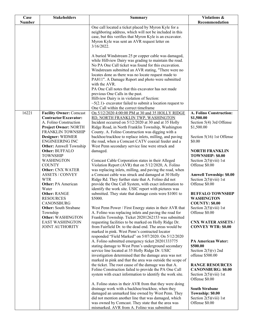| <b>Stakeholders</b><br>Case                                                                      |               | <b>Summary</b>                                                                                                                                                                                                         | Violations &                                                                                      |
|--------------------------------------------------------------------------------------------------|---------------|------------------------------------------------------------------------------------------------------------------------------------------------------------------------------------------------------------------------|---------------------------------------------------------------------------------------------------|
| <b>Number</b>                                                                                    |               |                                                                                                                                                                                                                        | Recommendation                                                                                    |
|                                                                                                  |               | One call located a ticket placed by Myron Kyle for a<br>neighboring address, which will not be included in this<br>case, but this verifies that Myron Kyle is an excavator.                                            |                                                                                                   |
|                                                                                                  | $3/16/2022$ . | Myron Kyle was sent an AVR request letter on                                                                                                                                                                           |                                                                                                   |
|                                                                                                  |               | A buried Windstream 25 pr copper cable was damaged,<br>while Hillview Dairy was grading to maintain the road.<br>No PA One Call ticket was found for this excavation.                                                  |                                                                                                   |
|                                                                                                  |               | Windstream submitted an AVR stating, "There were no<br>locates done as there was no locate request made to<br>PA811". A Damage Report and photo were submitted                                                         |                                                                                                   |
|                                                                                                  |               | with the AVR.<br>PA One Call notes that this excavator has not made<br>previous One Calls in the past.                                                                                                                 |                                                                                                   |
|                                                                                                  |               | Hillview Dairy is in violation of Section:<br>$\sim$ 5(2.1)- excavator failed to submit a location request to<br>One Call within the correct timeframe                                                                 |                                                                                                   |
| 16221<br><b>Facility Owner: Comcast</b>                                                          |               | On 5/12/2020 4:00:00 PM at 30 and 35 HOLLY RIDGE                                                                                                                                                                       | A. Folino Construction:                                                                           |
| Contractor/Excavator:<br>A. Folino Construction<br><b>Project Owner: NORTH</b>                   |               | RD, NORTH FRANKLIN TWP, WASHINGTON<br>Incident occurred on 5/12/2020 at 30 and at 35 Holly<br>Ridge Road, in North Franklin Township, Washington                                                                       | \$1,500.00<br>Section 5(4) 3rd Offense<br>\$1,500.00                                              |
| FRANKLIN TOWNSHIP<br>Designer: WIDMER<br><b>ENGINEERING INC</b><br><b>Other:</b> Amwell Township |               | County. A. Folino Construction was digging with a<br>backhoe/trackhoe to replace inlets, milling, and paving<br>the road, when a Comcast CATV coaxial feeder and a<br>West Penn secondary service line were struck and | Section 5(16) 1st Offense<br>\$0.00                                                               |
| <b>Other: BUFFALO</b><br><b>TOWNSHIP</b>                                                         | damaged.      |                                                                                                                                                                                                                        | <b>NORTH FRANKLIN</b><br>TOWNSHIP: \$0.00                                                         |
| WASHINGTON<br><b>COUNTY</b><br><b>Other: CNX WATER</b>                                           |               | Comcast Cable Corporation states in their Alleged<br>Violation Report (AVR) that on 5/12/2020, A. Folino<br>was replacing inlets, milling, and paving the road, when                                                   | Section $2(5)(viii)$ 1st<br>Offense \$0.00                                                        |
| <b>ASSETS / CONVEY</b><br><b>WTR</b><br><b>Other: PA American</b>                                |               | a Comcast cable was struck and damaged at 30 Holly<br>Ridge Rd. They further state that A. Folino did not<br>provide the One Call System, with exact information to                                                    | <b>Amwell Township: \$0.00</b><br>Section $2(5)(viii)$ 1st<br>Offense \$0.00                      |
| Water<br><b>Other: RANGE</b><br><b>RESOURCES</b>                                                 | \$5000.       | identify the work site. USIC report with pictures was<br>submitted. They state that damage costs were \$1001 to                                                                                                        | <b>BUFFALO TOWNSHIP</b><br><b>WASHINGTON</b>                                                      |
| CANONSBURG<br><b>Other:</b> South Strabane                                                       |               | West Penn Power / First Energy states in their AVR that                                                                                                                                                                | <b>COUNTY: \$0.00</b><br>Section $2(5)(viii)$ 1st                                                 |
| Township<br>Other: WASHINGTON<br><b>EAST WASHINGTON</b>                                          |               | A. Folino was replacing inlets and paving the road for<br>Franklin Township. Ticket 20201262153 was submitted<br>requesting facilities to be marked on Holly Ridge Dr.                                                 | Offense \$0.00<br><b>CNX WATER ASSETS /</b>                                                       |
| <b>JOINT AUTHORITY</b>                                                                           |               | from Fairfield Dr. to the dead end. The areas would be<br>marked in pink. West Penn's contracted locator<br>responded "Field Marked" on 5/07/2020. On 5/12/2020                                                        | <b>CONVEY WTR: \$0.00</b>                                                                         |
|                                                                                                  |               | A. Folino submitted emergency ticket 20201333775<br>stating damage to West Penn's underground secondary                                                                                                                | <b>PA American Water:</b><br>\$500.00                                                             |
|                                                                                                  |               | service line located at 35 Holly Ridge Dr. USIC<br>investigation determined that the damage area was not<br>marked in pink and that the area was outside the scope of                                                  | Section $2(5)(v)$ 2nd<br>offense \$500.00                                                         |
|                                                                                                  |               | the ticket. The root cause of the damage was that A.<br>Folino Construction failed to provide the PA One Call<br>system with exact information to identify the work site.                                              | <b>RANGE RESOURCES</b><br><b>CANONSBURG: \$0.00</b><br>Section $2(5)(viii)$ 1st<br>Offense \$0.00 |
|                                                                                                  |               | A. Folino states in their AVR from that they were doing<br>drainage work with a backhoe/trackhoe, when they<br>damaged an unmarked line owned by West Penn. They                                                       | <b>South Strabane</b><br>Township: \$0.00                                                         |
|                                                                                                  |               | did not mention another line that was damaged, which<br>was owned by Comcast. They state that the area was<br>mismarked. AVR from A. Folino was submitted                                                              | Section $2(5)(viii)$ 1st<br>Offense \$0.00                                                        |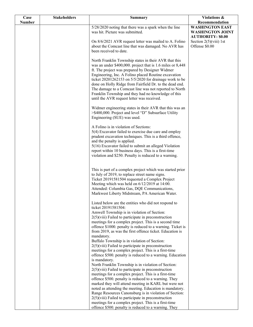| Case          | <b>Stakeholders</b> | <b>Summary</b>                                                                                                   | Violations &                             |
|---------------|---------------------|------------------------------------------------------------------------------------------------------------------|------------------------------------------|
| <b>Number</b> |                     |                                                                                                                  | Recommendation<br><b>WASHINGTON EAST</b> |
|               |                     | 5/28/2020 noting that there was a spark when the line<br>was hit. Picture was submitted.                         | <b>WASHINGTON JOINT</b>                  |
|               |                     |                                                                                                                  | <b>AUTHORITY: \$0.00</b>                 |
|               |                     | On 8/6/2021 AVR request letter was mailed to A. Folino                                                           | Section $2(5)(viii)$ 1st                 |
|               |                     | about the Comcast line that was damaged. No AVR has                                                              | Offense \$0.00                           |
|               |                     | been received to date.                                                                                           |                                          |
|               |                     |                                                                                                                  |                                          |
|               |                     | North Franklin Township states in their AVR that this                                                            |                                          |
|               |                     | was an under \$400,000. project that is 1.6 miles or 8,448<br>ft. The project was prepared by Designer Widmer    |                                          |
|               |                     | Engineering, Inc. A Folino placed Routine excavation                                                             |                                          |
|               |                     | ticket 20201262153 on 5/5/2020 for drainage work to be                                                           |                                          |
|               |                     | done on Holly Ridge from Fairfield Dr. to the dead end.                                                          |                                          |
|               |                     | The damage to a Comcast line was not reported to North                                                           |                                          |
|               |                     | Franklin Township and they had no knowledge of this                                                              |                                          |
|               |                     | until the AVR request letter was received.                                                                       |                                          |
|               |                     | Widmer engineering states in their AVR that this was an                                                          |                                          |
|               |                     | >\$400,000. Project and level "D" Subsurface Utility                                                             |                                          |
|               |                     | Engineering (SUE) was used.                                                                                      |                                          |
|               |                     |                                                                                                                  |                                          |
|               |                     | A Folino is in violation of Sections:                                                                            |                                          |
|               |                     | 5(4) Excavator failed to exercise due care and employ<br>prudent excavation techniques. This is a third offence, |                                          |
|               |                     | and the penalty is applied.                                                                                      |                                          |
|               |                     | 5(16) Excavator failed to submit an alleged Violation                                                            |                                          |
|               |                     | report within 10 business days. This is a first-time                                                             |                                          |
|               |                     | violation and \$250. Penalty is reduced to a warning.                                                            |                                          |
|               |                     |                                                                                                                  |                                          |
|               |                     | This is part of a complex project which was started prior                                                        |                                          |
|               |                     | to July of 2019, to replace street name signs.                                                                   |                                          |
|               |                     | Ticket 20191581504 requested a Complex Project                                                                   |                                          |
|               |                     | Meeting which was held on 6/12/2019 at 14:00.                                                                    |                                          |
|               |                     | Attended: Columbia Gas, DQE Communications,<br>Markwest Liberty Midstream, PA American Water.                    |                                          |
|               |                     |                                                                                                                  |                                          |
|               |                     | Listed below are the entities who did not respond to                                                             |                                          |
|               |                     | ticket 20191581504:                                                                                              |                                          |
|               |                     | Amwell Township is in violation of Section:<br>$2(5)$ (viii) Failed to participate in preconstruction            |                                          |
|               |                     | meetings for a complex project. This is a second time                                                            |                                          |
|               |                     | offence \$1000. penalty is reduced to a warning. Ticket is                                                       |                                          |
|               |                     | from 2019, as was the first offence ticket. Education is                                                         |                                          |
|               |                     | mandatory.                                                                                                       |                                          |
|               |                     | Buffalo Township is in violation of Section:<br>$2(5)$ (viii) Failed to participate in preconstruction           |                                          |
|               |                     | meetings for a complex project. This is a first-time                                                             |                                          |
|               |                     | offence \$500. penalty is reduced to a warning. Education                                                        |                                          |
|               |                     | is mandatory.                                                                                                    |                                          |
|               |                     | North Franklin Township is in violation of Section:                                                              |                                          |
|               |                     | $2(5)$ (viii) Failed to participate in preconstruction<br>meetings for a complex project. This is a first-time   |                                          |
|               |                     | offence \$500. penalty is reduced to a warning. They                                                             |                                          |
|               |                     | marked they will attend meeting in KARL but were not                                                             |                                          |
|               |                     | noted as attending the meeting. Education is mandatory.                                                          |                                          |
|               |                     | Range Resources Canonsburg is in violation of Section:                                                           |                                          |
|               |                     | $2(5)$ (viii) Failed to participate in preconstruction                                                           |                                          |
|               |                     | meetings for a complex project. This is a first-time<br>offence \$500. penalty is reduced to a warning. They     |                                          |
|               |                     |                                                                                                                  |                                          |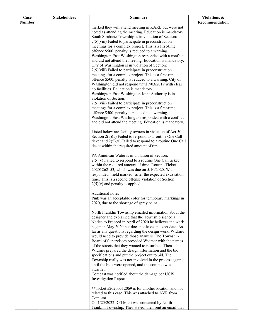| Case          | <b>Stakeholders</b> | <b>Summary</b>                                                                                                  | Violations &   |
|---------------|---------------------|-----------------------------------------------------------------------------------------------------------------|----------------|
| <b>Number</b> |                     |                                                                                                                 | Recommendation |
|               |                     | marked they will attend meeting in KARL but were not                                                            |                |
|               |                     | noted as attending the meeting. Education is mandatory.<br>South Strabane Township is in violation of Section:  |                |
|               |                     | 2(5)(viii) Failed to participate in preconstruction                                                             |                |
|               |                     | meetings for a complex project. This is a first-time                                                            |                |
|               |                     | offence \$500. penalty is reduced to a warning.                                                                 |                |
|               |                     | Washington East Washington responded with a conflict                                                            |                |
|               |                     | and did not attend the meeting. Education is mandatory.                                                         |                |
|               |                     | City of Washington is in violation of Section:                                                                  |                |
|               |                     | $2(5)$ (viii) Failed to participate in preconstruction<br>meetings for a complex project. This is a first-time  |                |
|               |                     | offence \$500. penalty is reduced to a warning. City of                                                         |                |
|               |                     | Washington did not respond until 7/03/2019 with clear                                                           |                |
|               |                     | no facilities. Education is mandatory.                                                                          |                |
|               |                     | Washington East Washington Joint Authority is in                                                                |                |
|               |                     | violation of Section:                                                                                           |                |
|               |                     | $2(5)$ (viii) Failed to participate in preconstruction                                                          |                |
|               |                     | meetings for a complex project. This is a first-time<br>offence \$500. penalty is reduced to a warning.         |                |
|               |                     | Washington East Washington responded with a conflict                                                            |                |
|               |                     | and did not attend the meeting. Education is mandatory.                                                         |                |
|               |                     | Listed below are facility owners in violation of Act 50,                                                        |                |
|               |                     | Section $2(5)(v)$ Failed to respond to a routine One Call                                                       |                |
|               |                     | ticket and $2(5)(v)$ Failed to respond to a routine One Call                                                    |                |
|               |                     | ticket within the required amount of time.                                                                      |                |
|               |                     | PA American Water is in violation of Section:                                                                   |                |
|               |                     | $2(5)(v)$ Failed to respond to a routine One Call ticket                                                        |                |
|               |                     | within the required amount of time. Routine Ticket                                                              |                |
|               |                     | 20201262153, which was due on 5/10/2020. Was<br>responded "field marked" after the expected excavation          |                |
|               |                     | time. This is a second offense violation of Section                                                             |                |
|               |                     | $2(5)(v)$ and penalty is applied.                                                                               |                |
|               |                     | Additional notes                                                                                                |                |
|               |                     | Pink was an acceptable color for temporary markings in                                                          |                |
|               |                     | 2020, due to the shortage of spray paint.                                                                       |                |
|               |                     | North Franklin Township emailed information about the                                                           |                |
|               |                     | designer and explained that the Township signed a                                                               |                |
|               |                     | Notice to Proceed in April of 2020 he believes the work                                                         |                |
|               |                     | began in May 2020 but does not have an exact date. As<br>far as any questions regarding the design work, Widmer |                |
|               |                     | would need to provide those answers. The Township                                                               |                |
|               |                     | Board of Supervisors provided Widmer with the names                                                             |                |
|               |                     | of the streets that they wanted to resurface. Then                                                              |                |
|               |                     | Widmer prepared the design information and the bid                                                              |                |
|               |                     | specifications and put the project out to bid. The<br>Township really was not involved in the process again     |                |
|               |                     | until the bids were opened, and the contract was                                                                |                |
|               |                     | awarded.                                                                                                        |                |
|               |                     | Comcast was notified about the damage per UCIS                                                                  |                |
|               |                     | Investigation Report.                                                                                           |                |
|               |                     | **Ticket #20200512069 is for another location and not                                                           |                |
|               |                     | related to this case. This was attached to AVR from<br>Comcast.                                                 |                |
|               |                     | On 1/25/2022 DPI Maki was contacted by North                                                                    |                |
|               |                     | Franklin Township. They stated, then sent an email that                                                         |                |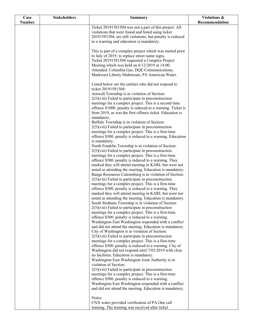| Case          | <b>Stakeholders</b> | <b>Summary</b>                                                                                                  | Violations &   |
|---------------|---------------------|-----------------------------------------------------------------------------------------------------------------|----------------|
| <b>Number</b> |                     |                                                                                                                 | Recommendation |
|               |                     | Ticket 20191581504 was not a part of this project. All                                                          |                |
|               |                     | violations that were found and listed using ticket                                                              |                |
|               |                     | 20191581504, are still violations, but penalty is reduced<br>to a warning and education is mandatory.           |                |
|               |                     |                                                                                                                 |                |
|               |                     | This is part of a complex project which was started prior                                                       |                |
|               |                     | to July of 2019, to replace street name signs.                                                                  |                |
|               |                     | Ticket 20191581504 requested a Complex Project                                                                  |                |
|               |                     | Meeting which was held on 6/12/2019 at 14:00.                                                                   |                |
|               |                     | Attended: Columbia Gas, DQE Communications,                                                                     |                |
|               |                     | Markwest Liberty Midstream, PA American Water.                                                                  |                |
|               |                     | Listed below are the entities who did not respond to                                                            |                |
|               |                     | ticket 20191581504:                                                                                             |                |
|               |                     | Amwell Township is in violation of Section:                                                                     |                |
|               |                     | $2(5)$ (viii) Failed to participate in preconstruction                                                          |                |
|               |                     | meetings for a complex project. This is a second time                                                           |                |
|               |                     | offence \$1000. penalty is reduced to a warning. Ticket is                                                      |                |
|               |                     | from 2019, as was the first offence ticket. Education is<br>mandatory.                                          |                |
|               |                     | Buffalo Township is in violation of Section:                                                                    |                |
|               |                     | $2(5)$ (viii) Failed to participate in preconstruction                                                          |                |
|               |                     | meetings for a complex project. This is a first-time                                                            |                |
|               |                     | offence \$500. penalty is reduced to a warning. Education                                                       |                |
|               |                     | is mandatory.                                                                                                   |                |
|               |                     | North Franklin Township is in violation of Section:                                                             |                |
|               |                     | $2(5)$ (viii) Failed to participate in preconstruction                                                          |                |
|               |                     | meetings for a complex project. This is a first-time<br>offence \$500. penalty is reduced to a warning. They    |                |
|               |                     | marked they will attend meeting in KARL but were not                                                            |                |
|               |                     | noted as attending the meeting. Education is mandatory.                                                         |                |
|               |                     | Range Resources Canonsburg is in violation of Section:                                                          |                |
|               |                     | $2(5)$ (viii) Failed to participate in preconstruction                                                          |                |
|               |                     | meetings for a complex project. This is a first-time                                                            |                |
|               |                     | offence \$500. penalty is reduced to a warning. They                                                            |                |
|               |                     | marked they will attend meeting in KARL but were not                                                            |                |
|               |                     | noted as attending the meeting. Education is mandatory.<br>South Strabane Township is in violation of Section:  |                |
|               |                     | $2(5)$ (viii) Failed to participate in preconstruction                                                          |                |
|               |                     | meetings for a complex project. This is a first-time                                                            |                |
|               |                     | offence \$500. penalty is reduced to a warning.                                                                 |                |
|               |                     | Washington East Washington responded with a conflict                                                            |                |
|               |                     | and did not attend the meeting. Education is mandatory.                                                         |                |
|               |                     | City of Washington is in violation of Section:                                                                  |                |
|               |                     | $2(5)$ (viii) Failed to participate in preconstruction                                                          |                |
|               |                     | meetings for a complex project. This is a first-time<br>offence \$500. penalty is reduced to a warning. City of |                |
|               |                     | Washington did not respond until 7/03/2019 with clear                                                           |                |
|               |                     | no facilities. Education is mandatory.                                                                          |                |
|               |                     | Washington East Washington Joint Authority is in                                                                |                |
|               |                     | violation of Section:                                                                                           |                |
|               |                     | $2(5)$ (viii) Failed to participate in preconstruction                                                          |                |
|               |                     | meetings for a complex project. This is a first-time                                                            |                |
|               |                     | offence \$500. penalty is reduced to a warning.                                                                 |                |
|               |                     | Washington East Washington responded with a conflict<br>and did not attend the meeting. Education is mandatory. |                |
|               |                     |                                                                                                                 |                |
|               |                     | Notes:                                                                                                          |                |
|               |                     | CNX water provided verification of PA One call                                                                  |                |
|               |                     | training. The training was received after ticket                                                                |                |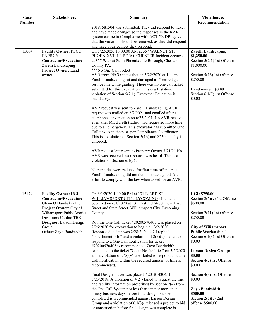| Case          | <b>Stakeholders</b>                              | <b>Summary</b>                                                                                                          | <b>Violations &amp;</b>                                     |
|---------------|--------------------------------------------------|-------------------------------------------------------------------------------------------------------------------------|-------------------------------------------------------------|
| <b>Number</b> |                                                  | 20191581504 was submitted. They did respond to ticket                                                                   | Recommendation                                              |
|               |                                                  | and have made changes so the responses in the KARL                                                                      |                                                             |
|               |                                                  | system can be in Compliance with ACT 50. DPI agrees                                                                     |                                                             |
|               |                                                  | that the violation should be removed, as they did respond                                                               |                                                             |
| 15064         | <b>Facility Owner: PECO</b>                      | and have updated how they respond.<br>On 5/22/2020 10:00:00 AM at 357 WALNUT ST,                                        | <b>Zarelli Landscaping:</b>                                 |
|               | <b>ENERGY</b>                                    | PHOENIXVILLE BORO, CHESTER Incident occurred                                                                            | \$1,250.00                                                  |
|               | Contractor/Excavator:                            | at 357 Walnut St. in Phoenixville Borough, Chester                                                                      | Section $5(2.1)$ 1st Offense                                |
|               | Zarelli Landscaping                              | County PA.<br>***No One Call Ticket                                                                                     | \$1,000.00                                                  |
|               | <b>Project Owner: Land</b><br>owner              | AVR from PECO states that on 5/22/2020 at 10 a.m.                                                                       | Section 5(16) 1st Offense                                   |
|               |                                                  | Zarelli Landscaping hit and damaged a 1" retired gas                                                                    | \$250.00                                                    |
|               |                                                  | service line while grading. There was no one call ticket                                                                |                                                             |
|               |                                                  | submitted for this excavation. This is a first-time<br>violation of Section $5(2.1)$ . Excavator Education is           | Land owner: \$0.00<br>Section 6.1(7) 1st Offense            |
|               |                                                  | mandatory.                                                                                                              | \$0.00                                                      |
|               |                                                  |                                                                                                                         |                                                             |
|               |                                                  | AVR request was sent to Zarelli Landscaping. AVR                                                                        |                                                             |
|               |                                                  | request was mailed on 6/2/2021 and emailed after a<br>telephone conversation on 6/25/2021. No AVR received,             |                                                             |
|               |                                                  | even after Mr. Zarelli (father) had requested more time                                                                 |                                                             |
|               |                                                  | due to an emergency. This excavator has submitted One                                                                   |                                                             |
|               |                                                  | Call tickets in the past, per Compliance Coordinator.<br>This is a violation of Section $5(16)$ and \$250 penalty is    |                                                             |
|               |                                                  | enforced.                                                                                                               |                                                             |
|               |                                                  |                                                                                                                         |                                                             |
|               |                                                  | AVR request letter sent to Property Owner 7/21/21 No<br>AVR was received, no response was heard. This is a              |                                                             |
|               |                                                  | violation of Section $6.1(7)$ .                                                                                         |                                                             |
|               |                                                  |                                                                                                                         |                                                             |
|               |                                                  | No penalties were reduced for first-time offender as                                                                    |                                                             |
|               |                                                  | Zarelli Landscaping did not demonstrate a good-faith<br>effort to comply with the law when asked for an AVR.            |                                                             |
|               |                                                  |                                                                                                                         |                                                             |
| 15179         | <b>Facility Owner: UGI</b>                       | On 6/1/2020 1:00:00 PM at 131 E. 3RD ST,                                                                                | <b>UGI: \$750.00</b>                                        |
|               | Contractor/Excavator:                            | WILLIAMSPORT CITY, LYCOMING ~Incident                                                                                   | Section $2(5)(v)$ 1st Offense                               |
|               | Glenn O Hawbaker Inc                             | occurred on 6/1/2020 at 131 East 3rd Street, near East                                                                  | \$500.00                                                    |
|               | Project Owner: City of                           | Street and State Street, Williamsport City, Lycoming                                                                    |                                                             |
|               | Wiliamsport Public Works<br>Designer: Cardno TBE | County.                                                                                                                 | Section 2(11) 1st Offense<br>\$250.00                       |
|               | Designer: Larson Design                          | Routine One Call ticket #20200570405 was placed on                                                                      |                                                             |
|               | Group                                            | $2/26/2020$ for excavation to begin on $3/2/2020$ .                                                                     | <b>City of Wiliamsport</b>                                  |
|               | Other: Zayo Bandwidth                            | Response due date was 2/28/2020. UGI replied<br>"Insufficient Info" and a violation of $2(5)(v)$ - failed to            | <b>Public Works: \$0.00</b><br>Section $6.1(3)$ 1st Offense |
|               |                                                  | respond to a One Call notification for ticket                                                                           | \$0.00                                                      |
|               |                                                  | #20200570405 is recommended. Zayo Bandwidth                                                                             |                                                             |
|               |                                                  | responded to the ticket "Clear-No facilities" on 3/2/2020                                                               | <b>Larson Design Group:</b>                                 |
|               |                                                  | and a violation of $2(5)(v)$ late-failed to respond to a One<br>Call notification within the required amount of time is | \$0.00<br>Section 4(2) 1st Offense                          |
|               |                                                  | recommended.                                                                                                            | \$0.00                                                      |
|               |                                                  |                                                                                                                         |                                                             |
|               |                                                  | Final Design Ticket was placed, #20181430451, on<br>$5/23/2018$ . A violation of 4(2)-failed to request the line        | Section 4(8) 1st Offense<br>\$0.00                          |
|               |                                                  | and facility information prescribed by section $2(4)$ from                                                              |                                                             |
|               |                                                  | the One Call System not less than ten nor more than                                                                     | Zayo Bandwidth:                                             |
|               |                                                  | ninety business days before final design is to be                                                                       | \$500.00                                                    |
|               |                                                  | completed is recommended against Larson Design<br>Group and a violation of $6.1(3)$ - released a project to bid         | Section $2(5)(v)$ 2nd<br>offense \$500.00                   |
|               |                                                  | or construction before final design was complete is                                                                     |                                                             |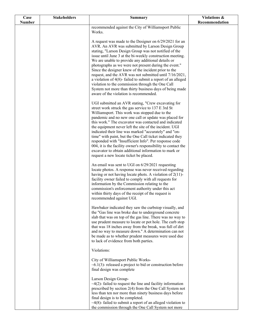| Case          | <b>Stakeholders</b> | <b>Summary</b>                                                                                                          | Violations &   |
|---------------|---------------------|-------------------------------------------------------------------------------------------------------------------------|----------------|
| <b>Number</b> |                     |                                                                                                                         | Recommendation |
|               |                     | recommended against the City of Williamsport Public<br>Works.                                                           |                |
|               |                     |                                                                                                                         |                |
|               |                     | A request was made to the Designer on 6/29/2021 for an                                                                  |                |
|               |                     | AVR. An AVR was submitted by Larson Design Group                                                                        |                |
|               |                     | stating, "Larson Design Group was not notified of the                                                                   |                |
|               |                     | issue until June 3 at the bi-weekly construction meeting.                                                               |                |
|               |                     | We are unable to provide any additional details or                                                                      |                |
|               |                     | photographs as we were not present during the event."                                                                   |                |
|               |                     | Since the designer knew of the incident prior to the<br>request, and the AVR was not submitted until 7/16/2021,         |                |
|               |                     | a violation of 4(8)-failed to submit a report of an alleged                                                             |                |
|               |                     | violation to the commission through the One Call                                                                        |                |
|               |                     | System not more than thirty business days of being made                                                                 |                |
|               |                     | aware of the violation is recommended.                                                                                  |                |
|               |                     |                                                                                                                         |                |
|               |                     | UGI submitted an AVR stating, "Crew excavating for                                                                      |                |
|               |                     | street work struck the gas service to 137 E 3rd St<br>Williamsport. This work was stopped due to the                    |                |
|               |                     | pandemic and no new one call or update was placed for                                                                   |                |
|               |                     | this work." The excavator was contacted and indicated                                                                   |                |
|               |                     | the equipment never left the site of the incident. UGI                                                                  |                |
|               |                     | indicated their line was marked "accurately" and "on-                                                                   |                |
|               |                     | time" with paint, but the One Call ticket indicated they                                                                |                |
|               |                     | responded with "Insufficient Info". Per response code                                                                   |                |
|               |                     | 004, it is the facility owner's responsibility to contact the<br>excavator to obtain additional information to mark or  |                |
|               |                     | request a new locate ticket be placed.                                                                                  |                |
|               |                     |                                                                                                                         |                |
|               |                     | An email was sent to UGI on 6/29/2021 requesting                                                                        |                |
|               |                     | locate photos. A response was never received regarding                                                                  |                |
|               |                     | having or not having locate phots. A violation of 2(11)-<br>facility owner failed to comply with all requests for       |                |
|               |                     | information by the Commission relating to the                                                                           |                |
|               |                     | commission's enforcement authority under this act                                                                       |                |
|               |                     | within thirty days of the receipt of the request is                                                                     |                |
|               |                     | recommended against UGI.                                                                                                |                |
|               |                     |                                                                                                                         |                |
|               |                     | Hawbaker indicated they saw the curbstop visually, and<br>the "Gas line was broke due to underground concrete           |                |
|               |                     | slab that was on top of the gas line. There was no way to                                                               |                |
|               |                     | use prudent measure to locate or pot hole. The curb stop                                                                |                |
|               |                     | that was 18 inches away from the break, was full of dirt                                                                |                |
|               |                     | and no way to measure down." A determination can not                                                                    |                |
|               |                     | be made as to whether prudent measures were used due                                                                    |                |
|               |                     | to lack of evidence from both parties.                                                                                  |                |
|               |                     | Violations:                                                                                                             |                |
|               |                     |                                                                                                                         |                |
|               |                     | City of Williamsport Public Works-                                                                                      |                |
|               |                     | $~6.1(3)$ - released a project to bid or construction before                                                            |                |
|               |                     | final design was complete                                                                                               |                |
|               |                     | Larson Design Group-                                                                                                    |                |
|               |                     | $\sim$ 4(2)-failed to request the line and facility information                                                         |                |
|               |                     | prescribed by section 2(4) from the One Call System not                                                                 |                |
|               |                     | less than ten nor more than ninety business days before                                                                 |                |
|               |                     | final design is to be completed.                                                                                        |                |
|               |                     | $\sim$ 4(8)-failed to submit a report of an alleged violation to<br>the commission through the One Call System not more |                |
|               |                     |                                                                                                                         |                |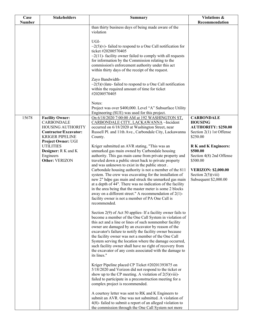| Case          | <b>Stakeholders</b>                                                                                                                       | <b>Summary</b>                                                                                                                                                                                                                                                                                                                                                                                                                                                                                                                                                                                                                                                                                                  | Violations &                                                                                                                                                   |
|---------------|-------------------------------------------------------------------------------------------------------------------------------------------|-----------------------------------------------------------------------------------------------------------------------------------------------------------------------------------------------------------------------------------------------------------------------------------------------------------------------------------------------------------------------------------------------------------------------------------------------------------------------------------------------------------------------------------------------------------------------------------------------------------------------------------------------------------------------------------------------------------------|----------------------------------------------------------------------------------------------------------------------------------------------------------------|
| <b>Number</b> |                                                                                                                                           | than thirty business days of being made aware of the                                                                                                                                                                                                                                                                                                                                                                                                                                                                                                                                                                                                                                                            | Recommendation                                                                                                                                                 |
|               |                                                                                                                                           | violation<br>UGI-<br>$\sim$ 2(5)(v)-failed to respond to a One Call notification for<br>ticket #20200570405<br>$\sim$ 2(11)- facility owner failed to comply with all requests<br>for information by the Commission relating to the<br>commission's enforcement authority under this act<br>within thirty days of the receipt of the request.<br>Zayo Bandwidth-<br>$\sim$ 2(5)(v) late-failed to respond to a One Call notification<br>within the required amount of time for ticket<br>#20200570405<br>Notes:                                                                                                                                                                                                 |                                                                                                                                                                |
|               |                                                                                                                                           | Project was over \$400,000. Level "A" Subsurface Utility<br>Engineering (SUE) was used for this project.                                                                                                                                                                                                                                                                                                                                                                                                                                                                                                                                                                                                        |                                                                                                                                                                |
| 15678         | <b>Facility Owner:</b><br><b>CARBONDALE</b><br>HOUSING AUTHORITY<br>Contractor/Excavator:<br><b>KRIGER PIPELINE</b><br>Project Owner: UGI | On 6/18/2020 7:00:00 AM at 192 WASHINGTON ST,<br>CARBONDALE CITY, LACKAWANNA ~Incident<br>occurred on 6/18/2020 at Washington Street, near<br>Russell Pl. and 11th Ave., Carbondale City, Lackawanna<br>County.                                                                                                                                                                                                                                                                                                                                                                                                                                                                                                 | <b>CARBONDALE</b><br><b>HOUSING</b><br><b>AUTHORITY: \$250.00</b><br>Section $2(1)$ 1st Offense<br>\$250.00                                                    |
|               | <b>UTILITIES</b><br>Designer: R K and K<br>Engineers<br>Other: VERIZON                                                                    | Kriger submitted an AVR stating, "This was an<br>unmarked gas main owned by Carbondale housing<br>authority. This gas main came from private property and<br>traveled down a public street back to private property<br>and was unknown to exist in the public street.<br>Carbondale housing authority is not a member of the 811<br>system. The crew was excavating for the installation of<br>new 2" hdpe gas main and struck the unmarked gas main<br>at a depth of 44". There was no indication of the facility<br>in the area being that the master meter is some 2 blocks<br>away on a different street." A recommendation of $2(1)$ -<br>facility owner is not a member of PA One Call is<br>recommended. | <b>R</b> K and K Engineers:<br>\$500.00<br>Section 4(8) 2nd Offense<br>\$500.00<br><b>VERIZON: \$2,000.00</b><br>Section $2(5)(viii)$<br>Subsequent \$2,000.00 |
|               |                                                                                                                                           | Section $2(9)$ of Act 50 applies If a facility owner fails to<br>become a member of the One Call System in violation of<br>this act and a line or lines of such nonmember facility<br>owner are damaged by an excavator by reason of the<br>excavator's failure to notify the facility owner because<br>the facility owner was not a member of the One Call<br>System serving the location where the damage occurred,<br>such facility owner shall have no right of recovery from<br>the excavator of any costs associated with the damage to<br>its lines."                                                                                                                                                    |                                                                                                                                                                |
|               |                                                                                                                                           | Kriger Pipeline placed CP Ticket #20201393875 on<br>5/18/2020 and Verizon did not respond to the ticket or<br>show up to the CP meeting. A violation of $2(5)(viii)$ -<br>failed to participate in a preconstruction meeting for a<br>complex project is recommended.<br>A courtesy letter was sent to RK and K Engineers to<br>submit an AVR. One was not submitted. A violation of<br>$4(8)$ - failed to submit a report of an alleged violation to<br>the commission through the One Call System not more                                                                                                                                                                                                    |                                                                                                                                                                |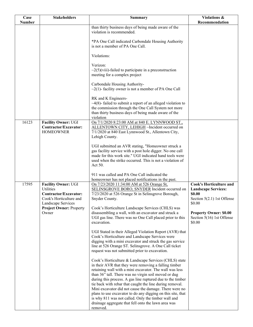| Case          | <b>Stakeholders</b>            | <b>Summary</b>                                                                                                 | Violations &                   |
|---------------|--------------------------------|----------------------------------------------------------------------------------------------------------------|--------------------------------|
| <b>Number</b> |                                |                                                                                                                | Recommendation                 |
|               |                                | than thirty business days of being made aware of the<br>violation is recommended.                              |                                |
|               |                                |                                                                                                                |                                |
|               |                                |                                                                                                                |                                |
|               |                                | *PA One Call indicated Carbondale Housing Authority<br>is not a member of PA One Call.                         |                                |
|               |                                |                                                                                                                |                                |
|               |                                | Violations:                                                                                                    |                                |
|               |                                |                                                                                                                |                                |
|               |                                | Verizon:                                                                                                       |                                |
|               |                                | $\sim$ 2(5)(viii)-failed to participate in a preconstruction                                                   |                                |
|               |                                | meeting for a complex project                                                                                  |                                |
|               |                                |                                                                                                                |                                |
|               |                                | Carbondale Housing Authority-                                                                                  |                                |
|               |                                | $\sim$ 2(1)-facility owner is not a member of PA One Call                                                      |                                |
|               |                                |                                                                                                                |                                |
|               |                                | RK and K Engineers-                                                                                            |                                |
|               |                                | $\sim$ 4(8)-failed to submit a report of an alleged violation to                                               |                                |
|               |                                | the commission through the One Call System not more                                                            |                                |
|               |                                | than thirty business days of being made aware of the                                                           |                                |
|               |                                | violation                                                                                                      |                                |
| 16123         | <b>Facility Owner: UGI</b>     | On 7/1/2020 8:23:00 AM at 840 E. LYNNWOOD ST.,                                                                 |                                |
|               | Contractor/Excavator:          | ALLENTOWN CITY, LEHIGH ~Incident occurred on                                                                   |                                |
|               | <b>HOMEOWNER</b>               | 7/1/2020 at 840 East Lynnwood St., Allentown City,                                                             |                                |
|               |                                | Lehigh County.                                                                                                 |                                |
|               |                                |                                                                                                                |                                |
|               |                                | UGI submitted an AVR stating, "Homeowner struck a<br>gas facility service with a post hole digger. No one call |                                |
|               |                                | made for this work site." UGI indicated hand tools were                                                        |                                |
|               |                                | used when the strike occurred. This is not a violation of                                                      |                                |
|               |                                | Act 50.                                                                                                        |                                |
|               |                                |                                                                                                                |                                |
|               |                                | 911 was called and PA One Call indicated the                                                                   |                                |
|               |                                | homeowner has not placed notifications in the past.                                                            |                                |
| 17595         | <b>Facility Owner: UGI</b>     | On 7/23/2020 11:34:00 AM at 526 Orange St,                                                                     | <b>Cook's Horticulture and</b> |
|               | <b>Utilities</b>               | SELINSGROVE BORO, SNYDER Incident occurred on                                                                  | <b>Landscape Services:</b>     |
|               | Contractor/Excavator:          | 7/23/2020 at 526 Orange St in Selinsgrove Borough,                                                             | \$0.00                         |
|               | Cook's Horticulture and        | Snyder County.                                                                                                 | Section 5(2.1) 1st Offense     |
|               | Landscape Services             |                                                                                                                | \$0.00                         |
|               | <b>Project Owner: Property</b> | Cook's Horticulture Landscape Services (CHLS) was                                                              |                                |
|               | Owner                          | disassembling a wall, with an excavator and struck a                                                           | <b>Property Owner: \$0.00</b>  |
|               |                                | UGI gas line. There was no One Call placed prior to this                                                       | Section 5(16) 1st Offense      |
|               |                                | excavation.                                                                                                    | \$0.00                         |
|               |                                | UGI Stated in their Alleged Violation Report (AVR) that                                                        |                                |
|               |                                | Cook's Horticulture and Landscape Services were                                                                |                                |
|               |                                | digging with a mini excavator and struck the gas service                                                       |                                |
|               |                                | line at 526 Orange ST. Selinsgrove. A One Call ticket                                                          |                                |
|               |                                | request was not submitted prior to excavation.                                                                 |                                |
|               |                                |                                                                                                                |                                |
|               |                                | Cook's Horticulture & Landscape Services (CHLS) state                                                          |                                |
|               |                                | in their AVR that they were removing a falling timber                                                          |                                |
|               |                                | retaining wall with a mini excavator. The wall was less                                                        |                                |
|               |                                | than 36" tall. There was no virgin soil moved or dug                                                           |                                |
|               |                                | during this process. A gas line ruptured due to the timber                                                     |                                |
|               |                                | tie back with rebar that caught the line during removal.                                                       |                                |
|               |                                | Mini excavator did not cause the damage. There were no                                                         |                                |
|               |                                | plans to use excavator to do any digging on this site, that                                                    |                                |
|               |                                | is why 811 was not called. Only the timber wall and                                                            |                                |
|               |                                | drainage aggregate that fell onto the lawn area was                                                            |                                |
|               |                                | removed.                                                                                                       |                                |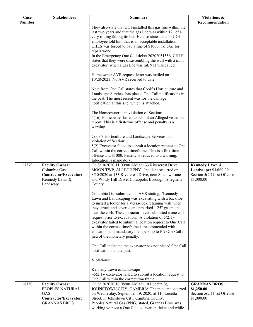| Case          | <b>Stakeholders</b>                                                                                      | <b>Summary</b>                                                                                                                                                                                                                                                                                                                                                                                                                                                                                                                                                                                                                                                                                                                                                                                          | Violations &                                                                          |
|---------------|----------------------------------------------------------------------------------------------------------|---------------------------------------------------------------------------------------------------------------------------------------------------------------------------------------------------------------------------------------------------------------------------------------------------------------------------------------------------------------------------------------------------------------------------------------------------------------------------------------------------------------------------------------------------------------------------------------------------------------------------------------------------------------------------------------------------------------------------------------------------------------------------------------------------------|---------------------------------------------------------------------------------------|
| <b>Number</b> |                                                                                                          |                                                                                                                                                                                                                                                                                                                                                                                                                                                                                                                                                                                                                                                                                                                                                                                                         | Recommendation                                                                        |
|               |                                                                                                          | They also state that UGI installed this gas line within the<br>last two years and that the gas line was within 12" of a<br>very rotting falling timber. He also states that an UGI<br>employee told him that is an acceptable installation.<br>CHLS was forced to pay a fine of \$1000. To UGI for<br>repair work.<br>In the Emergency One Call ticket 20202051556, CHLS<br>states that they were disassembling the wall with a mini<br>excavator, when a gas line was hit. 911 was called.<br>Homeowner AVR request letter was mailed on<br>10/28/2021. No AVR received to date.<br>Note from One Call states that Cook's Horticulture and<br>Landscape Services has placed One Call notifications in<br>the past. The most recent was for the damage<br>notification at this site, which is attached. |                                                                                       |
|               |                                                                                                          | The Homeowner is in violation of Section:<br>5(16) Homeowner failed to submit an Alleged violation<br>report. This is a first-time offense and penalty is a<br>warning.                                                                                                                                                                                                                                                                                                                                                                                                                                                                                                                                                                                                                                 |                                                                                       |
|               |                                                                                                          | Cook's Horticulture and Landscape Services is in<br>violation of Section:<br>5(2) Excavator failed to submit a location request to One<br>Call within the correct timeframe. This is a first-time<br>offense and \$1000. Penalty is reduced to a warning.<br>Education is mandatory.                                                                                                                                                                                                                                                                                                                                                                                                                                                                                                                    |                                                                                       |
| 17379         | <b>Facility Owner:</b><br>Columbia Gas<br>Contractor/Excavator:<br>Kennedy Lawn &<br>Landscape           | On 8/10/2020 11:00:00 AM at 133 Rivercrest Drive,<br>MOON TWP, ALLEGHENY ~Incident occurred on<br>8/10/2020 at 133 Rivercrest Drive, near Shadow Lane<br>and Windy Hill Drive, Coraopolis Borough, Allegheny<br>County.                                                                                                                                                                                                                                                                                                                                                                                                                                                                                                                                                                                 | Kennedy Lawn &<br>Landscape: \$1,000.00<br>Section $5(2.1)$ 1st Offense<br>\$1,000.00 |
|               |                                                                                                          | Columbia Gas submitted an AVR stating, "Kennedy<br>Lawn and Landscaping was excavating with a backhoe<br>to install a footer for a Versa-lock retaining wall when<br>they struck and severed an unmarked 1.25" gas main<br>near the curb. The contractor never submitted a one call<br>request prior to excavation." A violation of $5(2.1)$ -<br>excavator failed to submit a location request to One Call<br>within the correct timeframe is recommended with<br>education and mandatory membership to PA One Call in<br>lieu of the monetary penalty.                                                                                                                                                                                                                                                |                                                                                       |
|               |                                                                                                          | One Call indicated the excavator has not placed One Call<br>notifications in the past.<br>Violations:                                                                                                                                                                                                                                                                                                                                                                                                                                                                                                                                                                                                                                                                                                   |                                                                                       |
|               |                                                                                                          | Kennedy Lawn & Landscape-<br>$\sim$ 5(2.1)- excavator failed to submit a location request to<br>One Call within the correct timeframe.                                                                                                                                                                                                                                                                                                                                                                                                                                                                                                                                                                                                                                                                  |                                                                                       |
| 18150         | <b>Facility Owner:</b><br>PEOPLES NATURAL<br><b>GAS</b><br>Contractor/Excavator:<br><b>GRANNAS BROS.</b> | On 8/19/2020 10:08:00 AM at 110 Lucetta St,<br>JOHNSTOWN CITY, CAMBRIA The incident occurred<br>on Wednesday, September 19, 2020, at 110 Lucetta<br>Street, in Johnstown City, Cambria County.<br>Peoples Natural Gas (PNG) stated, Grannas Bros. was<br>working without a One Call excavation ticket and while                                                                                                                                                                                                                                                                                                                                                                                                                                                                                         | <b>GRANNAS BROS.:</b><br>\$1,250.00<br>Section $5(2.1)$ 1st Offense<br>\$1,000.00     |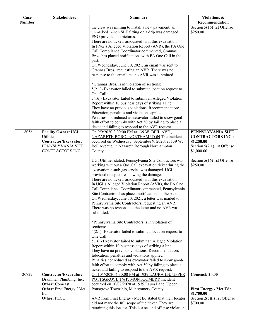| Case          | <b>Stakeholders</b>                                                                                | <b>Summary</b>                                                                                                                                                                                                                                                                                                                                                                                                                                                                                                                                                                                                                                                                                                                                                                                                                                                                       | Violations &                                                                                              |
|---------------|----------------------------------------------------------------------------------------------------|--------------------------------------------------------------------------------------------------------------------------------------------------------------------------------------------------------------------------------------------------------------------------------------------------------------------------------------------------------------------------------------------------------------------------------------------------------------------------------------------------------------------------------------------------------------------------------------------------------------------------------------------------------------------------------------------------------------------------------------------------------------------------------------------------------------------------------------------------------------------------------------|-----------------------------------------------------------------------------------------------------------|
| <b>Number</b> |                                                                                                    |                                                                                                                                                                                                                                                                                                                                                                                                                                                                                                                                                                                                                                                                                                                                                                                                                                                                                      | Recommendation                                                                                            |
|               |                                                                                                    | the crew was milling to install a new pavement, an<br>unmarked 1-inch SLT fitting on a drip was damaged.<br>PNG provided no pictures.<br>There are no tickets associated with this excavation.<br>In PNG's Alleged Violation Report (AVR), the PA One<br>Call Compliance Coordinator commented, Grannas<br>Bros. has placed notifications with PA One Call in the<br>past.<br>On Wednesday, June 30, 2021, an email was sent to<br>Grannas Bros., requesting an AVR. There was no<br>response to the email and no AVR was submitted.<br>*Grannas Bros. is in violation of sections:<br>$5(2.1)$ - Excavator failed to submit a location request to<br>One Call.<br>5(16)- Excavator failed to submit an Alleged Violation<br>Report within 10 business days of striking a line.<br>They have no previous violations. Recommendation:<br>Education, penalties and violations applied. | Section 5(16) 1st Offense<br>\$250.00                                                                     |
|               |                                                                                                    | Penalties not reduced as excavator failed to show good-<br>faith effort to comply with Act 50 by failing to place a<br>ticket and failing to respond to the AVR request.                                                                                                                                                                                                                                                                                                                                                                                                                                                                                                                                                                                                                                                                                                             |                                                                                                           |
| 18056         | Facility Owner: UGI<br>Utilities<br>Contractor/Excavator:<br>PENNSLYVANIA SITE<br>CONTRACTORS INC. | On 9/9/2020 2:00:00 PM at 139 W. BEIL AVE.,<br>NAZARETH BORO, NORTHAMPTON The incident<br>occurred on Wednesday, September 9, 2020, at 139 W.<br>Beil Avenue, in Nazareth Borough Northampton<br>County.                                                                                                                                                                                                                                                                                                                                                                                                                                                                                                                                                                                                                                                                             | PENNSLYVANIA SITE<br><b>CONTRACTORS INC.:</b><br>\$1,250.00<br>Section $5(2.1)$ 1st Offense<br>\$1,000.00 |
|               |                                                                                                    | UGI Utilities stated, Pennsylvania Site Contractors was<br>working without a One Call excavation ticket during the<br>excavation a stub gas service was damaged. UGI<br>provided one picture showing the damage.<br>There are no tickets associated with this excavation.<br>In UGI's Alleged Violation Report (AVR), the PA One<br>Call Compliance Coordinator commented, Pennsylvania<br>Site Contractors has placed notifications in the past.<br>On Wednesday, June 30, 2021, a letter was mailed to<br>Pennsylvania Site Contractors, requesting an AVR.<br>There was no response to the letter and no AVR was<br>submitted.                                                                                                                                                                                                                                                    | Section 5(16) 1st Offense<br>\$250.00                                                                     |
|               |                                                                                                    | *Pennsylvania Site Contractors is in violation of<br>sections:<br>$5(2.1)$ - Excavator failed to submit a location request to<br>One Call.<br>5(16)- Excavator failed to submit an Alleged Violation<br>Report within 10 business days of striking a line.<br>They have no previous violations. Recommendation:<br>Education, penalties and violations applied.<br>Penalties not reduced as excavator failed to show good-<br>faith effort to comply with Act 50 by failing to place a                                                                                                                                                                                                                                                                                                                                                                                               |                                                                                                           |
| 20722         | Contractor/Excavator:                                                                              | ticket and failing to respond to the AVR request.                                                                                                                                                                                                                                                                                                                                                                                                                                                                                                                                                                                                                                                                                                                                                                                                                                    | Comcast: \$0.00                                                                                           |
|               | Drainmen Plumbing, Inc.<br><b>Other: Comcast</b><br><b>Other:</b> First Energy / Met               | On 10/7/2020 4:30:00 PM at 1939 LAURA LN, UPPER<br>POTTSGROVE TWP, MONTGOMERY Incident<br>occurred on 10/07/2020 at 1939 Laura Lane, Upper<br>Pottsgrove Township, Montgomery County.                                                                                                                                                                                                                                                                                                                                                                                                                                                                                                                                                                                                                                                                                                | <b>First Energy / Met Ed:</b>                                                                             |
|               | Ed<br>Other: PECO                                                                                  | AVR from First Energy / Met Ed stated that their locator<br>did not mark the full scope of the ticket. They are<br>retraining this locator. This is a second offense violation                                                                                                                                                                                                                                                                                                                                                                                                                                                                                                                                                                                                                                                                                                       | \$1,700.00<br>Section $2(5)(i)$ 1st Offense<br>\$700.00                                                   |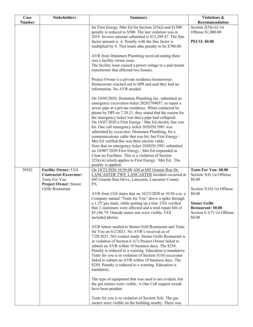| Case<br><b>Number</b> | <b>Stakeholders</b>                                                                                         | <b>Summary</b>                                                                                                                                                                                                                                                                                                                                                                                                                                                                                                                                                                                                                                                                                                                                                                                                            | Violations &                                                                                              |
|-----------------------|-------------------------------------------------------------------------------------------------------------|---------------------------------------------------------------------------------------------------------------------------------------------------------------------------------------------------------------------------------------------------------------------------------------------------------------------------------------------------------------------------------------------------------------------------------------------------------------------------------------------------------------------------------------------------------------------------------------------------------------------------------------------------------------------------------------------------------------------------------------------------------------------------------------------------------------------------|-----------------------------------------------------------------------------------------------------------|
|                       |                                                                                                             | for First Energy /Met Ed for Section $2(5)(i)$ and \$1500<br>penalty is reduced to \$500. The last violation was in                                                                                                                                                                                                                                                                                                                                                                                                                                                                                                                                                                                                                                                                                                       | Recommendation<br>Section $2(5)(\n \n \tilde{\text{v}}\text{ii})$ 1st<br>Offense \$1,000.00               |
|                       |                                                                                                             | 2019. Invoice amount submitted is \$13,289.47. The fine<br>factor amount is .4. Penalty with the fine factor is<br>multiplied by 4. This totals athe penalty to be \$700.00.                                                                                                                                                                                                                                                                                                                                                                                                                                                                                                                                                                                                                                              | <b>PECO: \$0.00</b>                                                                                       |
|                       |                                                                                                             | AVR from Drainmen Plumbing received stating there<br>was a facility owner issue.<br>The facility issue caused a power outage to a pad mount<br>transformer that affected two houses.                                                                                                                                                                                                                                                                                                                                                                                                                                                                                                                                                                                                                                      |                                                                                                           |
|                       |                                                                                                             | Project Owner is a private residence homeowner.<br>Homeowner reached out to DPI and said they had no<br>information. No AVR needed.                                                                                                                                                                                                                                                                                                                                                                                                                                                                                                                                                                                                                                                                                       |                                                                                                           |
|                       |                                                                                                             | On 10/05/2020, Drainmen Plumbing Inc. submitted an<br>emergency excavation ticket 20202794057, to repair a<br>sewer pipe at a private residence. When contacted by<br>phone by DPI on 7.20.21, they stated that the reason for<br>the emergency ticket was that a pipe had collapsed.<br>On 10/07/2020 a First Energy / Met Ed electric line was<br>hit. One call emergency ticket 20202813981 was<br>submitted by excavator, Drainmen Plumbing, for a<br>communications cable that was hit, but First Energy /<br>Met Ed verified this was their electric cable.<br>Note that on emergency ticket 20202813981 submitted<br>on 10/007/2020 First Energy / Met Ed responded as<br>Clear no Facilities. This is a violation of Section<br>$2(5)$ (vii) which applies to First Energy / Met Ed. . The<br>penalty is applied. |                                                                                                           |
| 20542                 | Facility Owner: UGI<br>Contractor/Excavator:<br>Tents For You<br>Project Owner: Stoner<br>Grille Restaurant | On 10/23/2020 10:56:00 AM at 605 Granite Run Dr,<br>LANCASTER TWP, LANCASTER Incident occurred at<br>605 Granite Run Drive, Lancaster, Lancaster County<br>PA.<br>AVR from UGI states that on 10/23/2020 at 10:56 a.m. a                                                                                                                                                                                                                                                                                                                                                                                                                                                                                                                                                                                                  | <b>Tents For You: \$0.00</b><br>Section 5(4) 1st Offense<br>\$0.00<br>Section 5(16) 1st Offense<br>\$0.00 |
|                       |                                                                                                             | Company named "Tents for You" drove a spike through<br>a 1.25" gas main, while putting up a tent. UGI verified<br>that 2 customers were affected and a total repair bill of<br>\$5,186.79. Outside meter sets were visible. UGI<br>included photos.                                                                                                                                                                                                                                                                                                                                                                                                                                                                                                                                                                       | <b>Stoner Grille</b><br><b>Restaurant: \$0.00</b><br>Section $6.1(7)$ 1st Offense<br>\$0.00               |
|                       |                                                                                                             | AVR letters mailed to Stoner Grill Restaurant and Tents<br>for You on 6/2/2021. No AVR's received as of<br>7/28/2021. NO contact made. Stoner Grille Restaurant is<br>in violation of Section $6.1(7)$ Project Owner failed to<br>submit an AVR within 10 business days. The \$250.<br>Penalty is reduced to a warning. Education is mandatory.<br>Tents for you is in violation of Section $5(16)$ excavator<br>failed to submit an AVR within 10 business days. The<br>\$250. Penalty is reduced to a warning. Education is<br>mandatory.                                                                                                                                                                                                                                                                               |                                                                                                           |
|                       |                                                                                                             | The type of equipment that was used is not evident, but<br>the gas meters were visible. A One Call request would<br>have been prudent.                                                                                                                                                                                                                                                                                                                                                                                                                                                                                                                                                                                                                                                                                    |                                                                                                           |
|                       |                                                                                                             | Tents for you is in violation of Section $5(4)$ . The gas<br>meters were visible on the building nearby. There was                                                                                                                                                                                                                                                                                                                                                                                                                                                                                                                                                                                                                                                                                                        |                                                                                                           |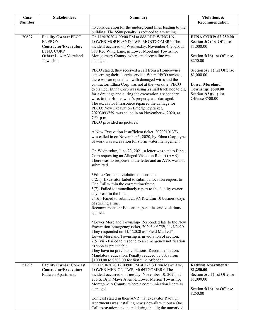| Case          | <b>Stakeholders</b>                                     | <b>Summary</b>                                                                                                                                                     | Violations &                                                                                                |
|---------------|---------------------------------------------------------|--------------------------------------------------------------------------------------------------------------------------------------------------------------------|-------------------------------------------------------------------------------------------------------------|
| <b>Number</b> |                                                         |                                                                                                                                                                    | Recommendation                                                                                              |
|               |                                                         | no consideration for the underground lines leading to the<br>building. The \$500 penalty is reduced to a warning.                                                  |                                                                                                             |
| 20627         | <b>Facility Owner: PECO</b>                             | On 11/4/2020 4:00:00 PM at 888 RED WING LN,                                                                                                                        | <b>ETNA CORP: \$2,250.00</b>                                                                                |
|               | <b>ENERGY</b>                                           | LOWER MORELAND TWP, MONTGOMERY The                                                                                                                                 | Section 5(7) 1st Offense                                                                                    |
|               | Contractor/Excavator:                                   | incident occurred on Wednesday, November 4, 2020, at                                                                                                               | \$1,000.00                                                                                                  |
|               | <b>ETNA CORP</b>                                        | 888 Red Wing Lane, in Lower Moreland Township,                                                                                                                     |                                                                                                             |
|               | <b>Other:</b> Lower Moreland                            | Montgomery County, where an electric line was                                                                                                                      | Section 5(16) 1st Offense                                                                                   |
|               | Township                                                | damaged.                                                                                                                                                           | \$250.00                                                                                                    |
|               |                                                         | PECO stated, they received a call from a Homeowner<br>concerning their electric service. When PECO arrived,<br>there was an open ditch with damaged wires and the  | Section $5(2.1)$ 1st Offense<br>\$1,000.00                                                                  |
|               |                                                         | contractor, Ethna Corp was not at the worksite. PECO                                                                                                               | <b>Lower Moreland</b>                                                                                       |
|               |                                                         | explained, Ethna Corp was using a small track hoe to dig<br>for a drainage and during the excavation a secondary<br>wire, to the Homeowner's property was damaged. | <b>Township: \$500.00</b><br>Section $2(5)(\n \n \tilde{\text{v}}\tilde{\text{u}})$ 1st<br>Offense \$500.00 |
|               |                                                         | The excavator Infrasource repaired the damage for<br>PECO; New Excavation Emergency ticket,                                                                        |                                                                                                             |
|               |                                                         | 20203093759, was called in on November 4, 2020, at<br>7:54 p.m.                                                                                                    |                                                                                                             |
|               |                                                         | PECO provided no pictures.                                                                                                                                         |                                                                                                             |
|               |                                                         | A New Excavation Insufficient ticket, 20203101373,                                                                                                                 |                                                                                                             |
|               |                                                         | was called in on November 5, 2020, by Ethna Corp; type<br>of work was excavation for storm water management.                                                       |                                                                                                             |
|               |                                                         | On Wednesday, June 23, 2021, a letter was sent to Ethna                                                                                                            |                                                                                                             |
|               |                                                         | Corp requesting an Alleged Violation Report (AVR).                                                                                                                 |                                                                                                             |
|               |                                                         | There was no response to the letter and an AVR was not                                                                                                             |                                                                                                             |
|               |                                                         | submitted.                                                                                                                                                         |                                                                                                             |
|               |                                                         | *Ethna Corp is in violation of sections:                                                                                                                           |                                                                                                             |
|               |                                                         | $5(2.1)$ - Excavator failed to submit a location request to                                                                                                        |                                                                                                             |
|               |                                                         | One Call within the correct timeframe.                                                                                                                             |                                                                                                             |
|               |                                                         | 5(7)- Failed to immediately report to the facility owner                                                                                                           |                                                                                                             |
|               |                                                         | any break in the line.<br>5(16)- Failed to submit an AVR within 10 business days                                                                                   |                                                                                                             |
|               |                                                         | of striking a line.                                                                                                                                                |                                                                                                             |
|               |                                                         | Recommendation: Education, penalties and violations                                                                                                                |                                                                                                             |
|               |                                                         | applied.                                                                                                                                                           |                                                                                                             |
|               |                                                         | *Lower Moreland Township-Responded late to the New<br>Excavation Emergency ticket, 20203093759, 11/4/2020.                                                         |                                                                                                             |
|               |                                                         | They responded on 11/5/2020 as "Field Marked".<br>Lower Moreland Township is in violation of section:                                                              |                                                                                                             |
|               |                                                         | $2(5)$ (vii)- Failed to respond to an emergency notification<br>as soon as practicable.                                                                            |                                                                                                             |
|               |                                                         | They have no previous violations. Recommendation:                                                                                                                  |                                                                                                             |
|               |                                                         | Mandatory education. Penalty reduced by 50% from<br>\$1000.00 to \$500.00 for first time offender.                                                                 |                                                                                                             |
| 21295         | <b>Facility Owner: Comcast</b><br>Contractor/Excavator: | On 11/10/2020 12:00:00 PM at 275 S Bryn Mawr Ave,<br>LOWER MERION TWP, MONTGOMERY The                                                                              | <b>Radwyn Apartments:</b><br>\$1,250.00                                                                     |
|               | Radwyn Apartments                                       | incident occurred on Tuesday, November 10, 2020, at                                                                                                                | Section 5(2.1) 1st Offense                                                                                  |
|               |                                                         | 275 S. Bryn Mawr Avenue, Lower Merion Township,                                                                                                                    | \$1,000.00                                                                                                  |
|               |                                                         | Montgomery County, where a communication line was<br>damaged.                                                                                                      | Section 5(16) 1st Offense                                                                                   |
|               |                                                         |                                                                                                                                                                    | \$250.00                                                                                                    |
|               |                                                         | Comcast stated in their AVR that excavator Radwyn                                                                                                                  |                                                                                                             |
|               |                                                         | Apartments was installing new sidewalk without a One<br>Call excavation ticket, and during the dig the unmarked                                                    |                                                                                                             |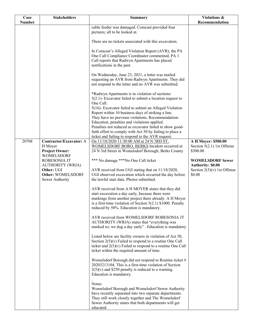| Case          | <b>Stakeholders</b>                        | <b>Summary</b>                                                                                               | Violations &                  |
|---------------|--------------------------------------------|--------------------------------------------------------------------------------------------------------------|-------------------------------|
| <b>Number</b> |                                            |                                                                                                              | Recommendation                |
|               |                                            | cable feeder was damaged. Comcast provided four                                                              |                               |
|               |                                            | pictures; all to be looked at.                                                                               |                               |
|               |                                            | There are no tickets associated with this excavation.                                                        |                               |
|               |                                            | In Comcast's Alleged Violation Report (AVR), the PA                                                          |                               |
|               |                                            | One Call Compliance Coordinator commented, PA 1<br>Call reports that Radwyn Apartments has placed            |                               |
|               |                                            | notifications in the past.                                                                                   |                               |
|               |                                            | On Wednesday, June 23, 2021, a letter was mailed                                                             |                               |
|               |                                            | requesting an AVR from Radwyn Apartments. They did                                                           |                               |
|               |                                            | not respond to the letter and no AVR was submitted.                                                          |                               |
|               |                                            | *Radwyn Apartments is in violation of sections:                                                              |                               |
|               |                                            | $5(2.1)$ - Excavator failed to submit a location request to                                                  |                               |
|               |                                            | One Call.                                                                                                    |                               |
|               |                                            | 5(16)- Excavator failed to submit an Alleged Violation<br>Report within 10 business days of striking a line. |                               |
|               |                                            | They have no previous violations. Recommendation:                                                            |                               |
|               |                                            | Education, penalties and violations applied.                                                                 |                               |
|               |                                            | Penalties not reduced as excavator failed to show good-                                                      |                               |
|               |                                            | faith effort to comply with Act 50 by failing to place a                                                     |                               |
|               |                                            | ticket and failing to respond to the AVR request.                                                            |                               |
| 20708         | <b>Contractor/Excavator: A</b>             | On 11/18/2020 11:30:00 AM at 24 N 3RD ST,                                                                    | A H Moyer: \$500.00           |
|               | H Moyer                                    | WOMELSDORF BORO, BERKS Incident occurred at                                                                  | Section $5(2.1)$ 1st Offense  |
|               | <b>Project Owner:</b><br><b>WOMELSDORF</b> | 24 N 3rd Street in Womelsdorf Borough, Berks County                                                          | \$500.00                      |
|               | ROBESONIA JT                               | *** No damage *** No One Call ticket                                                                         | <b>WOMELSDORF Sewer</b>       |
|               | <b>AUTHORITY (WRJA)</b>                    |                                                                                                              | <b>Authority: \$0.00</b>      |
|               | Other: UGI                                 | AVR received from UGI stating that on 11/18/2020,                                                            | Section $2(5)(v)$ 1st Offense |
|               | Other: WOMELSDORF                          | UGI observed excavation which occurred the day before                                                        | \$0.00                        |
|               | Sewer Authority                            | the lawful start date. Photos submitted.                                                                     |                               |
|               |                                            | AVR received from A H MOYER states that they did                                                             |                               |
|               |                                            | start excavation a day early, because there were                                                             |                               |
|               |                                            | markings from another project there already. A H Moyer                                                       |                               |
|               |                                            | is a first-time violation of Section $5(2.1)$ \$1000. Penalty<br>reduced by 50%. Education is mandatory.     |                               |
|               |                                            |                                                                                                              |                               |
|               |                                            | AVR received from WOMELSDORF ROBESONIA JT                                                                    |                               |
|               |                                            | AUTHORITY (WRJA) states that "everything was                                                                 |                               |
|               |                                            | marked so; we dug a day early". Education is mandatory                                                       |                               |
|               |                                            | Listed below are facility owners in violation of Act 50,                                                     |                               |
|               |                                            | Section $2(5)(v)$ Failed to respond to a routine One Call                                                    |                               |
|               |                                            | ticket and $2(5)(v)$ Failed to respond to a routine One Call                                                 |                               |
|               |                                            | ticket within the required amount of time.                                                                   |                               |
|               |                                            | Womelsdorf Borough did not respond to Routine ticket #                                                       |                               |
|               |                                            | 20203213104. This is a first-time violation of Section                                                       |                               |
|               |                                            | $2(5)(v)$ and \$250 penalty is reduced to a warning.                                                         |                               |
|               |                                            | Education is mandatory.                                                                                      |                               |
|               |                                            |                                                                                                              |                               |
|               |                                            | Notes:                                                                                                       |                               |
|               |                                            | Womelsdorf Borough and Womelsdorf Sewer Authority<br>have recently separated into two separate departments.  |                               |
|               |                                            | They still work closely together and The Womelsdorf                                                          |                               |
|               |                                            | Sewer Authority states that both departments will get                                                        |                               |
|               |                                            | educated.                                                                                                    |                               |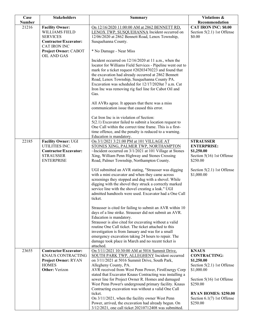| Case          | <b>Stakeholders</b>                                                                                                                                | <b>Summary</b>                                                                                                                                                                                                                                                                                                                                                                                                                                                                                                                                                                                                                                                                                                                                                                                                                                                                                                                                                                                                                                          | Violations &                                                                                                                                                                                                      |
|---------------|----------------------------------------------------------------------------------------------------------------------------------------------------|---------------------------------------------------------------------------------------------------------------------------------------------------------------------------------------------------------------------------------------------------------------------------------------------------------------------------------------------------------------------------------------------------------------------------------------------------------------------------------------------------------------------------------------------------------------------------------------------------------------------------------------------------------------------------------------------------------------------------------------------------------------------------------------------------------------------------------------------------------------------------------------------------------------------------------------------------------------------------------------------------------------------------------------------------------|-------------------------------------------------------------------------------------------------------------------------------------------------------------------------------------------------------------------|
| <b>Number</b> |                                                                                                                                                    |                                                                                                                                                                                                                                                                                                                                                                                                                                                                                                                                                                                                                                                                                                                                                                                                                                                                                                                                                                                                                                                         | Recommendation                                                                                                                                                                                                    |
| 21216         | <b>Facility Owner:</b><br>WILLIAMS FIELD<br><b>SERVICES</b><br>Contractor/Excavator:<br><b>CAT IRON INC</b><br>Project Owner: CABOT<br>OIL AND GAS | On 12/16/2020 11:00:00 AM at 2862 BENNETT RD,<br>LENOX TWP, SUSQUEHANNA Incident occurred on<br>12/06/2020 at 2862 Bennett Road, Lenox Township,<br>Susquehanna County.<br>* No Damage - Near Miss<br>Incident occurred on 12/16/2020 at 11 a.m., when the<br>locator for Williams Field Services - Pipeline went out to<br>mark for a ticket request #20203470223 and found that<br>the excavation had already occurred at 2862 Bennett<br>Road, Lenox Township, Susquehanna County PA.                                                                                                                                                                                                                                                                                                                                                                                                                                                                                                                                                                | <b>CAT IRON INC: \$0.00</b><br>Section $5(2.1)$ 1st Offense<br>\$0.00                                                                                                                                             |
|               |                                                                                                                                                    | Excavation was scheduled for 12/17/2020at 7 a.m. Cat<br>Iron Inc was removing rig fuel line for Cabot Oil and<br>Gas.<br>All AVRs agree. It appears that there was a miss<br>communication issue that caused this error.<br>Cat Iron Inc is in violation of Section:<br>$5(2.1)$ Excavator failed to submit a location request to<br>One Call within the correct time frame. This is a first-<br>time offence, and the penalty is reduced to a warning.<br>Education is mandatory.                                                                                                                                                                                                                                                                                                                                                                                                                                                                                                                                                                      |                                                                                                                                                                                                                   |
| 22185         | <b>Facility Owner: UGI</b><br>UTILITIES INC.<br>Contractor/Excavator:<br><b>STRAUSSER</b><br><b>ENTERPRISE</b>                                     | On 3/1/2021 3:21:00 PM at 101 VILLAGE AT<br>STONES XING, PALMER TWP, NORTHAMPTON<br>~Incident occurred on 3/1/2021 at 101 Village at Stones<br>Xing, William Penn Highway and Stones Crossing<br>Road, Palmer Township, Northampton County.<br>UGI submitted an AVR stating, "Strausser was digging<br>with a mini excavator and when they came across<br>screenings they stopped and dug with a shovel. While<br>digging with the shovel they struck a correctly marked<br>service line with the shovel creating a leak." UGI<br>admitted handtools were used. Excavator had a One Call<br>ticket.<br>Strausser is cited for failing to submit an AVR within 10<br>days of a line strike. Strausser did not submit an AVR.<br>Education is mandatory.<br>Strausser is also cited for excavating without a valid<br>routine One Call ticket. The ticket attached to this<br>investigation is from January and was for a small<br>emergency excavation taking 24 hours to repair. The<br>damage took place in March and no recent ticket is<br>attached. | <b>STRAUSSER</b><br><b>ENTERPRISE:</b><br>\$1,250.00<br>Section 5(16) 1st Offense<br>\$250.00<br>Section $5(2.1)$ 1st Offense<br>\$1,000.00                                                                       |
| 23655         | <b>Contractor/Excavator:</b><br><b>KNAUS CONTRACTING</b><br><b>Project Owner: RYAN</b><br><b>HOMES</b><br><b>Other:</b> Verizon                    | On 3/11/2021 10:30:00 AM at 5016 Summit Drive,<br>SOUTH PARK TWP, ALLEGHENY Incident occurred<br>on 3/11/2021 at 5016 Summit Drive, South Park,<br>Allegheny County, PA.<br>AVR received from West Penn Power, FirstEnergy Corp<br>stated that Excavator Knaus Contracting was installing a<br>sewer line for Project Owner R. Homes and damaged<br>West Penn Power's underground primary facility. Knaus<br>Contracting excavation was without a valid One Call<br>ticket.<br>On 3/11/2021, when the facility owner West Penn<br>Power, arrived, the excavation had already begun. On<br>3/12/2021, one call ticket 20210712408 was submitted.                                                                                                                                                                                                                                                                                                                                                                                                         | <b>KNAUS</b><br><b>CONTRACTING:</b><br>\$1,250.00<br>Section 5(2.1) 1st Offense<br>\$1,000.00<br>Section 5(16) 1st Offense<br>\$250.00<br><b>RYAN HOMES: \$250.00</b><br>Section $6.1(7)$ 1st Offense<br>\$250.00 |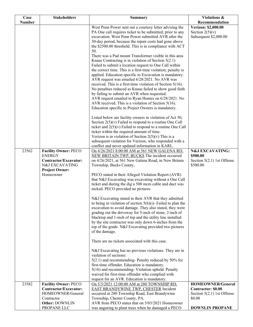| West Penn Power sent out a courtesy letter advising the<br><b>Verizon: \$2,000.00</b><br>PA One call requires ticket to be submitted, prior to any<br>Section $2(5)(v)$<br>excavation. West Penn Power submitted AVR after the<br>Subsequent \$2,000.00<br>30-day period, because the repair costs had gone above<br>the \$2500.00 threshold. This is in compliance with ACT<br>50.<br>There was a Pad mount Transformer visible in this area<br>Knaus Contracting is in violation of Section $5(2.1)$<br>Failed to submit a location request to One Call within<br>the correct time. This is a first-time violation; penalty is<br>applied. Education specific to Excavation is mandatory.<br>AVR request was emailed 6/28/2021. No AVR was<br>received. This is a first-time violation of Section $5(16)$ .<br>No penalties reduced as Knaus failed to show good faith<br>by failing to submit an AVR when requested.<br>AVR request emailed to Ryan Homes on 6/28/2021. No<br>AVR received. This is a violation of Section 5(16).<br>Education specific to Project Owners is mandatory.<br>Listed below are facility owners in violation of Act 50,<br>Section $2(5)(v)$ Failed to respond to a routine One Call<br>ticket and $2(5)(v)$ Failed to respond to a routine One Call<br>ticket within the required amount of time.<br>Verizon is in violation of Section $2(5)(v)$ This is a<br>subsequent violation for Verizon, who responded with a<br>conflict and never updated information in KARL.<br>23562<br><b>Facility Owner: PECO</b><br><b>N&amp;J EXCAVATING:</b><br>On 4/26/2021 8:00:00 AM at 561 NEW GALENA RD,<br><b>ENERGY</b><br>NEW BRITAIN TWP, BUCKS The incident occurred<br>\$500.00<br>on 4/26/2021, at 561 New Galena Road, in New Britain<br>Contractor/Excavator:<br>Section $5(2.1)$ 1st Offense<br>N&J EXCAVATING<br>Township, Bucks County,<br>\$500.00<br><b>Project Owner:</b><br>Homeowner<br>PECO stated in their Alleged Violation Report (AVR)<br>that N&J Excavating was excavating without a One Call<br>ticket and during the dig a 500 mcm cable and duct was<br>nicked. PECO provided no pictures.<br>N&J Excavating stated in their AVR that they admitted<br>to being in violation of section $5(6)(i)$ - Failed to plan the<br>excavation to avoid damage. They also stated, they were<br>grading out the driveway for 5-inch of stone, 2-inch of<br>blacktop and 1-inch of top and the utility line installed<br>by the site contractor was only down 6-inches from the<br>top of the grade. N&J Excavating provided two pictures<br>of the damage.<br>There are no tickets associated with this case.<br>N&J Excavating has no previous violations. They are in<br>violation of sections:<br>5(2.1) and recommending- Penalty reduced by 50% for<br>first-time offender. Education is mandatory. | Case          | <b>Stakeholders</b> | <b>Summary</b>                                   | <b>Violations &amp;</b> |
|-------------------------------------------------------------------------------------------------------------------------------------------------------------------------------------------------------------------------------------------------------------------------------------------------------------------------------------------------------------------------------------------------------------------------------------------------------------------------------------------------------------------------------------------------------------------------------------------------------------------------------------------------------------------------------------------------------------------------------------------------------------------------------------------------------------------------------------------------------------------------------------------------------------------------------------------------------------------------------------------------------------------------------------------------------------------------------------------------------------------------------------------------------------------------------------------------------------------------------------------------------------------------------------------------------------------------------------------------------------------------------------------------------------------------------------------------------------------------------------------------------------------------------------------------------------------------------------------------------------------------------------------------------------------------------------------------------------------------------------------------------------------------------------------------------------------------------------------------------------------------------------------------------------------------------------------------------------------------------------------------------------------------------------------------------------------------------------------------------------------------------------------------------------------------------------------------------------------------------------------------------------------------------------------------------------------------------------------------------------------------------------------------------------------------------------------------------------------------------------------------------------------------------------------------------------------------------------------------------------------------------------------------------------------------------------------------------------------------------------------------------------------------------------------------------------------------------------------------|---------------|---------------------|--------------------------------------------------|-------------------------|
|                                                                                                                                                                                                                                                                                                                                                                                                                                                                                                                                                                                                                                                                                                                                                                                                                                                                                                                                                                                                                                                                                                                                                                                                                                                                                                                                                                                                                                                                                                                                                                                                                                                                                                                                                                                                                                                                                                                                                                                                                                                                                                                                                                                                                                                                                                                                                                                                                                                                                                                                                                                                                                                                                                                                                                                                                                                 | <b>Number</b> |                     |                                                  | Recommendation          |
|                                                                                                                                                                                                                                                                                                                                                                                                                                                                                                                                                                                                                                                                                                                                                                                                                                                                                                                                                                                                                                                                                                                                                                                                                                                                                                                                                                                                                                                                                                                                                                                                                                                                                                                                                                                                                                                                                                                                                                                                                                                                                                                                                                                                                                                                                                                                                                                                                                                                                                                                                                                                                                                                                                                                                                                                                                                 |               |                     |                                                  |                         |
|                                                                                                                                                                                                                                                                                                                                                                                                                                                                                                                                                                                                                                                                                                                                                                                                                                                                                                                                                                                                                                                                                                                                                                                                                                                                                                                                                                                                                                                                                                                                                                                                                                                                                                                                                                                                                                                                                                                                                                                                                                                                                                                                                                                                                                                                                                                                                                                                                                                                                                                                                                                                                                                                                                                                                                                                                                                 |               |                     |                                                  |                         |
|                                                                                                                                                                                                                                                                                                                                                                                                                                                                                                                                                                                                                                                                                                                                                                                                                                                                                                                                                                                                                                                                                                                                                                                                                                                                                                                                                                                                                                                                                                                                                                                                                                                                                                                                                                                                                                                                                                                                                                                                                                                                                                                                                                                                                                                                                                                                                                                                                                                                                                                                                                                                                                                                                                                                                                                                                                                 |               |                     |                                                  |                         |
|                                                                                                                                                                                                                                                                                                                                                                                                                                                                                                                                                                                                                                                                                                                                                                                                                                                                                                                                                                                                                                                                                                                                                                                                                                                                                                                                                                                                                                                                                                                                                                                                                                                                                                                                                                                                                                                                                                                                                                                                                                                                                                                                                                                                                                                                                                                                                                                                                                                                                                                                                                                                                                                                                                                                                                                                                                                 |               |                     |                                                  |                         |
|                                                                                                                                                                                                                                                                                                                                                                                                                                                                                                                                                                                                                                                                                                                                                                                                                                                                                                                                                                                                                                                                                                                                                                                                                                                                                                                                                                                                                                                                                                                                                                                                                                                                                                                                                                                                                                                                                                                                                                                                                                                                                                                                                                                                                                                                                                                                                                                                                                                                                                                                                                                                                                                                                                                                                                                                                                                 |               |                     |                                                  |                         |
|                                                                                                                                                                                                                                                                                                                                                                                                                                                                                                                                                                                                                                                                                                                                                                                                                                                                                                                                                                                                                                                                                                                                                                                                                                                                                                                                                                                                                                                                                                                                                                                                                                                                                                                                                                                                                                                                                                                                                                                                                                                                                                                                                                                                                                                                                                                                                                                                                                                                                                                                                                                                                                                                                                                                                                                                                                                 |               |                     |                                                  |                         |
|                                                                                                                                                                                                                                                                                                                                                                                                                                                                                                                                                                                                                                                                                                                                                                                                                                                                                                                                                                                                                                                                                                                                                                                                                                                                                                                                                                                                                                                                                                                                                                                                                                                                                                                                                                                                                                                                                                                                                                                                                                                                                                                                                                                                                                                                                                                                                                                                                                                                                                                                                                                                                                                                                                                                                                                                                                                 |               |                     |                                                  |                         |
|                                                                                                                                                                                                                                                                                                                                                                                                                                                                                                                                                                                                                                                                                                                                                                                                                                                                                                                                                                                                                                                                                                                                                                                                                                                                                                                                                                                                                                                                                                                                                                                                                                                                                                                                                                                                                                                                                                                                                                                                                                                                                                                                                                                                                                                                                                                                                                                                                                                                                                                                                                                                                                                                                                                                                                                                                                                 |               |                     |                                                  |                         |
|                                                                                                                                                                                                                                                                                                                                                                                                                                                                                                                                                                                                                                                                                                                                                                                                                                                                                                                                                                                                                                                                                                                                                                                                                                                                                                                                                                                                                                                                                                                                                                                                                                                                                                                                                                                                                                                                                                                                                                                                                                                                                                                                                                                                                                                                                                                                                                                                                                                                                                                                                                                                                                                                                                                                                                                                                                                 |               |                     |                                                  |                         |
|                                                                                                                                                                                                                                                                                                                                                                                                                                                                                                                                                                                                                                                                                                                                                                                                                                                                                                                                                                                                                                                                                                                                                                                                                                                                                                                                                                                                                                                                                                                                                                                                                                                                                                                                                                                                                                                                                                                                                                                                                                                                                                                                                                                                                                                                                                                                                                                                                                                                                                                                                                                                                                                                                                                                                                                                                                                 |               |                     |                                                  |                         |
|                                                                                                                                                                                                                                                                                                                                                                                                                                                                                                                                                                                                                                                                                                                                                                                                                                                                                                                                                                                                                                                                                                                                                                                                                                                                                                                                                                                                                                                                                                                                                                                                                                                                                                                                                                                                                                                                                                                                                                                                                                                                                                                                                                                                                                                                                                                                                                                                                                                                                                                                                                                                                                                                                                                                                                                                                                                 |               |                     |                                                  |                         |
|                                                                                                                                                                                                                                                                                                                                                                                                                                                                                                                                                                                                                                                                                                                                                                                                                                                                                                                                                                                                                                                                                                                                                                                                                                                                                                                                                                                                                                                                                                                                                                                                                                                                                                                                                                                                                                                                                                                                                                                                                                                                                                                                                                                                                                                                                                                                                                                                                                                                                                                                                                                                                                                                                                                                                                                                                                                 |               |                     |                                                  |                         |
|                                                                                                                                                                                                                                                                                                                                                                                                                                                                                                                                                                                                                                                                                                                                                                                                                                                                                                                                                                                                                                                                                                                                                                                                                                                                                                                                                                                                                                                                                                                                                                                                                                                                                                                                                                                                                                                                                                                                                                                                                                                                                                                                                                                                                                                                                                                                                                                                                                                                                                                                                                                                                                                                                                                                                                                                                                                 |               |                     |                                                  |                         |
|                                                                                                                                                                                                                                                                                                                                                                                                                                                                                                                                                                                                                                                                                                                                                                                                                                                                                                                                                                                                                                                                                                                                                                                                                                                                                                                                                                                                                                                                                                                                                                                                                                                                                                                                                                                                                                                                                                                                                                                                                                                                                                                                                                                                                                                                                                                                                                                                                                                                                                                                                                                                                                                                                                                                                                                                                                                 |               |                     |                                                  |                         |
|                                                                                                                                                                                                                                                                                                                                                                                                                                                                                                                                                                                                                                                                                                                                                                                                                                                                                                                                                                                                                                                                                                                                                                                                                                                                                                                                                                                                                                                                                                                                                                                                                                                                                                                                                                                                                                                                                                                                                                                                                                                                                                                                                                                                                                                                                                                                                                                                                                                                                                                                                                                                                                                                                                                                                                                                                                                 |               |                     |                                                  |                         |
|                                                                                                                                                                                                                                                                                                                                                                                                                                                                                                                                                                                                                                                                                                                                                                                                                                                                                                                                                                                                                                                                                                                                                                                                                                                                                                                                                                                                                                                                                                                                                                                                                                                                                                                                                                                                                                                                                                                                                                                                                                                                                                                                                                                                                                                                                                                                                                                                                                                                                                                                                                                                                                                                                                                                                                                                                                                 |               |                     |                                                  |                         |
|                                                                                                                                                                                                                                                                                                                                                                                                                                                                                                                                                                                                                                                                                                                                                                                                                                                                                                                                                                                                                                                                                                                                                                                                                                                                                                                                                                                                                                                                                                                                                                                                                                                                                                                                                                                                                                                                                                                                                                                                                                                                                                                                                                                                                                                                                                                                                                                                                                                                                                                                                                                                                                                                                                                                                                                                                                                 |               |                     |                                                  |                         |
|                                                                                                                                                                                                                                                                                                                                                                                                                                                                                                                                                                                                                                                                                                                                                                                                                                                                                                                                                                                                                                                                                                                                                                                                                                                                                                                                                                                                                                                                                                                                                                                                                                                                                                                                                                                                                                                                                                                                                                                                                                                                                                                                                                                                                                                                                                                                                                                                                                                                                                                                                                                                                                                                                                                                                                                                                                                 |               |                     |                                                  |                         |
|                                                                                                                                                                                                                                                                                                                                                                                                                                                                                                                                                                                                                                                                                                                                                                                                                                                                                                                                                                                                                                                                                                                                                                                                                                                                                                                                                                                                                                                                                                                                                                                                                                                                                                                                                                                                                                                                                                                                                                                                                                                                                                                                                                                                                                                                                                                                                                                                                                                                                                                                                                                                                                                                                                                                                                                                                                                 |               |                     |                                                  |                         |
|                                                                                                                                                                                                                                                                                                                                                                                                                                                                                                                                                                                                                                                                                                                                                                                                                                                                                                                                                                                                                                                                                                                                                                                                                                                                                                                                                                                                                                                                                                                                                                                                                                                                                                                                                                                                                                                                                                                                                                                                                                                                                                                                                                                                                                                                                                                                                                                                                                                                                                                                                                                                                                                                                                                                                                                                                                                 |               |                     |                                                  |                         |
|                                                                                                                                                                                                                                                                                                                                                                                                                                                                                                                                                                                                                                                                                                                                                                                                                                                                                                                                                                                                                                                                                                                                                                                                                                                                                                                                                                                                                                                                                                                                                                                                                                                                                                                                                                                                                                                                                                                                                                                                                                                                                                                                                                                                                                                                                                                                                                                                                                                                                                                                                                                                                                                                                                                                                                                                                                                 |               |                     |                                                  |                         |
|                                                                                                                                                                                                                                                                                                                                                                                                                                                                                                                                                                                                                                                                                                                                                                                                                                                                                                                                                                                                                                                                                                                                                                                                                                                                                                                                                                                                                                                                                                                                                                                                                                                                                                                                                                                                                                                                                                                                                                                                                                                                                                                                                                                                                                                                                                                                                                                                                                                                                                                                                                                                                                                                                                                                                                                                                                                 |               |                     |                                                  |                         |
|                                                                                                                                                                                                                                                                                                                                                                                                                                                                                                                                                                                                                                                                                                                                                                                                                                                                                                                                                                                                                                                                                                                                                                                                                                                                                                                                                                                                                                                                                                                                                                                                                                                                                                                                                                                                                                                                                                                                                                                                                                                                                                                                                                                                                                                                                                                                                                                                                                                                                                                                                                                                                                                                                                                                                                                                                                                 |               |                     |                                                  |                         |
|                                                                                                                                                                                                                                                                                                                                                                                                                                                                                                                                                                                                                                                                                                                                                                                                                                                                                                                                                                                                                                                                                                                                                                                                                                                                                                                                                                                                                                                                                                                                                                                                                                                                                                                                                                                                                                                                                                                                                                                                                                                                                                                                                                                                                                                                                                                                                                                                                                                                                                                                                                                                                                                                                                                                                                                                                                                 |               |                     |                                                  |                         |
|                                                                                                                                                                                                                                                                                                                                                                                                                                                                                                                                                                                                                                                                                                                                                                                                                                                                                                                                                                                                                                                                                                                                                                                                                                                                                                                                                                                                                                                                                                                                                                                                                                                                                                                                                                                                                                                                                                                                                                                                                                                                                                                                                                                                                                                                                                                                                                                                                                                                                                                                                                                                                                                                                                                                                                                                                                                 |               |                     |                                                  |                         |
|                                                                                                                                                                                                                                                                                                                                                                                                                                                                                                                                                                                                                                                                                                                                                                                                                                                                                                                                                                                                                                                                                                                                                                                                                                                                                                                                                                                                                                                                                                                                                                                                                                                                                                                                                                                                                                                                                                                                                                                                                                                                                                                                                                                                                                                                                                                                                                                                                                                                                                                                                                                                                                                                                                                                                                                                                                                 |               |                     |                                                  |                         |
|                                                                                                                                                                                                                                                                                                                                                                                                                                                                                                                                                                                                                                                                                                                                                                                                                                                                                                                                                                                                                                                                                                                                                                                                                                                                                                                                                                                                                                                                                                                                                                                                                                                                                                                                                                                                                                                                                                                                                                                                                                                                                                                                                                                                                                                                                                                                                                                                                                                                                                                                                                                                                                                                                                                                                                                                                                                 |               |                     |                                                  |                         |
|                                                                                                                                                                                                                                                                                                                                                                                                                                                                                                                                                                                                                                                                                                                                                                                                                                                                                                                                                                                                                                                                                                                                                                                                                                                                                                                                                                                                                                                                                                                                                                                                                                                                                                                                                                                                                                                                                                                                                                                                                                                                                                                                                                                                                                                                                                                                                                                                                                                                                                                                                                                                                                                                                                                                                                                                                                                 |               |                     |                                                  |                         |
|                                                                                                                                                                                                                                                                                                                                                                                                                                                                                                                                                                                                                                                                                                                                                                                                                                                                                                                                                                                                                                                                                                                                                                                                                                                                                                                                                                                                                                                                                                                                                                                                                                                                                                                                                                                                                                                                                                                                                                                                                                                                                                                                                                                                                                                                                                                                                                                                                                                                                                                                                                                                                                                                                                                                                                                                                                                 |               |                     |                                                  |                         |
|                                                                                                                                                                                                                                                                                                                                                                                                                                                                                                                                                                                                                                                                                                                                                                                                                                                                                                                                                                                                                                                                                                                                                                                                                                                                                                                                                                                                                                                                                                                                                                                                                                                                                                                                                                                                                                                                                                                                                                                                                                                                                                                                                                                                                                                                                                                                                                                                                                                                                                                                                                                                                                                                                                                                                                                                                                                 |               |                     |                                                  |                         |
|                                                                                                                                                                                                                                                                                                                                                                                                                                                                                                                                                                                                                                                                                                                                                                                                                                                                                                                                                                                                                                                                                                                                                                                                                                                                                                                                                                                                                                                                                                                                                                                                                                                                                                                                                                                                                                                                                                                                                                                                                                                                                                                                                                                                                                                                                                                                                                                                                                                                                                                                                                                                                                                                                                                                                                                                                                                 |               |                     |                                                  |                         |
|                                                                                                                                                                                                                                                                                                                                                                                                                                                                                                                                                                                                                                                                                                                                                                                                                                                                                                                                                                                                                                                                                                                                                                                                                                                                                                                                                                                                                                                                                                                                                                                                                                                                                                                                                                                                                                                                                                                                                                                                                                                                                                                                                                                                                                                                                                                                                                                                                                                                                                                                                                                                                                                                                                                                                                                                                                                 |               |                     |                                                  |                         |
|                                                                                                                                                                                                                                                                                                                                                                                                                                                                                                                                                                                                                                                                                                                                                                                                                                                                                                                                                                                                                                                                                                                                                                                                                                                                                                                                                                                                                                                                                                                                                                                                                                                                                                                                                                                                                                                                                                                                                                                                                                                                                                                                                                                                                                                                                                                                                                                                                                                                                                                                                                                                                                                                                                                                                                                                                                                 |               |                     |                                                  |                         |
|                                                                                                                                                                                                                                                                                                                                                                                                                                                                                                                                                                                                                                                                                                                                                                                                                                                                                                                                                                                                                                                                                                                                                                                                                                                                                                                                                                                                                                                                                                                                                                                                                                                                                                                                                                                                                                                                                                                                                                                                                                                                                                                                                                                                                                                                                                                                                                                                                                                                                                                                                                                                                                                                                                                                                                                                                                                 |               |                     |                                                  |                         |
|                                                                                                                                                                                                                                                                                                                                                                                                                                                                                                                                                                                                                                                                                                                                                                                                                                                                                                                                                                                                                                                                                                                                                                                                                                                                                                                                                                                                                                                                                                                                                                                                                                                                                                                                                                                                                                                                                                                                                                                                                                                                                                                                                                                                                                                                                                                                                                                                                                                                                                                                                                                                                                                                                                                                                                                                                                                 |               |                     |                                                  |                         |
|                                                                                                                                                                                                                                                                                                                                                                                                                                                                                                                                                                                                                                                                                                                                                                                                                                                                                                                                                                                                                                                                                                                                                                                                                                                                                                                                                                                                                                                                                                                                                                                                                                                                                                                                                                                                                                                                                                                                                                                                                                                                                                                                                                                                                                                                                                                                                                                                                                                                                                                                                                                                                                                                                                                                                                                                                                                 |               |                     |                                                  |                         |
|                                                                                                                                                                                                                                                                                                                                                                                                                                                                                                                                                                                                                                                                                                                                                                                                                                                                                                                                                                                                                                                                                                                                                                                                                                                                                                                                                                                                                                                                                                                                                                                                                                                                                                                                                                                                                                                                                                                                                                                                                                                                                                                                                                                                                                                                                                                                                                                                                                                                                                                                                                                                                                                                                                                                                                                                                                                 |               |                     |                                                  |                         |
|                                                                                                                                                                                                                                                                                                                                                                                                                                                                                                                                                                                                                                                                                                                                                                                                                                                                                                                                                                                                                                                                                                                                                                                                                                                                                                                                                                                                                                                                                                                                                                                                                                                                                                                                                                                                                                                                                                                                                                                                                                                                                                                                                                                                                                                                                                                                                                                                                                                                                                                                                                                                                                                                                                                                                                                                                                                 |               |                     |                                                  |                         |
|                                                                                                                                                                                                                                                                                                                                                                                                                                                                                                                                                                                                                                                                                                                                                                                                                                                                                                                                                                                                                                                                                                                                                                                                                                                                                                                                                                                                                                                                                                                                                                                                                                                                                                                                                                                                                                                                                                                                                                                                                                                                                                                                                                                                                                                                                                                                                                                                                                                                                                                                                                                                                                                                                                                                                                                                                                                 |               |                     |                                                  |                         |
|                                                                                                                                                                                                                                                                                                                                                                                                                                                                                                                                                                                                                                                                                                                                                                                                                                                                                                                                                                                                                                                                                                                                                                                                                                                                                                                                                                                                                                                                                                                                                                                                                                                                                                                                                                                                                                                                                                                                                                                                                                                                                                                                                                                                                                                                                                                                                                                                                                                                                                                                                                                                                                                                                                                                                                                                                                                 |               |                     |                                                  |                         |
|                                                                                                                                                                                                                                                                                                                                                                                                                                                                                                                                                                                                                                                                                                                                                                                                                                                                                                                                                                                                                                                                                                                                                                                                                                                                                                                                                                                                                                                                                                                                                                                                                                                                                                                                                                                                                                                                                                                                                                                                                                                                                                                                                                                                                                                                                                                                                                                                                                                                                                                                                                                                                                                                                                                                                                                                                                                 |               |                     |                                                  |                         |
|                                                                                                                                                                                                                                                                                                                                                                                                                                                                                                                                                                                                                                                                                                                                                                                                                                                                                                                                                                                                                                                                                                                                                                                                                                                                                                                                                                                                                                                                                                                                                                                                                                                                                                                                                                                                                                                                                                                                                                                                                                                                                                                                                                                                                                                                                                                                                                                                                                                                                                                                                                                                                                                                                                                                                                                                                                                 |               |                     |                                                  |                         |
|                                                                                                                                                                                                                                                                                                                                                                                                                                                                                                                                                                                                                                                                                                                                                                                                                                                                                                                                                                                                                                                                                                                                                                                                                                                                                                                                                                                                                                                                                                                                                                                                                                                                                                                                                                                                                                                                                                                                                                                                                                                                                                                                                                                                                                                                                                                                                                                                                                                                                                                                                                                                                                                                                                                                                                                                                                                 |               |                     |                                                  |                         |
|                                                                                                                                                                                                                                                                                                                                                                                                                                                                                                                                                                                                                                                                                                                                                                                                                                                                                                                                                                                                                                                                                                                                                                                                                                                                                                                                                                                                                                                                                                                                                                                                                                                                                                                                                                                                                                                                                                                                                                                                                                                                                                                                                                                                                                                                                                                                                                                                                                                                                                                                                                                                                                                                                                                                                                                                                                                 |               |                     |                                                  |                         |
|                                                                                                                                                                                                                                                                                                                                                                                                                                                                                                                                                                                                                                                                                                                                                                                                                                                                                                                                                                                                                                                                                                                                                                                                                                                                                                                                                                                                                                                                                                                                                                                                                                                                                                                                                                                                                                                                                                                                                                                                                                                                                                                                                                                                                                                                                                                                                                                                                                                                                                                                                                                                                                                                                                                                                                                                                                                 |               |                     |                                                  |                         |
|                                                                                                                                                                                                                                                                                                                                                                                                                                                                                                                                                                                                                                                                                                                                                                                                                                                                                                                                                                                                                                                                                                                                                                                                                                                                                                                                                                                                                                                                                                                                                                                                                                                                                                                                                                                                                                                                                                                                                                                                                                                                                                                                                                                                                                                                                                                                                                                                                                                                                                                                                                                                                                                                                                                                                                                                                                                 |               |                     |                                                  |                         |
|                                                                                                                                                                                                                                                                                                                                                                                                                                                                                                                                                                                                                                                                                                                                                                                                                                                                                                                                                                                                                                                                                                                                                                                                                                                                                                                                                                                                                                                                                                                                                                                                                                                                                                                                                                                                                                                                                                                                                                                                                                                                                                                                                                                                                                                                                                                                                                                                                                                                                                                                                                                                                                                                                                                                                                                                                                                 |               |                     | 5(16) and recommending-Violation upheld. Penalty |                         |
| waived for first-time offender who complied with                                                                                                                                                                                                                                                                                                                                                                                                                                                                                                                                                                                                                                                                                                                                                                                                                                                                                                                                                                                                                                                                                                                                                                                                                                                                                                                                                                                                                                                                                                                                                                                                                                                                                                                                                                                                                                                                                                                                                                                                                                                                                                                                                                                                                                                                                                                                                                                                                                                                                                                                                                                                                                                                                                                                                                                                |               |                     |                                                  |                         |
| request for an AVR. Education is mandatory.                                                                                                                                                                                                                                                                                                                                                                                                                                                                                                                                                                                                                                                                                                                                                                                                                                                                                                                                                                                                                                                                                                                                                                                                                                                                                                                                                                                                                                                                                                                                                                                                                                                                                                                                                                                                                                                                                                                                                                                                                                                                                                                                                                                                                                                                                                                                                                                                                                                                                                                                                                                                                                                                                                                                                                                                     |               |                     |                                                  |                         |
| 23582<br><b>Facility Owner: PECO</b><br><b>HOMEOWNER/General</b><br>On 5/3/2021 12:00:00 AM at 280 TOWNSHIP RD,                                                                                                                                                                                                                                                                                                                                                                                                                                                                                                                                                                                                                                                                                                                                                                                                                                                                                                                                                                                                                                                                                                                                                                                                                                                                                                                                                                                                                                                                                                                                                                                                                                                                                                                                                                                                                                                                                                                                                                                                                                                                                                                                                                                                                                                                                                                                                                                                                                                                                                                                                                                                                                                                                                                                 |               |                     |                                                  |                         |
| EAST BRANDYWINE TWP, CHESTER Incident<br>Contractor/Excavator:<br><b>Contractor: \$0.00</b>                                                                                                                                                                                                                                                                                                                                                                                                                                                                                                                                                                                                                                                                                                                                                                                                                                                                                                                                                                                                                                                                                                                                                                                                                                                                                                                                                                                                                                                                                                                                                                                                                                                                                                                                                                                                                                                                                                                                                                                                                                                                                                                                                                                                                                                                                                                                                                                                                                                                                                                                                                                                                                                                                                                                                     |               |                     |                                                  |                         |
| HOMEOWNER/General<br>occurred at 280 Township Road, East Brandywine<br>Section $5(2.1)$ 1st Offense                                                                                                                                                                                                                                                                                                                                                                                                                                                                                                                                                                                                                                                                                                                                                                                                                                                                                                                                                                                                                                                                                                                                                                                                                                                                                                                                                                                                                                                                                                                                                                                                                                                                                                                                                                                                                                                                                                                                                                                                                                                                                                                                                                                                                                                                                                                                                                                                                                                                                                                                                                                                                                                                                                                                             |               |                     |                                                  |                         |
| Township, Chester County, PA.<br>\$0.00<br>Contractor<br>AVR from PECO states that on 5/03/2021 Homeowner<br>Other: DOWNLIN                                                                                                                                                                                                                                                                                                                                                                                                                                                                                                                                                                                                                                                                                                                                                                                                                                                                                                                                                                                                                                                                                                                                                                                                                                                                                                                                                                                                                                                                                                                                                                                                                                                                                                                                                                                                                                                                                                                                                                                                                                                                                                                                                                                                                                                                                                                                                                                                                                                                                                                                                                                                                                                                                                                     |               |                     |                                                  |                         |
| PROPANE LLC<br>was auguring to plant trees when he damaged a PECO<br><b>DOWNLIN PROPANE</b>                                                                                                                                                                                                                                                                                                                                                                                                                                                                                                                                                                                                                                                                                                                                                                                                                                                                                                                                                                                                                                                                                                                                                                                                                                                                                                                                                                                                                                                                                                                                                                                                                                                                                                                                                                                                                                                                                                                                                                                                                                                                                                                                                                                                                                                                                                                                                                                                                                                                                                                                                                                                                                                                                                                                                     |               |                     |                                                  |                         |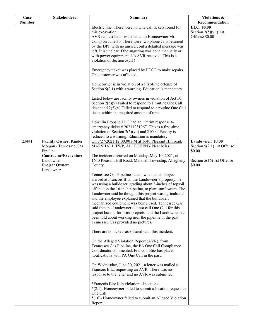| <b>Number</b><br>Electric line. There were no One call tickets found for<br>this excavation.<br>AVR request letter was mailed to Homeowner Mr.<br>Comp on June 30. There were two phone calls returned<br>by the DPI, with no answer, but a detailed message was<br>left. It is unclear if the auguring was done manually or                                                                                                                                                                                                                                                                                                                                                                                                                                                                                                                                                                                                                                                                                                                                                                                                                                                                                                                                                                                                                                                                                                                                                                                                                                                                                              | Recommendation<br>LLC: \$0.00<br>Section $2(5)(\n \n \tilde{\text{v}}\text{ii})$ 1st<br>Offense \$0.00 |
|---------------------------------------------------------------------------------------------------------------------------------------------------------------------------------------------------------------------------------------------------------------------------------------------------------------------------------------------------------------------------------------------------------------------------------------------------------------------------------------------------------------------------------------------------------------------------------------------------------------------------------------------------------------------------------------------------------------------------------------------------------------------------------------------------------------------------------------------------------------------------------------------------------------------------------------------------------------------------------------------------------------------------------------------------------------------------------------------------------------------------------------------------------------------------------------------------------------------------------------------------------------------------------------------------------------------------------------------------------------------------------------------------------------------------------------------------------------------------------------------------------------------------------------------------------------------------------------------------------------------------|--------------------------------------------------------------------------------------------------------|
|                                                                                                                                                                                                                                                                                                                                                                                                                                                                                                                                                                                                                                                                                                                                                                                                                                                                                                                                                                                                                                                                                                                                                                                                                                                                                                                                                                                                                                                                                                                                                                                                                           |                                                                                                        |
| with power equipment. No AVR received. This is a<br>violation of Section $5(2.1)$                                                                                                                                                                                                                                                                                                                                                                                                                                                                                                                                                                                                                                                                                                                                                                                                                                                                                                                                                                                                                                                                                                                                                                                                                                                                                                                                                                                                                                                                                                                                         |                                                                                                        |
| Emergency ticket was placed by PECO to make repairs.<br>One customer was affected.<br>Homeowner is in violation of a first-time offense of<br>Section $5(2.1)$ with a warning. Education is mandatory.                                                                                                                                                                                                                                                                                                                                                                                                                                                                                                                                                                                                                                                                                                                                                                                                                                                                                                                                                                                                                                                                                                                                                                                                                                                                                                                                                                                                                    |                                                                                                        |
| Listed below are facility owners in violation of Act 50,<br>Section $2(5)(v)$ Failed to respond to a routine One Call<br>ticket and $2(5)(v)$ Failed to respond to a routine One Call<br>ticket within the required amount of time.                                                                                                                                                                                                                                                                                                                                                                                                                                                                                                                                                                                                                                                                                                                                                                                                                                                                                                                                                                                                                                                                                                                                                                                                                                                                                                                                                                                       |                                                                                                        |
| Downlin Propane LLC had an interim response to<br>emergency ticket $\# 20211231967$ . This is a first-time<br>violation of Section $2(5)(\n \text{vii})$ and \$1000. Penalty is<br>reduced to a warning. Education is mandatory.                                                                                                                                                                                                                                                                                                                                                                                                                                                                                                                                                                                                                                                                                                                                                                                                                                                                                                                                                                                                                                                                                                                                                                                                                                                                                                                                                                                          |                                                                                                        |
| 23441<br>Facility Owner: Kinder<br>On 7/27/2021 12:00:00 PM at 1640 Pleasant Hill road,<br>Morgan / Tennessee Gas<br>MARSHALL TWP, ALLEGHENY Near Miss<br>Pipeline<br>Contractor/Excavator:<br>The incident occurred on Monday, May 10, 2021, at<br>Landowner<br>1640 Pleasant Hill Road, Marshall Township, Allegheny<br><b>Project Owner:</b><br>County.<br>Landowner<br>Tennessee Gas Pipeline stated, when an employee<br>arrived at Francois Bitz, the Landowner's property, he<br>was using a bulldozer, grading about 3-inches of topsoil<br>off the top the 16-inch pipeline, to plant sunflowers. The<br>Landowner said he thought this project was agricultural<br>and the employee explained that the bulldozer,<br>mechanized equipment was being used. Tennessee Gas<br>said that the Landowner did not call One Call for this<br>project but did for prior projects, and the Landowner has<br>been told about working near the pipeline in the past.<br>Tennessee Gas provided no pictures.<br>There are no tickets associated with this incident.<br>On the Alleged Violation Report (AVR), from<br>Tennessee Gas Pipeline, the PA One Call Compliance<br>Coordinator commented, Francois Bitz has placed<br>notifications with PA One Call in the past.<br>On Wednesday, June 30, 2021, a letter was mailed to<br>Francois Bitz, requesting an AVR. There was no<br>response to the letter and no AVR was submitted.<br>*Francois Bitz is in violation of sections:<br>$5(2.1)$ - Homeowner failed to submit a location request to<br>One Call.<br>5(16)- Homeowner failed to submit an Alleged Violation | Landowner: \$0.00<br>Section $5(2.1)$ 1st Offense<br>\$0.00<br>Section $5(16)$ 1st Offense<br>\$0.00   |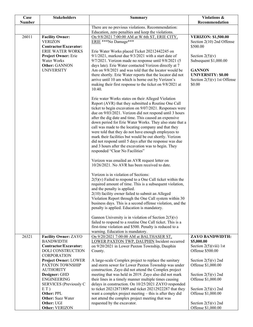| Case          | <b>Stakeholders</b>                                                  | <b>Summary</b>                                                                                                                                                                                                                                                                                                                                                                                                                                                                                                                                                                                                                                                                     | Violations &                                                                          |
|---------------|----------------------------------------------------------------------|------------------------------------------------------------------------------------------------------------------------------------------------------------------------------------------------------------------------------------------------------------------------------------------------------------------------------------------------------------------------------------------------------------------------------------------------------------------------------------------------------------------------------------------------------------------------------------------------------------------------------------------------------------------------------------|---------------------------------------------------------------------------------------|
| <b>Number</b> |                                                                      | There are no previous violations. Recommendation:                                                                                                                                                                                                                                                                                                                                                                                                                                                                                                                                                                                                                                  | Recommendation                                                                        |
|               |                                                                      | Education, zero penalties and keep the violations.                                                                                                                                                                                                                                                                                                                                                                                                                                                                                                                                                                                                                                 |                                                                                       |
| 26011         | <b>Facility Owner:</b><br><b>VERIZON</b><br>Contractor/Excavator:    | On 9/8/2021 7:00:00 AM at W 6th ST, ERIE CITY,<br>ERIE ***No Damage***                                                                                                                                                                                                                                                                                                                                                                                                                                                                                                                                                                                                             | <b>VERIZON: \$1,500.00</b><br>Section 2(10) 2nd Offense<br>\$500.00                   |
|               | <b>ERIE WATER WORKS</b>                                              | Erie Water Works placed Ticket 20212442245 on                                                                                                                                                                                                                                                                                                                                                                                                                                                                                                                                                                                                                                      |                                                                                       |
|               | <b>Project Owner: Erie</b>                                           | $9/1/2021$ , markout due $9/3/2021$ with a start date of                                                                                                                                                                                                                                                                                                                                                                                                                                                                                                                                                                                                                           | Section $2(5)(v)$                                                                     |
|               | Water Works<br>Other: GANNON                                         | $9/7/2021$ . Verizon made no response until $9/8/2021$ (5<br>days late). Erie Water contacted Verizon directly at 7                                                                                                                                                                                                                                                                                                                                                                                                                                                                                                                                                                | Subsequent \$1,000.00                                                                 |
|               | <b>UNIVERSITY</b>                                                    | Am on 9/8/2021 and was told that the locator would be<br>there shortly. Erie Water reports that the locator did not<br>arrive until 10 am which is borne out by Verizon's<br>making their first response to the ticket on 9/8/2021 at<br>10:40.                                                                                                                                                                                                                                                                                                                                                                                                                                    | <b>GANNON</b><br><b>UNIVERSITY: \$0.00</b><br>Section $2(5)(v)$ 1st Offense<br>\$0.00 |
|               |                                                                      | Erie water Works states on their Alleged Violation<br>Report (AVR) that they submitted a Routine One Call<br>ticket to begin excavation on 9/07/2021. Responses were<br>due on 9/03/2021. Verizon did not respond until 3 hours<br>after the dig date and time. This caused an expensive<br>down period for Erie Water Works. They also state that a<br>call was made to the locating company and that they<br>were told that they do not have enough employees to<br>mark their facilities but would be out shortly. Verizon<br>did not respond until 5 days after the response was due<br>and 3 hours after the excavation was to begin. They<br>responded "Clear No Facilities" |                                                                                       |
|               |                                                                      | Verizon was emailed an AVR request letter on<br>10/26/2021. No AVR has been received to date.                                                                                                                                                                                                                                                                                                                                                                                                                                                                                                                                                                                      |                                                                                       |
|               |                                                                      | Verizon is in violation of Sections:<br>$2(5)(v)$ Failed to respond to a One Call ticket within the<br>required amount of time. This is a subsequent violation,<br>and the penalty is applied.<br>2(10) facility owner failed to submit an Alleged<br>Violation Report through the One Call system within 30<br>business days. This is a second offense violation, and the<br>penalty is applied. Education is mandatory.                                                                                                                                                                                                                                                          |                                                                                       |
|               |                                                                      | Gannon University is in violation of Section $2(5)(v)$<br>failed to respond to a routine One Call ticket. This is a<br>first-time violation and \$500. Penalty is reduced to a<br>warning. Education is mandatory.                                                                                                                                                                                                                                                                                                                                                                                                                                                                 |                                                                                       |
| 26321         | <b>Facility Owner: ZAYO</b>                                          | On 9/20/2021 7:00:00 AM at BALTHASER ST,                                                                                                                                                                                                                                                                                                                                                                                                                                                                                                                                                                                                                                           | <b>ZAYO BANDWIDTH:</b>                                                                |
|               | <b>BANDWIDTH</b>                                                     | LOWER PAXTON TWP, DAUPHIN Incident occurred                                                                                                                                                                                                                                                                                                                                                                                                                                                                                                                                                                                                                                        | \$5,000.00                                                                            |
|               | Contractor/Excavator:<br>DOLI CONSTRUCTION<br><b>CORPORATION</b>     | on 9/20/2021 in Lower Paxton Township, Dauphin<br>County.                                                                                                                                                                                                                                                                                                                                                                                                                                                                                                                                                                                                                          | Section $2(5)(viii)$ 1st<br>Offense \$500.00                                          |
|               | <b>Project Owner: LOWER</b><br>PAXTON TOWNSHIP<br><b>AUTHORITY</b>   | A large-scale Complex project to replace the sanitary<br>and storm sewer for Lower Paxton Township was under<br>construction. Zayo did not attend the Complex project                                                                                                                                                                                                                                                                                                                                                                                                                                                                                                              | Section $2(5)(v)$ 2nd<br>Offense \$1,000.00                                           |
|               | Designer: GHD<br><b>ENGINEERING</b><br><b>SERVICES</b> (Previously C | meeting that was held in 2019. Zayo also did not mark<br>their lines in a timely manner multiple times causing<br>delays in construction. On 10/25/2021 ZAYO responded                                                                                                                                                                                                                                                                                                                                                                                                                                                                                                             | Section $2(5)(v)$ 2nd<br>Offense \$1,000.00                                           |
|               | E(T)<br>Other: PPL<br><b>Other:</b> Suez Water                       | to ticket 20212871809 and ticket 20212922287 that they<br>want a complex project meeting $-$ this is after they did<br>not attend the complex project meeting that was                                                                                                                                                                                                                                                                                                                                                                                                                                                                                                             | Section $2(5)(v)$ 2nd<br>Offense \$1,000.00                                           |
|               | Other: UGI<br>Other: VERIZON                                         | requested by the excavator.                                                                                                                                                                                                                                                                                                                                                                                                                                                                                                                                                                                                                                                        | Section $2(5)(v)$ 2nd<br>Offense \$1,000.00                                           |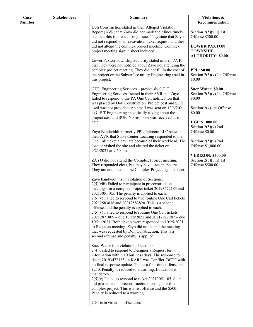| Case   | <b>Stakeholders</b> | <b>Summary</b>                                                                                                                                                                                                                                                                                                                                                                                                                                                                                                                                                                                                                                                              | Violations &                                                             |
|--------|---------------------|-----------------------------------------------------------------------------------------------------------------------------------------------------------------------------------------------------------------------------------------------------------------------------------------------------------------------------------------------------------------------------------------------------------------------------------------------------------------------------------------------------------------------------------------------------------------------------------------------------------------------------------------------------------------------------|--------------------------------------------------------------------------|
| Number |                     |                                                                                                                                                                                                                                                                                                                                                                                                                                                                                                                                                                                                                                                                             | Recommendation                                                           |
|        |                     | Doli Construction stated in their Alleged Violation<br>Report (AVR) that Zayo did not mark their lines timely<br>and that this is a reoccurring issue. They state that Zayo<br>did not respond to an excavation ticket request, and they                                                                                                                                                                                                                                                                                                                                                                                                                                    | Section $2(5)(viii)$ 1st<br>Offense \$500.00                             |
|        |                     | did not attend the complex project meeting. Complex<br>project meeting sign in sheet included.                                                                                                                                                                                                                                                                                                                                                                                                                                                                                                                                                                              | <b>LOWER PAXTON</b><br><b>TOWNSHIP</b><br><b>AUTHORITY: \$0.00</b>       |
|        |                     | Lower Paxton Township authority stated in their AVR<br>that They were not notified about Zayo not attending the<br>complex project meeting. They did not fill in the cost of<br>the project or the Subsurface utility Engineering used in<br>this project.                                                                                                                                                                                                                                                                                                                                                                                                                  | <b>PPL: \$0.00</b><br>Section $2(5)(v)$ 1st Offense<br>\$0.00            |
|        |                     | GHD Engineering Services – previously C E T<br>Engineering Services - stated in their AVR that Zayo<br>failed to respond to the PA One Call notification that<br>was placed by Doli Construction. Project cost and SUE                                                                                                                                                                                                                                                                                                                                                                                                                                                      | Suez Water: \$0.00<br>Section $2(5)(v)$ 1st Offense<br>\$0.00            |
|        |                     | used was not provided. An email was sent on 12/6/2021<br>to C E T Engineering specifically asking about the<br>project cost and SUE. No response was received as of                                                                                                                                                                                                                                                                                                                                                                                                                                                                                                         | Section 2(4) 1st Offense<br>\$0.00                                       |
|        |                     | date.<br>Zayo Bandwidth Formerly PPL Telecom LLC states in                                                                                                                                                                                                                                                                                                                                                                                                                                                                                                                                                                                                                  | <b>UGI: \$1,000.00</b><br>Section $2(5)(v)$ 2nd<br>Offense \$0.00        |
|        |                     | their AVR that Stake Center Locating responded to the<br>One Call ticket a day late because of their workload. The<br>locator visited the site and cleared the ticket on<br>9/21/2021 at 9:50 am.                                                                                                                                                                                                                                                                                                                                                                                                                                                                           | Section $2(5)(v)$ 2nd<br>Offense \$1,000.00                              |
|        |                     | ZAYO did not attend the Complex Project meeting.<br>They responded clear, but they have lines in the area.<br>They are not listed on the Complex Project sign in sheet.                                                                                                                                                                                                                                                                                                                                                                                                                                                                                                     | <b>VERIZON: \$500.00</b><br>Section $2(5)(viii)$ 1st<br>Offense \$500.00 |
|        |                     | Zayo bandwidth is in violation of Sections:<br>$2(5)$ (viii) Failed to participate in preconstruction<br>meetings for a complex project ticket 20193472183 and<br>20213051105. The penalty is applied to each.<br>$2(5)(v)$ Failed to respond to two routine One Call tickets<br>20212583838 and 20212583820. This is a second<br>offense, and the penalty is applied to each.<br>$2(5)(v)$ Failed to respond to routine One Call tickets<br>20212871809 – due 10/18/2021 and 20212922287 – due<br>$10/21/2021$ . Both tickets were responded to $10/25/2021$<br>as Requests meeting. Zayo did not attend the meeting<br>that was requested by Doli Construction. This is a |                                                                          |
|        |                     | second offense and penalty is applied.<br>Suez Water is in violation of section:<br>2(4) Failed to respond to Designer's Request for<br>information within 10 business days. The response to<br>ticket 20193472183, in KARL was Conflict. DCTF with<br>no final response update. This is a first-time offense and<br>\$250. Penalty is reduced to a warning. Education is<br>mandatory.<br>$2(5)(v)$ Failed to respond to ticket 20213051105. Suez<br>did participate in preconstruction meetings for this<br>complex project. This is a fist offense and the \$500.<br>Penalty is reduced to a warning.                                                                    |                                                                          |
|        |                     | UGI is in violation of section:                                                                                                                                                                                                                                                                                                                                                                                                                                                                                                                                                                                                                                             |                                                                          |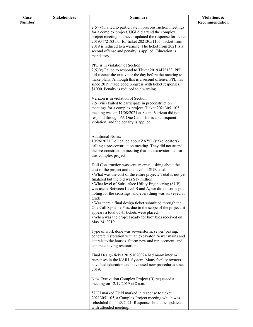| Case          | <b>Stakeholders</b> | <b>Summary</b>                                                                                                    | Violations &   |
|---------------|---------------------|-------------------------------------------------------------------------------------------------------------------|----------------|
| <b>Number</b> |                     | $2(5)(v)$ Failed to participate in preconstruction meetings                                                       | Recommendation |
|               |                     | for a complex project. UGI did attend the complex                                                                 |                |
|               |                     | project meeting but never updated the response for ticket                                                         |                |
|               |                     | 20193472183 nor for ticket 20213051105. Ticket from                                                               |                |
|               |                     | 2019 is reduced to a warning. The ticket from 2021 is a<br>second offense and penalty is applied. Education is    |                |
|               |                     | mandatory.                                                                                                        |                |
|               |                     |                                                                                                                   |                |
|               |                     | PPL is in violation of Section:<br>$2(5)(v)$ Failed to respond to Ticket 20193472183. PPL                         |                |
|               |                     | did contact the excavator the day before the meeting to                                                           |                |
|               |                     | make plans. Although this is a second offense, PPL has                                                            |                |
|               |                     | since 2019 made good progress with ticket responses.                                                              |                |
|               |                     | \$1000. Penalty is reduced to a warning.                                                                          |                |
|               |                     | Verizon is in violation of Section:                                                                               |                |
|               |                     | $2(5)$ (viii) Failed to participate in preconstruction                                                            |                |
|               |                     | meetings for a complex project. Ticket 20213051105<br>meeting was on 11/08/2021 at 8 a.m. Verizon did not         |                |
|               |                     | respond through PA One Call. This is a subsequent                                                                 |                |
|               |                     | violation, and the penalty is applied.                                                                            |                |
|               |                     |                                                                                                                   |                |
|               |                     | <b>Additional Notes:</b>                                                                                          |                |
|               |                     | 10/26/2021 Doli called about ZAYO (stake locators)<br>calling a pre-construction meeting. They did not attend     |                |
|               |                     | the pre-construction meeting that the excavator had for                                                           |                |
|               |                     | this complex project.                                                                                             |                |
|               |                     | Doli Construction was sent an email asking about the                                                              |                |
|               |                     | cost of the project and the level of SUE used.                                                                    |                |
|               |                     | • What was the cost of the entire project? Total is not yet                                                       |                |
|               |                     | finalized but the bid was \$17 million<br>• What level of Subsurface Utility Engineering (SUE)                    |                |
|               |                     | was used? Between Level B and A, we did do some pot                                                               |                |
|               |                     | holing for the crossings, and everything was surveyed at                                                          |                |
|               |                     | grade.<br>• Was there a final design ticket submitted through the                                                 |                |
|               |                     | One Call System? Yes, due to the scope of the project, it                                                         |                |
|               |                     | appears a total of 41 tickets were placed.                                                                        |                |
|               |                     | • When was the project ready for bid? bids received on                                                            |                |
|               |                     | May 24, 2019                                                                                                      |                |
|               |                     | Type of work done was sewer/storm, sewer/ paving,                                                                 |                |
|               |                     | concrete restoration with an excavator. Sewer mains and<br>laterals to the houses. Storm new and replacement, and |                |
|               |                     | concrete paving restoration.                                                                                      |                |
|               |                     |                                                                                                                   |                |
|               |                     | Final Design ticket 20191020324 had many interim<br>responses in the KARL System. Many facility owners            |                |
|               |                     | have had education and have used new procedures since                                                             |                |
|               |                     | 2019.                                                                                                             |                |
|               |                     | New Excavation Complex Project (B) requested a                                                                    |                |
|               |                     | meeting on 12/19/2019 at 8 a.m.                                                                                   |                |
|               |                     | *UGI marked Field marked in response to ticket                                                                    |                |
|               |                     | 20213051105, a Complex Project meeting which was                                                                  |                |
|               |                     | scheduled for 11/8/2021. Response should be updated<br>with attended meeting.                                     |                |
|               |                     |                                                                                                                   |                |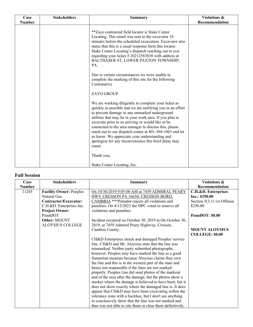| Case          | <b>Stakeholders</b> | <b>Summary</b>                                                                                                                                                                                                                                                                                                                                                                                                                                                                                                             | Violations &   |
|---------------|---------------------|----------------------------------------------------------------------------------------------------------------------------------------------------------------------------------------------------------------------------------------------------------------------------------------------------------------------------------------------------------------------------------------------------------------------------------------------------------------------------------------------------------------------------|----------------|
| <b>Number</b> |                     |                                                                                                                                                                                                                                                                                                                                                                                                                                                                                                                            | Recommendation |
|               |                     | ** Zayo contracted field locator is Stake Center<br>Locating. This email was sent to the excavator 18<br>minutes before the scheduled excavation. Excavator also<br>states that this is a usual response form this locator.<br>Stake Center Locating's dispatch reaching out to you<br>regarding your ticket #20212583838 with address at<br>BALTHASER ST, LOWER PAXTON TOWNSHIP,<br>PA.                                                                                                                                   |                |
|               |                     | Due to certain circumstances we were unable to<br>complete the marking of this site for the following<br>Customer(s)                                                                                                                                                                                                                                                                                                                                                                                                       |                |
|               |                     | ZAYO GROUP.                                                                                                                                                                                                                                                                                                                                                                                                                                                                                                                |                |
|               |                     | We are working diligently to complete your ticket as<br>quickly as possible and we are notifying you in an effort<br>to prevent damage to any unmarked underground<br>utilities that may be in your work area. If you plan to<br>excavate prior to us arriving or would like to be<br>connected to the area manager to discuss this, please<br>reach out to our dispatch center at 801-364-1063 and let<br>us know. We appreciate your understanding and<br>apologize for any inconvenience this brief delay may<br>cause. |                |
|               |                     | Thank you,                                                                                                                                                                                                                                                                                                                                                                                                                                                                                                                 |                |
|               |                     | Stake Center Locating, Inc.                                                                                                                                                                                                                                                                                                                                                                                                                                                                                                |                |

### **Full Session**

| Case          | <b>Stakeholders</b>            | <b>Summary</b>                                             | Violations &                 |
|---------------|--------------------------------|------------------------------------------------------------|------------------------------|
| <b>Number</b> |                                |                                                            | Recommendation               |
| 11245         | <b>Facility Owner: Peoples</b> | On 10/30/2019 9:05:00 AM at 7459 ADMIRAL PEARY             | C.H.&D. Enterprises          |
|               | Natural Gas                    | <b>HWY CRESSON PA 16630, CRESSON BORO,</b>                 | Inc.: \$250.00               |
|               | Contractor/Excavator:          | CAMBRIA *** Penndot rejects all violations and             | Section $5(3.1)$ 1st Offense |
|               | C.H.&D. Enterprises Inc.       | pensities. On 4/12/2022 the DPC voted to remove all        | \$250.00                     |
|               | <b>Project Owner:</b>          | violations and penalties.                                  |                              |
|               | PennDOT                        |                                                            | PennDOT: \$0.00              |
|               | Other: MOUNT                   | Incident occurred on October 30, 2019 at On October 30,    |                              |
|               | <b>ALOYSIUS COLLEGE</b>        | 2019, at 7459 Admiral Peary Highway, Cresson,              |                              |
|               |                                | Cambria County.                                            | <b>MOUNT ALOYSIUS</b>        |
|               |                                |                                                            | <b>COLLEGE: \$0.00</b>       |
|               |                                | CH&D Enterprises struck and damaged Peoples' service       |                              |
|               |                                | line. CH&D and Mt. Aloysius state that the line was        |                              |
|               |                                | mismarked. Neither party submitted photographs,            |                              |
|               |                                | however, Peoples may have marked the line as a good        |                              |
|               |                                | Samaritan measure because Aloysius claims they own         |                              |
|               |                                | the line and this is in the western part of the state and  |                              |
|               |                                | hence not responsible if the lines are not marked          |                              |
|               |                                | properly. Peoples Gas did send photos of the markout       |                              |
|               |                                | and of the area after the damage, but the photos show a    |                              |
|               |                                | marker where the damage is believed to have been, but it   |                              |
|               |                                | does not show exactly where the damaged line is. It does   |                              |
|               |                                | appear that CH&D may have been excavating within the       |                              |
|               |                                | tolerance zone with a backhoe, but I don't see anything    |                              |
|               |                                | to conclusively show that the line was not marked and      |                              |
|               |                                | thus was not able to cite them or clear them definitively. |                              |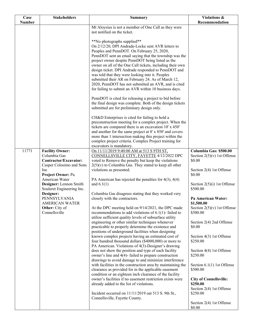| Case          | <b>Stakeholders</b>             | <b>Summary</b>                                                                                                       | <b>Violations &amp;</b>                   |
|---------------|---------------------------------|----------------------------------------------------------------------------------------------------------------------|-------------------------------------------|
| <b>Number</b> |                                 |                                                                                                                      | Recommendation                            |
|               |                                 | Mt Aloysius is not a member of One Call as they were<br>not notified on the ticket.                                  |                                           |
|               |                                 |                                                                                                                      |                                           |
|               |                                 | **No photographs supplied**                                                                                          |                                           |
|               |                                 | On 2/12/20, DPI Andrade-Locke sent AVR letters to                                                                    |                                           |
|               |                                 | Peoples and PennDOT. On February 25, 2020,                                                                           |                                           |
|               |                                 | PennDOT sent an email saying that the township was the                                                               |                                           |
|               |                                 | project owner despite PennDOT being listed as the                                                                    |                                           |
|               |                                 | owner on all of the One Call tickets, including their own                                                            |                                           |
|               |                                 | design ticket. DPI Andrade responded to PennDOT and                                                                  |                                           |
|               |                                 | was told that they were looking into it. Peoples                                                                     |                                           |
|               |                                 | submitted their AR on February 24. As of March 12,                                                                   |                                           |
|               |                                 | 2020, PennDOT has not submitted an AVR, and is cited                                                                 |                                           |
|               |                                 | for failing to submit an AVR within 10 business days.                                                                |                                           |
|               |                                 | PennDOT is cited for releasing a project to bid before                                                               |                                           |
|               |                                 | the final design was complete. Both of the design tickets                                                            |                                           |
|               |                                 | submitted are for preliminary design only.                                                                           |                                           |
|               |                                 |                                                                                                                      |                                           |
|               |                                 | CH&D Enterprises is cited for failing to hold a                                                                      |                                           |
|               |                                 | preconstruction meeting for a complex project. When the                                                              |                                           |
|               |                                 | tickets are compared there is an excavation 10' x 450'                                                               |                                           |
|               |                                 | and another for the same project at 8' x 850' and covers<br>more than 1 intersection making this project within the  |                                           |
|               |                                 | complex project criteria. Complex Project training for                                                               |                                           |
|               |                                 | excavators is mandatory.                                                                                             |                                           |
| 11771         | <b>Facility Owner:</b>          | On 11/11/2019 9:40:00 AM at 513 S 9TH ST,                                                                            | Columbia Gas: \$500.00                    |
|               | Columbia Gas                    | CONNELLSVILLE CITY, FAYETTE 4/12/2022 DPC                                                                            | Section $2(5)(v)$ 1st Offense             |
|               | Contractor/Excavator:           | voted to Remove the penalty but keep the violations                                                                  | \$0.00                                    |
|               | Casper Colosimo and Sons        | $2(5)(v)$ to Columbia Gas. They stated to keep all other                                                             |                                           |
|               | Inc<br>Project Owner: Pa        | violations as presented.                                                                                             | Section 2(4) 1st Offense<br>\$0.00        |
|               | American Water                  | PA American has rejected the penalties for $4(3)$ , $4(4)$                                                           |                                           |
|               | Designer: Lennon Smith          | and $6.1(1)$                                                                                                         | Section $2(5)(i)$ 1st Offense             |
|               | Souleret Engineering Inc.       |                                                                                                                      | \$500.00                                  |
|               | Designer:                       | Columbia Gas disagrees stating that they worked very                                                                 |                                           |
|               | PENNSYLVANIA                    | closely with the contractors.                                                                                        | Pa American Water:                        |
|               | <b>AMERICAN WATER</b>           |                                                                                                                      | \$1,500.00                                |
|               | Other: City of<br>Connellsville | At the DPC meeting held on 9/14/2021, the DPC made                                                                   | Section $2(5)(v)$ 1st Offense<br>\$500.00 |
|               |                                 | recommendations to add violations of $6.1(1)$ - failed to<br>utilize sufficient quality levels of subsurface utility |                                           |
|               |                                 | engineering or other similar techniques whenever                                                                     | Section 2(4) 2nd Offense                  |
|               |                                 | practicable to properly determine the existence and                                                                  | \$0.00                                    |
|               |                                 | positions of underground facilities when designing                                                                   |                                           |
|               |                                 | known complex projects having an estimated cost of                                                                   | Section 4(3) 1st Offense                  |
|               |                                 | four hundred thousand dollars (\$4000,000) or more to                                                                | \$250.00                                  |
|               |                                 | PA American. Violations of 4(3)-Designer's drawing                                                                   |                                           |
|               |                                 | does not show the position and type of each facility                                                                 | Section 4(4) 1st Offense                  |
|               |                                 | owner's line and 4(4)-failed to prepare construction<br>drawings to avoid damage to and minimize interference        | \$250.00                                  |
|               |                                 | with facilities in the construction area by maintaining the                                                          | Section $6.1(1)$ 1st Offense              |
|               |                                 | clearance as provided for in the applicable easement                                                                 | \$500.00                                  |
|               |                                 | condition or an eighteen inch clearance of the facility                                                              |                                           |
|               |                                 | owner's facilities if no easement restriction exists were                                                            | <b>City of Connellsville:</b>             |
|               |                                 | already added to the list of violations.                                                                             | \$250.00                                  |
|               |                                 |                                                                                                                      | Section 2(4) 1st Offense                  |
|               |                                 | Incident occurred on 11/11/2019 oat 513 S. 9th St.,<br>Connellsville, Fayette County.                                | \$250.00                                  |
|               |                                 |                                                                                                                      | Section 2(4) 1st Offense                  |
|               |                                 |                                                                                                                      | \$0.00                                    |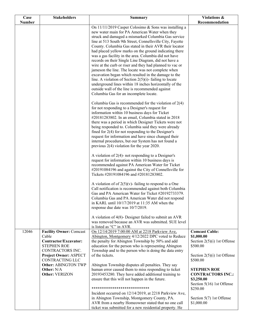| Case<br><b>Number</b> | <b>Stakeholders</b>                                                                                                                 | <b>Summary</b>                                                                                                                                                                                                                                                                                                                                                                                                                                                                                                                                                                                                                                                                                                                                                                                                                                                  | Violations &<br>Recommendation                                                                                    |
|-----------------------|-------------------------------------------------------------------------------------------------------------------------------------|-----------------------------------------------------------------------------------------------------------------------------------------------------------------------------------------------------------------------------------------------------------------------------------------------------------------------------------------------------------------------------------------------------------------------------------------------------------------------------------------------------------------------------------------------------------------------------------------------------------------------------------------------------------------------------------------------------------------------------------------------------------------------------------------------------------------------------------------------------------------|-------------------------------------------------------------------------------------------------------------------|
|                       |                                                                                                                                     | On 11/11/2019 Casper Colosimo & Sons was installing a<br>new water main for PA American Water when they<br>struck and damaged a mismarked Columbia Gas service<br>line at 513 South 9th Street, Connellsville City, Fayette<br>County. Columbia Gas stated in their AVR their locator<br>had placed yellow marks on the ground indicating there<br>was a gas facility in the area. Columbia did not have<br>records on their Single Line Diagram, did not have a<br>wire at the curb or riser and they had planned to vac or<br>jameson the line. The locate was not complete when<br>excavation began which resulted in the damage to the<br>line. A violation of Section $2(5)(i)$ - failing to locate<br>underground lines within 18 inches horizontally of the<br>outside wall of the line is recommended against<br>Columbia Gas for an incomplete locate. |                                                                                                                   |
|                       |                                                                                                                                     | Columbia Gas is recommended for the violation of $2(4)$<br>for not responding to a Designer's request for<br>information within 10 business days for Ticket<br>#20181283802. In an email, Columbia stated in 2018<br>there was a period in which Designer Tickets were not<br>being responded to. Columbia said they were already<br>fined for $2(4)$ for not responding to the Designer's<br>request for information and have since changed their<br>internal procedures, but our System has not found a<br>previous $2(4)$ violation for the year 2020.                                                                                                                                                                                                                                                                                                       |                                                                                                                   |
|                       |                                                                                                                                     | A violation of $2(4)$ - not responding to a Designer's<br>request for information within 10 business days is<br>recommended against PA American Water for Ticket<br>#20191084196 and against the City of Connellsville for<br>Tickets #20191084196 and #20181283802.<br>A violation of of $2(5)(v)$ - failing to respond to a One                                                                                                                                                                                                                                                                                                                                                                                                                                                                                                                               |                                                                                                                   |
|                       |                                                                                                                                     | Call notification is recommended against both Columbia<br>Gas and PA American Water for Ticket #20192733379.<br>Columbia Gas and PA American Water did not respond<br>in KARL until 10/17/2019 at 11:35 AM when the<br>response due date was 10/7/2019.                                                                                                                                                                                                                                                                                                                                                                                                                                                                                                                                                                                                         |                                                                                                                   |
|                       |                                                                                                                                     | A violation of $4(8)$ - Designer failed to submit an AVR<br>was removed because an AVR was submitted. SUE level<br>is listed as "C" in AVR.                                                                                                                                                                                                                                                                                                                                                                                                                                                                                                                                                                                                                                                                                                                     |                                                                                                                   |
| 12046                 | <b>Facility Owner: Comcast</b><br>Cable<br>Contractor/Excavator:<br><b>STEPHEN ROE</b><br>CONTRACTORS INC.<br>Project Owner: ASPECT | On 12/14/2019 7:00:00 AM at 2218 Parkview Ave,<br>Abington, Montgomery 4/12/2022 DPC voted to Reduce<br>the penalty for Abington Township by 50% and add<br>education for the person who is representing Abington<br>Township and to the person who is doing the data entry<br>of the tickets.                                                                                                                                                                                                                                                                                                                                                                                                                                                                                                                                                                  | <b>Comcast Cable:</b><br>\$1,000.00<br>Section $2(5)(i)$ 1st Offense<br>\$500.00<br>Section $2(5)(i)$ 1st Offense |
|                       | <b>CONTRACTING LLC</b><br><b>Other: ABINGTON TWP</b><br>Other: N/A<br>Other: VERIZON                                                | Abington Township disputes all penalties. They say<br>human error caused them to miss responding to ticket<br>20193453280. They have added additional training to<br>ensure that this will not happen in the future.                                                                                                                                                                                                                                                                                                                                                                                                                                                                                                                                                                                                                                            | \$500.00<br><b>STEPHEN ROE</b><br><b>CONTRACTORS INC.:</b><br>\$3,250.00                                          |
|                       |                                                                                                                                     | ****************************<br>Incident occurred on 12/14/2019, at 2218 Parkview Ave,<br>in Abington Township, Montgomery County, PA.<br>AVR from a nearby Homeowner stated that no one call<br>ticket was submitted for a new residential property. He                                                                                                                                                                                                                                                                                                                                                                                                                                                                                                                                                                                                        | Section 5(16) 1st Offense<br>\$250.00<br>Section 5(7) 1st Offense<br>\$1,000.00                                   |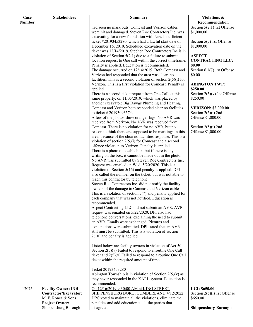| Case          | <b>Stakeholders</b>        | <b>Summary</b>                                                                                             | Violations &                               |
|---------------|----------------------------|------------------------------------------------------------------------------------------------------------|--------------------------------------------|
| <b>Number</b> |                            |                                                                                                            | Recommendation                             |
|               |                            | had seen no mark outs. Comcast and Verizon cables<br>were hit and damaged. Steven Roe Contractors Inc. was | Section $5(2.1)$ 1st Offense<br>\$1,000.00 |
|               |                            | excavating for a new foundation with New Insufficient                                                      |                                            |
|               |                            | ticket #20193453280, which had a lawful start date of                                                      | Section 5(7) 1st Offense                   |
|               |                            | December 16, 2019. Scheduled excavation date on the                                                        | \$1,000.00                                 |
|               |                            | ticket was 12/14/2019. Stephen Roe Contractors Inc is in                                                   |                                            |
|               |                            | violation of Section $5(2.1)$ due to a failure to submit a                                                 | <b>ASPECT</b>                              |
|               |                            | location request to One call within the correct timeframe.                                                 | <b>CONTRACTING LLC:</b>                    |
|               |                            | Penalty is applied. Education is recommended.                                                              | \$0.00                                     |
|               |                            | The damage occurred on 12/14/2019, Both Comcast and                                                        | Section $6.1(7)$ 1st Offense               |
|               |                            | Verizon had responded that the area was clear, no                                                          | \$0.00                                     |
|               |                            | facilities. This is a second violation of section $2(5)(i)$ for                                            |                                            |
|               |                            | Verizon. This is a first violation for Comcast. Penalty is                                                 | <b>ABINGTON TWP:</b>                       |
|               |                            | applied.                                                                                                   | \$250.00                                   |
|               |                            | There is a second ticket request from One Call, at this                                                    | Section $2(5)(v)$ 1st Offense              |
|               |                            | same property, on 11/05/2019, which was placed by                                                          | \$250.00                                   |
|               |                            | another excavator: Big Dawgs Plumbing and Heating.                                                         |                                            |
|               |                            | Comcast and Verizon both responded clear no facilities                                                     | <b>VERIZON: \$2,000.00</b>                 |
|               |                            | to ticket # 20193093574.                                                                                   | Section $2(5)(i)$ 2nd                      |
|               |                            | A few of the photos show orange flags. No AVR was<br>received from Verizon. No AVR was received from       | Offense \$1,000.00                         |
|               |                            | Comcast. There is no violation for no AVR, but no                                                          | Section $2(5)(i)$ 2nd                      |
|               |                            | reason to think there are supposed to be markings in this                                                  | Offense \$1,000.00                         |
|               |                            | area, because of the clear no facilities response. This is a                                               |                                            |
|               |                            | violation of section $2(5)(i)$ for Comcast and a second                                                    |                                            |
|               |                            | offence violation to Verizon. Penalty is applied.                                                          |                                            |
|               |                            | There is a photo of a cable box, but if there is any                                                       |                                            |
|               |                            | writing on the box, it cannot be made out in the photo.                                                    |                                            |
|               |                            | No AVR was submitted by Steven Roe Contractors Inc.                                                        |                                            |
|               |                            | Request was emailed on Wed, 5/20/2020. This is a                                                           |                                            |
|               |                            | violation of Section $5(16)$ and penalty is applied. DPI                                                   |                                            |
|               |                            | also called the number on the ticket, but was not able to                                                  |                                            |
|               |                            | reach this contractor by telephone.                                                                        |                                            |
|               |                            | Steven Roe Contractors Inc. did not notify the facility                                                    |                                            |
|               |                            | owners of the damage to Comcast and Verizon cables.                                                        |                                            |
|               |                            | This is a violation of section $5(7)$ and penalty applied for                                              |                                            |
|               |                            | each company that was not notified. Education is                                                           |                                            |
|               |                            | recommended.<br>Aspect Contracting LLC did not submit an AVR. AVR                                          |                                            |
|               |                            | request was emailed on 5/22/2020. DPI also had                                                             |                                            |
|               |                            | telephone conversations, explaining the need to submit                                                     |                                            |
|               |                            | an AVR. Emails were exchanged. Pictures and                                                                |                                            |
|               |                            | explanations were submitted. DPI stated that an AVR                                                        |                                            |
|               |                            | still must be submitted. This is a violation of section                                                    |                                            |
|               |                            | $2(10)$ and penalty is applied.                                                                            |                                            |
|               |                            |                                                                                                            |                                            |
|               |                            | Listed below are facility owners in violation of Act 50,                                                   |                                            |
|               |                            | Section $2(5)(v)$ Failed to respond to a routine One Call                                                  |                                            |
|               |                            | ticket and $2(5)(v)$ Failed to respond to a routine One Call                                               |                                            |
|               |                            | ticket within the required amount of time.                                                                 |                                            |
|               |                            |                                                                                                            |                                            |
|               |                            | Ticket 20193453280                                                                                         |                                            |
|               |                            | Abington Township is in violation of Section $2(5)(v)$ as                                                  |                                            |
|               |                            | they never responded in the KARL system. Education is<br>recommended.                                      |                                            |
| 12075         | <b>Facility Owner: UGI</b> | On 12/16/2019 9:30:00 AM at KING STREET,                                                                   | <b>UGI: \$650.00</b>                       |
|               | Contractor/Excavator:      | SHIPPENSBURG BORO, CUMBERLAND 4/12/2022                                                                    | Section $2(5)(i)$ 1st Offense              |
|               | M. F. Ronca & Sons         | DPC voted to maintain all the violations, eliminate the                                                    | \$650.00                                   |
|               | <b>Project Owner:</b>      | penalties and add education to all the parties that                                                        |                                            |
|               | Shippensburg Borough       | disagreed.                                                                                                 | <b>Shippensburg Borough</b>                |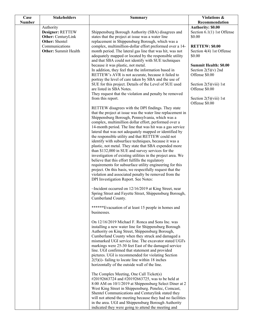| Case          | <b>Stakeholders</b>                                                          | <b>Summary</b>                                                                                                                                                                                                                                                                                                                                                                                                                                                                                                                                                                                                                                                                                                                                                                                                                                                                                                              | Violations &                                                                                                          |
|---------------|------------------------------------------------------------------------------|-----------------------------------------------------------------------------------------------------------------------------------------------------------------------------------------------------------------------------------------------------------------------------------------------------------------------------------------------------------------------------------------------------------------------------------------------------------------------------------------------------------------------------------------------------------------------------------------------------------------------------------------------------------------------------------------------------------------------------------------------------------------------------------------------------------------------------------------------------------------------------------------------------------------------------|-----------------------------------------------------------------------------------------------------------------------|
| <b>Number</b> |                                                                              |                                                                                                                                                                                                                                                                                                                                                                                                                                                                                                                                                                                                                                                                                                                                                                                                                                                                                                                             | Recommendation                                                                                                        |
|               | Authority<br>Designer: RETTEW<br>Other: CenturyLink<br><b>Other:</b> Shentel | Shippensburg Borough Authority (SBA) disagrees and<br>states that the project at issue was a water line<br>replacement in Shippensburg Borough, which was a                                                                                                                                                                                                                                                                                                                                                                                                                                                                                                                                                                                                                                                                                                                                                                 | <b>Authority: \$0.00</b><br>Section $6.1(1)$ 1st Offense<br>\$0.00                                                    |
|               | Communications<br><b>Other:</b> Summit Health                                | complex, multimillion-dollar effort preformed over a 14-<br>month period. The lateral gas line that was hit, was not<br>adequately mapped or located by the responsible utility                                                                                                                                                                                                                                                                                                                                                                                                                                                                                                                                                                                                                                                                                                                                             | <b>RETTEW: \$0.00</b><br>Section 4(4) 1st Offense<br>\$0.00                                                           |
|               |                                                                              | and that SBA could not identify with SUE techniques<br>because it was plastic, not metal.<br>In addition, they feel that the information based in<br>RETTEW's AVR is not accurate, because it failed to<br>portray the level of care taken by SBA and the use of<br>SUE for this project. Details of the Level of SUE used<br>are listed in SBA Notes.<br>They request that the violation and penalty be removed                                                                                                                                                                                                                                                                                                                                                                                                                                                                                                            | <b>Summit Health: \$0.00</b><br>Section $2(5)(v)$ 2nd<br>Offense \$0.00<br>Section $2(5)(viii)$ 1st<br>Offense \$0.00 |
|               |                                                                              | from this report.                                                                                                                                                                                                                                                                                                                                                                                                                                                                                                                                                                                                                                                                                                                                                                                                                                                                                                           | Section $2(5)(viii)$ 1st<br>Offense \$0.00                                                                            |
|               |                                                                              | RETTEW disagrees with the DPI findings. They state<br>that the project at issue was the water line replacement in<br>Shippensburg Borough, Pennsylvania, which was a<br>complex, multimillion dollar effort, performed over a<br>14-month period. The line that was hit was a gas service<br>lateral that was not adequately mapped or identified by<br>the responsible utility and that RETTEW could not<br>identify with subsurface techniques, because it was a<br>plastic, not metal. They state that SBA expended more<br>than \$132,000 in SUE and survey services for the<br>investigation of existing utilities in the project area. We<br>believe that this effort fulfills the regulatory<br>requirements for subsurface utility engineering for this<br>project. On this basis, we respectfully request that the<br>violation and associated penalty be removed from the<br>DPI Investigation Report. See Notes: |                                                                                                                       |
|               |                                                                              | $\sim$ Incident occurred on 12/16/2019 at King Street, near<br>Spring Street and Fayette Street, Shippensburg Borough,<br>Cumberland County.                                                                                                                                                                                                                                                                                                                                                                                                                                                                                                                                                                                                                                                                                                                                                                                |                                                                                                                       |
|               |                                                                              | ******Evacuation of at least 15 people in homes and<br>businesses.                                                                                                                                                                                                                                                                                                                                                                                                                                                                                                                                                                                                                                                                                                                                                                                                                                                          |                                                                                                                       |
|               |                                                                              | On 12/16/2019 Michael F. Ronca and Sons Inc. was<br>installing a new water line for Shippensburg Borough<br>Authority on King Street, Shippensburg Borough,<br>Cumberland County when they struck and damaged a<br>mismarked UGI service line. The excavator stated UGI's<br>markings were 25-30 feet East of the damaged service<br>line. UGI confirmed that statement and provided<br>pictures. UGI is recommended for violating Section<br>$2(5)(i)$ - failing to locate line within 18 inches<br>horizontally of the outside wall of the line.                                                                                                                                                                                                                                                                                                                                                                          |                                                                                                                       |
|               |                                                                              | The Complex Meeting, One Call Ticket(s)<br>#20192663724 and #20192663725, was to be held at<br>8:00 AM on 10/1/2019 at Shippensburg Select Diner at 2<br>West King Street in Shippensburg. Penelec, Comcast,<br>Shentel Communications and Centurylink stated they<br>will not attend the meeting because they had no facilities<br>in the area. UGI and Shippensburg Borough Authority<br>indicated they were going to attend the meeting and                                                                                                                                                                                                                                                                                                                                                                                                                                                                              |                                                                                                                       |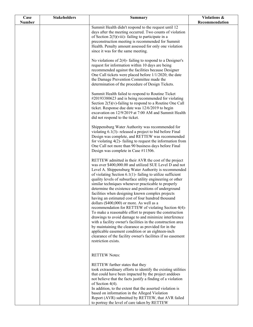| Case          | <b>Stakeholders</b> | <b>Summary</b>                                                                                                             | Violations &   |
|---------------|---------------------|----------------------------------------------------------------------------------------------------------------------------|----------------|
| <b>Number</b> |                     | Summit Health didn't respond to the request until 12                                                                       | Recommendation |
|               |                     | days after the meeting occurred. Two counts of violation                                                                   |                |
|               |                     | of Section $2(5)$ (viii)-failing to participate in a                                                                       |                |
|               |                     | preconstruction meeting is recommended for Summit                                                                          |                |
|               |                     | Health. Penalty amount assessed for only one violation                                                                     |                |
|               |                     | since it was for the same meeting.                                                                                         |                |
|               |                     | No violations of $2(4)$ - failing to respond to a Designer's                                                               |                |
|               |                     | request for information within 10 days are being                                                                           |                |
|               |                     | recommended against the facilities because Designer                                                                        |                |
|               |                     | One Call tickets were placed before 1/1/2020; the date                                                                     |                |
|               |                     | the Damage Prevention Committee made the<br>determination of the procedure of Design Tickets.                              |                |
|               |                     |                                                                                                                            |                |
|               |                     | Summit Health failed to respond to Routine Ticket                                                                          |                |
|               |                     | #20193380623 and is being recommended for violating                                                                        |                |
|               |                     | Section $2(5)(v)$ -failing to respond to a Routine One Call<br>ticket. Response due date was 12/6/2019 to begin            |                |
|               |                     | excavation on 12/9/2019 at 7:00 AM and Summit Health                                                                       |                |
|               |                     | did not respond to the ticket.                                                                                             |                |
|               |                     |                                                                                                                            |                |
|               |                     | Shippensburg Water Authority was recommended for<br>violating $6.1(3)$ - released a project to bid before Final            |                |
|               |                     | Design was complete, and RETTEW was recommended                                                                            |                |
|               |                     | for violating $4(2)$ - failing to request the information from                                                             |                |
|               |                     | One Call not more than 90 business days before Final                                                                       |                |
|               |                     | Design was complete in Case #11506.                                                                                        |                |
|               |                     | RETTEW admitted in their AVR the cost of the project                                                                       |                |
|               |                     | was over \$400,000.00 and utilized SUE Level D and not                                                                     |                |
|               |                     | Level A. Shippensburg Water Authority is recommended                                                                       |                |
|               |                     | of violating Section $6.1(1)$ - failing to utilize sufficient<br>quality levels of subsurface utility engineering or other |                |
|               |                     | similar techniques whenever practicable to properly                                                                        |                |
|               |                     | determine the existence and positions of underground                                                                       |                |
|               |                     | facilities when designing known complex projects                                                                           |                |
|               |                     | having an estimated cost of four hundred thousand<br>dollars (\$400,000) or more. As well as a                             |                |
|               |                     | recommendation for RETTEW of violating Section 4(4)-                                                                       |                |
|               |                     | To make a reasonable effort to prepare the construction                                                                    |                |
|               |                     | drawings to avoid damage to and minimize interference                                                                      |                |
|               |                     | with a facility owner's facilities in the construction area<br>by maintaining the clearance as provided for in the         |                |
|               |                     | applicable easement condition or an eighteen-inch                                                                          |                |
|               |                     | clearance of the facility owner's facilities if no easement                                                                |                |
|               |                     | restriction exists.                                                                                                        |                |
|               |                     |                                                                                                                            |                |
|               |                     | <b>RETTEW Notes:</b>                                                                                                       |                |
|               |                     |                                                                                                                            |                |
|               |                     | RETTEW further states that they<br>took extraordinary efforts to identify the existing utilities                           |                |
|               |                     | that could have been impacted by the project anddoes                                                                       |                |
|               |                     | not believe that the facts justify a finding of a violation                                                                |                |
|               |                     | of Section $4(4)$ .                                                                                                        |                |
|               |                     | In addition, to the extent that the asserted violation is                                                                  |                |
|               |                     | based on information in the Alleged Violation<br>Report (AVR) submitted by RETTEW, that AVR failed                         |                |
|               |                     | to portray the level of care taken by RETTEW                                                                               |                |
|               |                     |                                                                                                                            |                |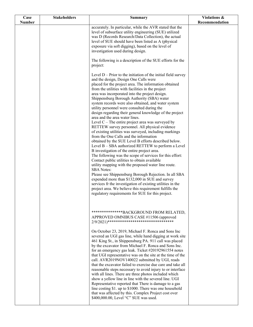| Case          | <b>Stakeholders</b> | <b>Summary</b>                                                                                                  | Violations &   |
|---------------|---------------------|-----------------------------------------------------------------------------------------------------------------|----------------|
| <b>Number</b> |                     |                                                                                                                 | Recommendation |
|               |                     | accurately. In particular, while the AVR stated that the                                                        |                |
|               |                     | level of subsurface utility engineering (SUE) utilized<br>was D (Records Research/Data Collection), the actual  |                |
|               |                     | level of SUE should have been listed as A (physical                                                             |                |
|               |                     | exposure via soft digging), based on the level of                                                               |                |
|               |                     | investigation used during design.                                                                               |                |
|               |                     |                                                                                                                 |                |
|               |                     | The following is a description of the SUE efforts for the                                                       |                |
|               |                     | project:                                                                                                        |                |
|               |                     | Level $D -$ Prior to the initiation of the initial field survey                                                 |                |
|               |                     | and the design, Design One Calls were                                                                           |                |
|               |                     | placed for the project area. The information obtained                                                           |                |
|               |                     | from the utilities with facilities in the project                                                               |                |
|               |                     | area was incorporated into the project design.                                                                  |                |
|               |                     | Shippensburg Borough Authority (SBA) water                                                                      |                |
|               |                     | system records were also obtained, and water system<br>utility personnel were consulted during the              |                |
|               |                     | design regarding their general knowledge of the project                                                         |                |
|               |                     | area and the area water lines.                                                                                  |                |
|               |                     | Level $C$ – The entire project area was surveyed by                                                             |                |
|               |                     | RETTEW survey personnel. All physical evidence                                                                  |                |
|               |                     | of existing utilities was surveyed, including markings                                                          |                |
|               |                     | from the One Calls and the information<br>obtained by the SUE Level B efforts described below.                  |                |
|               |                     | Level B – SBA authorized RETTEW to perform a Level                                                              |                |
|               |                     | B investigation of the entire project area.                                                                     |                |
|               |                     | The following was the scope of services for this effort:                                                        |                |
|               |                     | Contact public utilities to obtain available                                                                    |                |
|               |                     | utility mapping with the proposed water line route.<br><b>SBA</b> Notes:                                        |                |
|               |                     | Please see Shippensburg Borough Rejection. In all SBA                                                           |                |
|               |                     | expended more than \$132,000 in SUE and survey                                                                  |                |
|               |                     | services fr the investigation of existing utilities in the                                                      |                |
|               |                     | project area. We believe this requirement fulfills the                                                          |                |
|               |                     | regulatory requirements for SUE for this project.                                                               |                |
|               |                     |                                                                                                                 |                |
|               |                     |                                                                                                                 |                |
|               |                     | ***************BACKGROUND FROM RELATED,                                                                         |                |
|               |                     | APPROVED OMNIBUS CASE #11506 (approved                                                                          |                |
|               |                     | $2/9/2021)$ *********************************                                                                   |                |
|               |                     | On October 23, 2019, Michael F. Ronca and Sons Inc                                                              |                |
|               |                     | severed an UGI gas line, while hand digging at work site                                                        |                |
|               |                     | 461 King St., in Shippensburg PA. 911 call was placed                                                           |                |
|               |                     | by the excavator from Michael F. Ronca and Sons Inc.                                                            |                |
|               |                     | for an emergency gas leak. Ticket #20192961554 notes                                                            |                |
|               |                     | that UGI representative was on the site at the time of the<br>call. AVR2019NOV140022 submitted by UGI, reads    |                |
|               |                     | that the excavator failed to exercise due care and take all                                                     |                |
|               |                     | reasonable steps necessary to avoid injury to or interface                                                      |                |
|               |                     | with all lines. There are three photos included which                                                           |                |
|               |                     | show a yellow line in line with the severed line. UGI                                                           |                |
|               |                     | Representative reported that There is damage to a gas                                                           |                |
|               |                     | line costing \$1. up to \$1000. There was one household<br>that was affected by this. Complex Project cost over |                |
|               |                     | \$400,000.00, Level "C" SUE was used.                                                                           |                |
|               |                     |                                                                                                                 |                |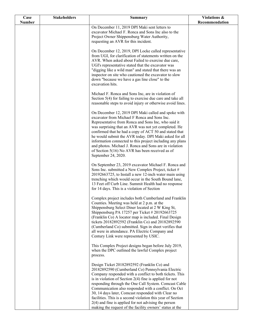| Case          | <b>Stakeholders</b> | <b>Summary</b>                                                                                                       | Violations &   |
|---------------|---------------------|----------------------------------------------------------------------------------------------------------------------|----------------|
| <b>Number</b> |                     | On December 11, 2019 DPI Maki sent letters to                                                                        | Recommendation |
|               |                     | excavator Michael F. Ronca and Sons Inc also to the                                                                  |                |
|               |                     | Project Owner Shippensburg Water Authority,                                                                          |                |
|               |                     | requesting an AVR for this incident.                                                                                 |                |
|               |                     | On December 12, 2019, DPI Locke called representative                                                                |                |
|               |                     | from UGI, for clarification of statements written on the                                                             |                |
|               |                     | AVR. When asked about Failed to exercise due care,<br>UGI's representative stated that the excavator was             |                |
|               |                     | "digging like a wild man" and stated that there was an                                                               |                |
|               |                     | inspector on site who cautioned the excavator to slow                                                                |                |
|               |                     | down "because we have a gas line close" to the                                                                       |                |
|               |                     | excavation hits.                                                                                                     |                |
|               |                     | Michael F. Ronca and Sons Inc, are in violation of                                                                   |                |
|               |                     | Section 5(4) for failing to exercise due care and take all                                                           |                |
|               |                     | reasonable steps to avoid injury or otherwise avoid lines.                                                           |                |
|               |                     | On December 12, 2019 DPI Maki called and spoke with                                                                  |                |
|               |                     | excavator from Michael F Ronca and Sons Inc.<br>Representative from Ronca and Sons Inc, who said it                  |                |
|               |                     | was surprising that an AVR was not yet completed. He                                                                 |                |
|               |                     | confirmed that he had a copy of ACT 50 and stated that                                                               |                |
|               |                     | he would submit the AVR today. DPI Maki asked for all<br>information connected to this project including any plans   |                |
|               |                     | and photos. Michael J. Ronca and Sons are in violation                                                               |                |
|               |                     | of Section $5(16)$ No AVR has been received as of                                                                    |                |
|               |                     | September 24, 2020.                                                                                                  |                |
|               |                     | On September 23, 2019 excavator Michael F. Ronca and                                                                 |                |
|               |                     | Sons Inc. submitted a New Complex Project, ticket #                                                                  |                |
|               |                     | 20192663725, to Install a new 12-inch water main using<br>trenching which would occur in the South Bound lane,       |                |
|               |                     | 13 Feet off Curb Line. Summit Health had no response                                                                 |                |
|               |                     | for 14 days. This is a violation of Section                                                                          |                |
|               |                     | Complex project includes both Cumberland and Franklin                                                                |                |
|               |                     | Counties. Meeting was held at 2 p.m. at the                                                                          |                |
|               |                     | Shippensburg Select Diner located at 2 W King St,<br>Shippensburg PA 17257 per Ticket # 20192663725                  |                |
|               |                     | (Franklin Co) A locator map is included. Final Design                                                                |                |
|               |                     | tickets 20182892592 (Franklin Co) and 20182892590                                                                    |                |
|               |                     | (Cumberland Co) submitted. Sign in sheet verifies that<br>all were in attendance. PA Electric Company and            |                |
|               |                     | Century Link were represented by USIC.                                                                               |                |
|               |                     | This Complex Project designs began before July 2019,                                                                 |                |
|               |                     | when the DPC outlined the lawful Complex project                                                                     |                |
|               |                     | process.                                                                                                             |                |
|               |                     | Design Ticket 20182892592 (Franklin Co) and                                                                          |                |
|               |                     | 20182892590 (Cumberland Co) Pennsylvania Electric                                                                    |                |
|               |                     | Company responded with a conflict to both tickets. This<br>is in violation of Section $2(4)$ fine is applied for not |                |
|               |                     | responding through the One Call System. Comcast Cable                                                                |                |
|               |                     | Communication also responded with a conflict. On Oct                                                                 |                |
|               |                     | 30, 14 days later, Comcast responded with Clear no<br>facilities. This is a second violation this year of Section    |                |
|               |                     | $2(4)$ and fine is applied for not advising the person                                                               |                |
|               |                     | making the request of the facility owners' status at the                                                             |                |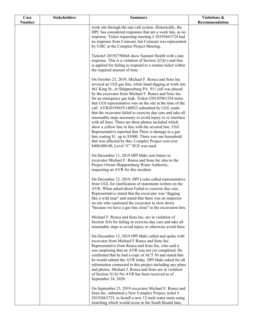| Case          | <b>Stakeholders</b> | <b>Summary</b>                                                                                                              | Violations &   |
|---------------|---------------------|-----------------------------------------------------------------------------------------------------------------------------|----------------|
| <b>Number</b> |                     | work site through the one call system. Historically, the                                                                    | Recommendation |
|               |                     | DPC has considered responses that are a week late, as no                                                                    |                |
|               |                     | response. Ticket requesting meeting #20192663724 had                                                                        |                |
|               |                     | no response from Comcast, but Comcast was represented<br>by USIC at the Complex Project Meeting.                            |                |
|               |                     |                                                                                                                             |                |
|               |                     | Tickets# 20192750044 show Summit Health with a late                                                                         |                |
|               |                     | response. This is a violation of Section $2(5)(v)$ and fine<br>is applied for failing to respond to a routine ticket within |                |
|               |                     | the required amount of time.                                                                                                |                |
|               |                     |                                                                                                                             |                |
|               |                     | On October 23, 2019, Michael F. Ronca and Sons Inc<br>severed an UGI gas line, while hand digging at work site              |                |
|               |                     | 461 King St., in Shippensburg PA. 911 call was placed                                                                       |                |
|               |                     | by the excavator from Michael F. Ronca and Sons Inc.                                                                        |                |
|               |                     | for an emergency gas leak. Ticket #20192961554 notes<br>that UGI representative was on the site at the time of the          |                |
|               |                     | call. AVR2019NOV140022 submitted by UGI, reads                                                                              |                |
|               |                     | that the excavator failed to exercise due care and take all                                                                 |                |
|               |                     | reasonable steps necessary to avoid injury to or interface<br>with all lines. There are three photos included which         |                |
|               |                     | show a yellow line in line with the severed line. UGI                                                                       |                |
|               |                     | Representative reported that There is damage to a gas                                                                       |                |
|               |                     | line costing \$1. up to \$1000. There was one household<br>that was affected by this. Complex Project cost over             |                |
|               |                     | \$400,000.00, Level "C" SUE was used.                                                                                       |                |
|               |                     |                                                                                                                             |                |
|               |                     | On December 11, 2019 DPI Maki sent letters to<br>excavator Michael F. Ronca and Sons Inc also to the                        |                |
|               |                     | Project Owner Shippensburg Water Authority,                                                                                 |                |
|               |                     | requesting an AVR for this incident.                                                                                        |                |
|               |                     | On December 12, 2019, DPI Locke called representative                                                                       |                |
|               |                     | from UGI, for clarification of statements written on the                                                                    |                |
|               |                     | AVR. When asked about Failed to exercise due care,<br>Representative stated that the excavator was "digging                 |                |
|               |                     | like a wild man" and stated that there was an inspector                                                                     |                |
|               |                     | on site who cautioned the excavator to slow down                                                                            |                |
|               |                     | "because we have a gas line close" to the excavation hits.                                                                  |                |
|               |                     | Michael F. Ronca and Sons Inc, are in violation of                                                                          |                |
|               |                     | Section 5(4) for failing to exercise due care and take all<br>reasonable steps to avoid injury or otherwise avoid lines.    |                |
|               |                     |                                                                                                                             |                |
|               |                     | On December 12, 2019 DPI Maki called and spoke with                                                                         |                |
|               |                     | excavator from Michael F Ronca and Sons Inc.<br>Representative from Ronca and Sons Inc, who said it                         |                |
|               |                     | was surprising that an AVR was not yet completed. He                                                                        |                |
|               |                     | confirmed that he had a copy of ACT 50 and stated that                                                                      |                |
|               |                     | he would submit the AVR today. DPI Maki asked for all<br>information connected to this project including any plans          |                |
|               |                     | and photos. Michael J. Ronca and Sons are in violation                                                                      |                |
|               |                     | of Section $5(16)$ No AVR has been received as of                                                                           |                |
|               |                     | September 24, 2020.                                                                                                         |                |
|               |                     | On September 23, 2019 excavator Michael F. Ronca and                                                                        |                |
|               |                     | Sons Inc. submitted a New Complex Project, ticket #                                                                         |                |
|               |                     | 20192663725, to Install a new 12-inch water main using<br>trenching which would occur in the South Bound lane,              |                |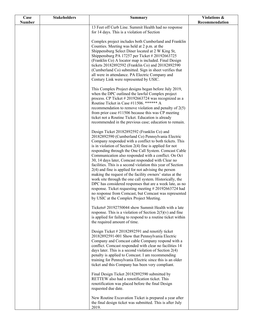| Case          | <b>Stakeholders</b> | <b>Summary</b>                                               | Violations &   |
|---------------|---------------------|--------------------------------------------------------------|----------------|
| <b>Number</b> |                     |                                                              | Recommendation |
|               |                     | 13 Feet off Curb Line. Summit Health had no response         |                |
|               |                     | for 14 days. This is a violation of Section                  |                |
|               |                     | Complex project includes both Cumberland and Franklin        |                |
|               |                     | Counties. Meeting was held at 2 p.m. at the                  |                |
|               |                     | Shippensburg Select Diner located at 2 W King St,            |                |
|               |                     | Shippensburg PA 17257 per Ticket # 20192663725               |                |
|               |                     | (Franklin Co) A locator map is included. Final Design        |                |
|               |                     | tickets 20182892592 (Franklin Co) and 20182892590            |                |
|               |                     | (Cumberland Co) submitted. Sign in sheet verifies that       |                |
|               |                     | all were in attendance. PA Electric Company and              |                |
|               |                     | Century Link were represented by USIC.                       |                |
|               |                     |                                                              |                |
|               |                     | This Complex Project designs began before July 2019,         |                |
|               |                     | when the DPC outlined the lawful Complex project             |                |
|               |                     | process. CP Ticket #20192663724 was recognized as a          |                |
|               |                     | Routine Ticket in Case #11506. ****** A                      |                |
|               |                     | recommendation to remove violation and penalty of $2(5)$     |                |
|               |                     | from prior case $\#11506$ because this was CP meeting        |                |
|               |                     | ticket not a Routine Ticket. Education is already            |                |
|               |                     | recommended in the previous case; education to remain.       |                |
|               |                     | Design Ticket 20182892592 (Franklin Co) and                  |                |
|               |                     | 20182892590 (Cumberland Co) Pennsylvania Electric            |                |
|               |                     | Company responded with a conflict to both tickets. This      |                |
|               |                     | is in violation of Section $2(4)$ fine is applied for not    |                |
|               |                     | responding through the One Call System. Comcast Cable        |                |
|               |                     | Communication also responded with a conflict. On Oct         |                |
|               |                     | 30, 14 days later, Comcast responded with Clear no           |                |
|               |                     | facilities. This is a second violation this year of Section  |                |
|               |                     | $2(4)$ and fine is applied for not advising the person       |                |
|               |                     | making the request of the facility owners' status at the     |                |
|               |                     | work site through the one call system. Historically, the     |                |
|               |                     | DPC has considered responses that are a week late, as no     |                |
|               |                     | response. Ticket requesting meeting #20192663724 had         |                |
|               |                     | no response from Comcast, but Comcast was represented        |                |
|               |                     | by USIC at the Complex Project Meeting.                      |                |
|               |                     | Tickets# 20192750044 show Summit Health with a late          |                |
|               |                     | response. This is a violation of Section $2(5)(v)$ and fine  |                |
|               |                     | is applied for failing to respond to a routine ticket within |                |
|               |                     | the required amount of time.                                 |                |
|               |                     |                                                              |                |
|               |                     | Design Ticket #20182892591 and renotify ticket               |                |
|               |                     | 20182892591-001 Show that Pennsylvania Electric              |                |
|               |                     | Company and Comcast cable Company respond with a             |                |
|               |                     | conflict. Comcast responded with clear no facilities 14      |                |
|               |                     | days later. This is a second violation of Section $2(4)$     |                |
|               |                     | penalty is applied to Comcast. I am recommending             |                |
|               |                     | training for Pennsylvania Electric since this is an older    |                |
|               |                     | ticket and this Company has been very compliant.             |                |
|               |                     | Final Design Ticket 20182892590 submitted by                 |                |
|               |                     | RETTEW also had a renotification ticket. This                |                |
|               |                     | renotification was placed before the final Design            |                |
|               |                     | requested due date.                                          |                |
|               |                     |                                                              |                |
|               |                     | New Routine Excavation Ticket is prepared a year after       |                |
|               |                     | the final design ticket was submitted. This is after July    |                |
|               |                     | 2019.                                                        |                |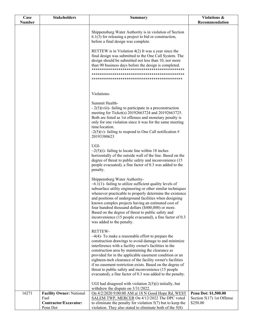| Case   | <b>Stakeholders</b>                       | Summary                                                                                                                                                                                                                                                                                                                                                                                                                                                                                                                                                | Violations &                            |
|--------|-------------------------------------------|--------------------------------------------------------------------------------------------------------------------------------------------------------------------------------------------------------------------------------------------------------------------------------------------------------------------------------------------------------------------------------------------------------------------------------------------------------------------------------------------------------------------------------------------------------|-----------------------------------------|
| Number |                                           |                                                                                                                                                                                                                                                                                                                                                                                                                                                                                                                                                        | Recommendation                          |
|        |                                           | Shippensburg Water Authority is in violation of Section<br>$6.1(3)$ for releasing a project to bid or construction,<br>before a final design was complete.                                                                                                                                                                                                                                                                                                                                                                                             |                                         |
|        |                                           | RETTEW is in Violation $4(2)$ It was a year since the<br>final design was submitted to the One Call System. The<br>design should be submitted not less than 10, nor more<br>than 90 business days before the design is completed.                                                                                                                                                                                                                                                                                                                      |                                         |
|        |                                           |                                                                                                                                                                                                                                                                                                                                                                                                                                                                                                                                                        |                                         |
|        |                                           | Violations-                                                                                                                                                                                                                                                                                                                                                                                                                                                                                                                                            |                                         |
|        |                                           | Summit Health-<br>$-2(5)$ (viii)-failing to participate in a preconstruction<br>meeting for Ticket(s) 20192663724 and 20192663725.<br>Both are listed as 1st offenses and monetary penalty is<br>only for one violation since it was for the same meeting<br>time/location.<br>-2(5)(v)- failing to respond to One Call notification #<br>20193380623                                                                                                                                                                                                  |                                         |
|        |                                           | UGI-<br>$\sim$ 2(5)(i)-failing to locate line within 18 inches<br>horizontally of the outside wall of the line. Based on the<br>degree of threat to public safety and inconvenience (15<br>people evacuated), a fine factor of 0.3 was added to the<br>penalty.                                                                                                                                                                                                                                                                                        |                                         |
|        |                                           | Shippensburg Water Authority-<br>$\sim 6.1(1)$ - failing to utilize sufficient quality levels of<br>subsurface utility engineering or other similar techniques<br>whenever practicable to properly determine the existence<br>and positions of underground facilities when designing<br>known complex projects having an estimated cost of<br>four hundred thousand dollars (\$400,000) or more.<br>Based on the degree of threat to public safety and<br>inconvenience $(15$ people evacuated), a fine factor of 0.3<br>was added to the penalty.     |                                         |
|        |                                           | RETTEW-<br>$\sim$ 4(4)- To make a reasonable effort to prepare the<br>construction drawings to avoid damage to and minimize<br>interference with a facility owner's facilities in the<br>construction area by maintaining the clearance as<br>provided for in the applicable easement condition or an<br>eighteen-inch clearance of the facility owner's facilities<br>if no easement restriction exists. Based on the degree of<br>threat to public safety and inconvenience (15 people<br>evacuated), a fine factor of 0.3 was added to the penalty. |                                         |
| 16271  | <b>Facility Owner: National</b>           | UGI had disagreed with violation $2(5)(i)$ initially, but<br>withdrew the dispute on $3/31/2022$ .<br>On 4/2/2020 9:00:00 AM at 18 N Good Hope Rd, WEST                                                                                                                                                                                                                                                                                                                                                                                                | Penn Dot: \$1,500.00                    |
|        | Fuel<br>Contractor/Excavator:<br>Penn Dot | SALEM TWP, MERCER On 4/12/2022 The DPC voted<br>to eliminate the penalty for violation $5(7)$ but to keep the<br>violation. They also stated to eliminate both of the $5(8)$                                                                                                                                                                                                                                                                                                                                                                           | Section $5(17)$ 1st Offense<br>\$250.00 |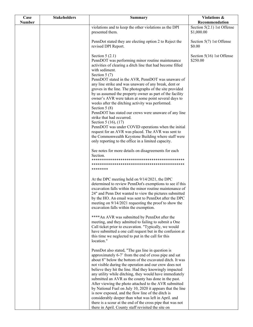| Case          | <b>Stakeholders</b> | <b>Summary</b>                                                                                                                                                                                                                                                                                                                                                                                                                                                                                                                                                                                                                                                                                                                                                                                                               | Violations &                               |
|---------------|---------------------|------------------------------------------------------------------------------------------------------------------------------------------------------------------------------------------------------------------------------------------------------------------------------------------------------------------------------------------------------------------------------------------------------------------------------------------------------------------------------------------------------------------------------------------------------------------------------------------------------------------------------------------------------------------------------------------------------------------------------------------------------------------------------------------------------------------------------|--------------------------------------------|
| <b>Number</b> |                     |                                                                                                                                                                                                                                                                                                                                                                                                                                                                                                                                                                                                                                                                                                                                                                                                                              | Recommendation                             |
|               |                     | violations and to keep the other violations as the DPI<br>presented them.                                                                                                                                                                                                                                                                                                                                                                                                                                                                                                                                                                                                                                                                                                                                                    | Section $5(2.1)$ 1st Offense<br>\$1,000.00 |
|               |                     | PennDot stated they are electing option 2 to Reject the<br>revised DPI Report.                                                                                                                                                                                                                                                                                                                                                                                                                                                                                                                                                                                                                                                                                                                                               | Section 5(7) 1st Offense<br>\$0.00         |
|               |                     | Section $5(2.1)$<br>PennDOT was performing minor routine maintenance<br>activities of clearing a ditch line that had become filled<br>with sediment.<br>Section $5(7)$<br>PennDOT stated in the AVR, PennDOT was unaware of<br>any line strike and was unaware of any break, dent or<br>groves in the line. The photographs of the site provided<br>by us assumed the property owner as part of the facility<br>owner's AVR were taken at some point several days to<br>weeks after the ditching activity was performed.<br>Section $5(8)$<br>PennDOT has stated our crews were unaware of any line<br>strike that had occurred.<br>Section 5 (16), (17)<br>PennDOT was under COVID operations when the initial<br>request for an AVR was placed. The AVR was sent to<br>the Commonwealth Keystone Building where staff were | Section 5(16) 1st Offense<br>\$250.00      |
|               |                     | only reporting to the office in a limited capacity.<br>See notes for more details on disagreements for each<br>Section.                                                                                                                                                                                                                                                                                                                                                                                                                                                                                                                                                                                                                                                                                                      |                                            |
|               |                     | ********                                                                                                                                                                                                                                                                                                                                                                                                                                                                                                                                                                                                                                                                                                                                                                                                                     |                                            |
|               |                     | At the DPC meeting held on 9/14/2021, the DPC<br>determined to review PennDot's exemptions to see if this<br>excavation falls within the minor routine maintenance of<br>24" and Penn Dot wanted to view the pictures submitted<br>by the HO. An email was sent to PennDot after the DPC<br>meeting on 9/14/2021 requesting the proof to show the<br>excavation falls within the exemption.                                                                                                                                                                                                                                                                                                                                                                                                                                  |                                            |
|               |                     | **** An AVR was submitted by PennDot after the<br>meeting, and they admitted to failing to submit a One<br>Call ticket prior to excavation. "Typically, we would<br>have submitted a one call request but in the confusion at<br>this time we neglected to put in the call for this<br>location."                                                                                                                                                                                                                                                                                                                                                                                                                                                                                                                            |                                            |
|               |                     | PennDot also stated, "The gas line in question is<br>approximately 6-7' from the end of cross pipe and sat<br>about 8" below the bottom of the excavated ditch. It was<br>not visible during the operation and our crew does not<br>believe they hit the line. Had they knowingly impacted<br>any utility while ditching, they would have immediately<br>submitted an AVR as the county has done in the past.<br>After viewing the photo attached to the AVR submitted<br>by National Fuel on July 10, 2020 it appears that the line                                                                                                                                                                                                                                                                                         |                                            |
|               |                     | is now exposed, and the flow line of the ditch is<br>considerably deeper than what was left in April. and<br>there is a scour at the end of the cross pipe that was not<br>there in April. County staff revisited the site on                                                                                                                                                                                                                                                                                                                                                                                                                                                                                                                                                                                                |                                            |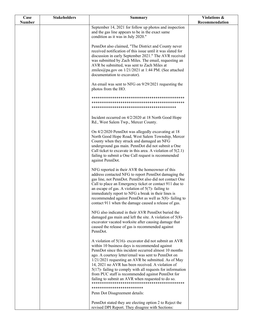| Case          | <b>Stakeholders</b> | <b>Summary</b>                                                                                                      | Violations &   |
|---------------|---------------------|---------------------------------------------------------------------------------------------------------------------|----------------|
| <b>Number</b> |                     |                                                                                                                     | Recommendation |
|               |                     | September 14, 2021 for follow up photos and inspection<br>and the gas line appears to be in the exact same          |                |
|               |                     | condition as it was in July 2020."                                                                                  |                |
|               |                     |                                                                                                                     |                |
|               |                     | PennDot also claimed, "The District and County never<br>received notification of this issue until it was slated for |                |
|               |                     | discussion in early September 2021." The AVR received                                                               |                |
|               |                     | was submitted by Zach Miles. The email, requesting an                                                               |                |
|               |                     | AVR be submitted, was sent to Zach Miles at                                                                         |                |
|               |                     | zmiles@pa.gov on 1/21/2021 at 1:44 PM. (See attached<br>documentation to excavator).                                |                |
|               |                     |                                                                                                                     |                |
|               |                     | An email was sent to NFG on 9/29/2021 requesting the                                                                |                |
|               |                     | photos from the HO.                                                                                                 |                |
|               |                     |                                                                                                                     |                |
|               |                     |                                                                                                                     |                |
|               |                     |                                                                                                                     |                |
|               |                     | Incident occurred on 4/2/2020 at 18 North Good Hope                                                                 |                |
|               |                     | Rd., West Salem Twp., Mercer County.                                                                                |                |
|               |                     | On 4/2/2020 PennDot was allegedly excavating at 18                                                                  |                |
|               |                     | North Good Hope Road, West Salem Township, Mercer                                                                   |                |
|               |                     | County when they struck and damaged an NFG                                                                          |                |
|               |                     | underground gas main. PennDot did not submit a One<br>Call ticket to excavate in this area. A violation of $5(2.1)$ |                |
|               |                     | failing to submit a One Call request is recommended                                                                 |                |
|               |                     | against PennDot.                                                                                                    |                |
|               |                     | NFG reported in their AVR the homeowner of this                                                                     |                |
|               |                     | address contacted NFG to report PennDot damaging the                                                                |                |
|               |                     | gas line, not PennDot. PennDot also did not contact One                                                             |                |
|               |                     | Call to place an Emergency ticket or contact 911 due to<br>an escape of gas. A violation of $5(7)$ - failing to     |                |
|               |                     | immediately report to NFG a break in their lines is                                                                 |                |
|               |                     | recommended against PennDot as well as 5(8)-failing to                                                              |                |
|               |                     | contact 911 when the damage caused a release of gas.                                                                |                |
|               |                     | NFG also indicated in their AVR PennDot buried the                                                                  |                |
|               |                     | damaged gas main and left the site. A violation of $5(8)$ -                                                         |                |
|               |                     | excavator vacated worksite after causing damage that<br>caused the release of gas is recommended against            |                |
|               |                     | PennDot.                                                                                                            |                |
|               |                     | A violation of $5(16)$ - excavator did not submit an AVR                                                            |                |
|               |                     | within 10 business days is recommended against                                                                      |                |
|               |                     | PennDot since this incident occurred almost 10 months                                                               |                |
|               |                     | ago. A courtesy letter/email was sent to PennDot on                                                                 |                |
|               |                     | 1/21/2021 requesting an AVR be submitted. As of May<br>14, 2021 no AVR has been received. A violation of            |                |
|               |                     | $5(17)$ - failing to comply with all requests for information                                                       |                |
|               |                     | from PUC staff is recommended against PennDot for                                                                   |                |
|               |                     | failing to submit an AVR when requested to do so.                                                                   |                |
|               |                     | *************************                                                                                           |                |
|               |                     | Penn Dot Disagreement details:                                                                                      |                |
|               |                     | PennDot stated they are electing option 2 to Reject the                                                             |                |
|               |                     | revised DPI Report. They disagree with Sections:                                                                    |                |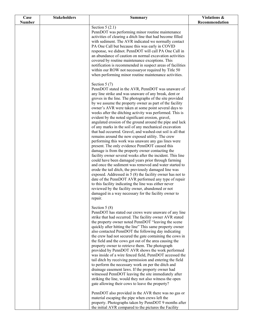| Case          | <b>Stakeholders</b> | <b>Summary</b>                                                                                                                                                                                                                                                                                                                                                                                                                                                                                                                                                                                                                                                                                                                                                                                                                                                                                                                                                                                                                                                                                                                                                                                                                                                                                                                                                                 | Violations &   |
|---------------|---------------------|--------------------------------------------------------------------------------------------------------------------------------------------------------------------------------------------------------------------------------------------------------------------------------------------------------------------------------------------------------------------------------------------------------------------------------------------------------------------------------------------------------------------------------------------------------------------------------------------------------------------------------------------------------------------------------------------------------------------------------------------------------------------------------------------------------------------------------------------------------------------------------------------------------------------------------------------------------------------------------------------------------------------------------------------------------------------------------------------------------------------------------------------------------------------------------------------------------------------------------------------------------------------------------------------------------------------------------------------------------------------------------|----------------|
| <b>Number</b> |                     |                                                                                                                                                                                                                                                                                                                                                                                                                                                                                                                                                                                                                                                                                                                                                                                                                                                                                                                                                                                                                                                                                                                                                                                                                                                                                                                                                                                | Recommendation |
|               |                     | Section $5(2.1)$<br>PennDOT was performing minor routine maintenance<br>activities of clearing a ditch line that had become filled<br>with sediment. The AVR indicated we normally contact<br>PA One Call but because this was early in COVID<br>response, we didnot. PennDOT will call PA One Call in<br>an abundance of caution on normal excavation activities<br>covered by routine maintenance exceptions. This<br>notification is recommended in suspect areas of facilities<br>within our ROW not necessaryor required by Title 50<br>when performing minor routine maintenance activities.                                                                                                                                                                                                                                                                                                                                                                                                                                                                                                                                                                                                                                                                                                                                                                             |                |
|               |                     | Section $5(7)$<br>PennDOT stated in the AVR, PennDOT was unaware of<br>any line strike and was unaware of any break, dent or<br>groves in the line. The photographs of the site provided<br>by we assume the property owner as part of the facility<br>owner's AVR were taken at some point several days to<br>weeks after the ditching activity was performed. This is<br>evident by the noted significant erosion, gravel,<br>angulated erosion of the ground around the pipe and lack<br>of any marks in the soil of any mechanical excavation<br>that had occurred. Gravel, and washed-out soil is all that<br>remains around the now exposed utility. The crew<br>performing this work was unaware any gas lines were<br>present. The only evidence PennDOT caused this<br>damage is from the property owner contacting the<br>facility owner several weeks after the incident. This line<br>could have been damaged years prior through farming<br>and once the sediment was removed and water started to<br>erode the tail ditch, the previously damaged line was<br>exposed. Addressed in $5(8)$ the facility owner has not to<br>date of the PennDOT AVR performed any type of repair<br>to this facility indicating the line was either never<br>reviewed by the facility owner, abandoned or not<br>damaged in a way necessary for the facility owner to<br>repair. |                |
|               |                     | Section $5(8)$<br>PennDOT has stated our crews were unaware of any line<br>strike that had occurred. The facility owner AVR stated<br>the property owner noted PennDOT "leaving the scene<br>quickly after hitting the line" This same property owner<br>also contacted PennDOT the following day indicating<br>the crew had not secured the gate containing the cows in<br>the field and the cows got out of the area causing the<br>property owner to retrieve them. The photograph<br>provided by PennDOT AVR shows the work performed<br>was inside of a wire fenced field, PennDOT accessed the<br>tail ditch by receiving permission and entering the field<br>to perform the necessary work on per the ditch and<br>drainage easement laws. If the property owner had<br>witnessed PennDOT leaving the site immediately after<br>striking the line, would they not also witness the open<br>gate allowing their cows to leave the property?<br>PennDOT also provided in the AVR there was no gas or<br>material escaping the pipe when crews left the<br>property. Photographs taken by PennDOT 9 months after<br>the initial AVR compared to the pictures the Facility                                                                                                                                                                                                 |                |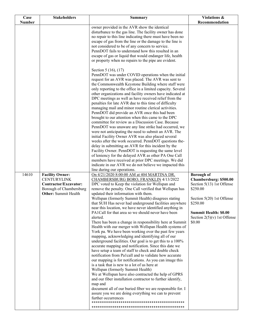| Case          | <b>Stakeholders</b>                                                                                                             | <b>Summary</b>                                                                                                                                                                                                                                                                                                                                                                                                                                                                                                                                                                                                                                                                                                                                                                                                                                                                                                                                                                                                                                                                                                                                                                                                                                                                                                                                                                                      | Violations &                                                                                                                                                                                             |
|---------------|---------------------------------------------------------------------------------------------------------------------------------|-----------------------------------------------------------------------------------------------------------------------------------------------------------------------------------------------------------------------------------------------------------------------------------------------------------------------------------------------------------------------------------------------------------------------------------------------------------------------------------------------------------------------------------------------------------------------------------------------------------------------------------------------------------------------------------------------------------------------------------------------------------------------------------------------------------------------------------------------------------------------------------------------------------------------------------------------------------------------------------------------------------------------------------------------------------------------------------------------------------------------------------------------------------------------------------------------------------------------------------------------------------------------------------------------------------------------------------------------------------------------------------------------------|----------------------------------------------------------------------------------------------------------------------------------------------------------------------------------------------------------|
| <b>Number</b> |                                                                                                                                 |                                                                                                                                                                                                                                                                                                                                                                                                                                                                                                                                                                                                                                                                                                                                                                                                                                                                                                                                                                                                                                                                                                                                                                                                                                                                                                                                                                                                     | Recommendation                                                                                                                                                                                           |
|               |                                                                                                                                 | owner provided in the AVR show the identical<br>disturbance to the gas line. The facility owner has done<br>no repair to this line indicating there must have been no<br>escape of gas from the line or the damage to the line is<br>not considered to be of any concern to service.<br>PennDOT fails to understand how this resulted in an<br>escape of gas or liquid that would endanger life, health<br>or property when no repairs to the pipe are evident.                                                                                                                                                                                                                                                                                                                                                                                                                                                                                                                                                                                                                                                                                                                                                                                                                                                                                                                                     |                                                                                                                                                                                                          |
|               |                                                                                                                                 | Section 5 (16), (17)<br>PennDOT was under COVID operations when the initial<br>request for an AVR was placed. The AVR was sent to<br>the Commonwealth Keystone Building where staff were<br>only reporting to the office in a limited capacity. Several<br>other organizations and facility owners have indicated at<br>DPC meetings as well as have received relief from the<br>penalties for late AVR due to this time of difficulty<br>managing mail and minor routine clerical activities.<br>PennDOT did provide an AVR once this had been<br>brought to our attention when this came to the DPC<br>committee for review as a Discussion Case. Because<br>PennDOT was unaware any line strike had occurred, we<br>were not anticipating the need to submit an AVR. The<br>initial Facility Owner AVR was also placed several<br>weeks after the work occurred. PennDOT questions the-<br>delay in submitting an AVR for this incident by the<br>Facility Owner. PennDOT is requesting the same level<br>of leniency for the delayed AVR as other PA One Call<br>members have received at prior DPC meetings. We did<br>indicate in our AVR we do not believe we impacted this<br>line during our operations.                                                                                                                                                                                   |                                                                                                                                                                                                          |
| 14610         | <b>Facility Owner:</b><br><b>CENTURYLINK</b><br>Contractor/Excavator:<br>Borough of Chambersburg<br><b>Other:</b> Summit Health | On 4/21/2020 8:00:00 AM at 404 MARTINA DR.<br>CHAMBERSBURG BORO, FRANKLIN 4/13/2022<br>DPC voted to Keep the violation for Wellspan and<br>remove the penalty. One Call verified that Wellspan has<br>updated their information with them.<br>Wellspan (formerly Summit Health) disagrees stating<br>that SUH Has never had underground facilities anywhere<br>near this location, we have never identified anything in<br>PA1Call for that area so we should never have been<br>alerted.<br>There has been a change in responsibility here at Summit<br>Health with our merger with Wellspan Health systems of<br>York pa. We have been working over the past few years<br>mapping, acknowledging and identifying all of our<br>underground facilities. Our goal is to get this to a 100%<br>accurate mapping and notification. Since this date we<br>have setup a team of staff to check and double check<br>notification from Pa1call and to validate how accurate<br>our mapping is for notifications. As you can image this<br>is a task that is new to a lot of us here at<br>Wellspan (formerly Summit Health)<br>We at Wellspan have also contracted the help of GPRS<br>and our fiber installation contractor to further identify,<br>map and<br>document all of our buried fiber we are responsible for. I<br>assure you we are doing everything we can to prevent<br>further occurrences | <b>Borough of</b><br>Chambersburg: \$500.00<br>Section 5(13) 1st Offense<br>\$250.00<br>Section 5(20) 1st Offense<br>\$250.00<br><b>Summit Health: \$0.00</b><br>Section $2(5)(v)$ 1st Offense<br>\$0.00 |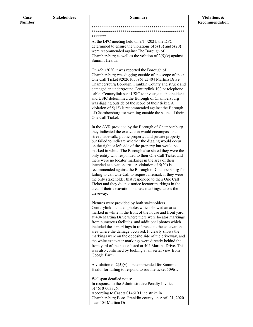| Case          | <b>Stakeholders</b> | <b>Summary</b>                                                                                                  | Violations &   |
|---------------|---------------------|-----------------------------------------------------------------------------------------------------------------|----------------|
| <b>Number</b> |                     |                                                                                                                 | Recommendation |
|               |                     |                                                                                                                 |                |
|               |                     | *******                                                                                                         |                |
|               |                     | At the DPC meeting held on 9/14/2021, the DPC                                                                   |                |
|               |                     | determined to ensure the violations of $5(13)$ and $5(20)$                                                      |                |
|               |                     | were recommended against The Borough of                                                                         |                |
|               |                     | Chambersburg as well as the volition of $2(5)(v)$ against                                                       |                |
|               |                     | Summit Health.                                                                                                  |                |
|               |                     | On 4/21/2020 it was reported the Borough of                                                                     |                |
|               |                     | Chambersburg was digging outside of the scope of their                                                          |                |
|               |                     | One Call Ticket #20201050961 at 404 Martina Drive,                                                              |                |
|               |                     | Chambersburg Borough, Franklin County and struck and                                                            |                |
|               |                     | damaged an underground Centurylink 100 pr telephone                                                             |                |
|               |                     | cable. Centurylink sent USIC to investigate the incident                                                        |                |
|               |                     | and USIC determined the Borough of Chambersburg<br>was digging outside of the scope of their ticket. A          |                |
|               |                     | violation of $5(13)$ is recommended against the Borough                                                         |                |
|               |                     | of Chambersburg for working outside the scope of their                                                          |                |
|               |                     | One Call Ticket.                                                                                                |                |
|               |                     |                                                                                                                 |                |
|               |                     | In the AVR provided by the Borough of Chambersburg,                                                             |                |
|               |                     | they indicated the excavation would encompass the<br>street, sidewalk, public property, and private property    |                |
|               |                     | but failed to indicate whether the digging would occur                                                          |                |
|               |                     | on the right or left side of the property but would be                                                          |                |
|               |                     | marked in white. The Borough also stated they were the                                                          |                |
|               |                     | only entity who responded to their One Call Ticket and                                                          |                |
|               |                     | there were no locator markings in the area of their<br>intended excavation area. A violation of $5(20)$ is      |                |
|               |                     | recommended against the Borough of Chambersburg for                                                             |                |
|               |                     | failing to call One Call to request a remark if they were                                                       |                |
|               |                     | the only stakeholder that responded to their One Call                                                           |                |
|               |                     | Ticket and they did not notice locator markings in the                                                          |                |
|               |                     | area of their excavation but saw markings across the<br>driveway.                                               |                |
|               |                     |                                                                                                                 |                |
|               |                     | Pictures were provided by both stakeholders.                                                                    |                |
|               |                     | Centurylink included photos which showed an area                                                                |                |
|               |                     | marked in white in the front of the house and front yard                                                        |                |
|               |                     | at 404 Martina Drive where there were locator markings<br>from numerous facilities, and additional photos which |                |
|               |                     | included these markings in reference to the excavation                                                          |                |
|               |                     | area where the damage occurred. It clearly shows the                                                            |                |
|               |                     | markings were on the opposite side of the driveway, and                                                         |                |
|               |                     | the white excavator markings were directly behind the                                                           |                |
|               |                     | front yard of the house listed at 404 Martina Drive. This                                                       |                |
|               |                     | was also confirmed by looking at an aerial view from<br>Google Earth.                                           |                |
|               |                     |                                                                                                                 |                |
|               |                     | A violation of $2(5)(v)$ is recommended for Summit                                                              |                |
|               |                     | Health for failing to respond to routine ticket 50961.                                                          |                |
|               |                     | Wellspan detailed notes:                                                                                        |                |
|               |                     | In response to the Administrative Penalty Invoice                                                               |                |
|               |                     | 014610-003326.                                                                                                  |                |
|               |                     | According to Case $#014610$ Line strike in                                                                      |                |
|               |                     | Chambersburg Boro. Franklin county on April 21, 2020                                                            |                |
|               |                     | near 404 Martina Dr.                                                                                            |                |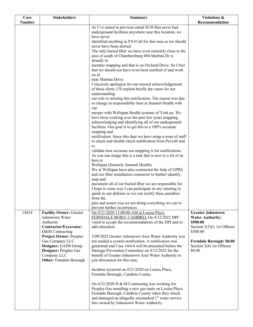| Case          | <b>Stakeholders</b>                               | <b>Summary</b>                                                                                                     | Violations &                                        |
|---------------|---------------------------------------------------|--------------------------------------------------------------------------------------------------------------------|-----------------------------------------------------|
| <b>Number</b> |                                                   | As I've stated in previous email SUH Has never had                                                                 | Recommendation                                      |
|               |                                                   | underground facilities anywhere near this location, we                                                             |                                                     |
|               |                                                   | have never                                                                                                         |                                                     |
|               |                                                   | identified anything in PA1Call for that area so we should                                                          |                                                     |
|               |                                                   | never have been alerted.<br>The only buried fiber we have even remotely close to the                               |                                                     |
|               |                                                   | area of south of Chambersburg 404 Martina Dr is                                                                    |                                                     |
|               |                                                   | already in                                                                                                         |                                                     |
|               |                                                   | member mapping and that is on Orchard Drive. So I feel                                                             |                                                     |
|               |                                                   | that we should not have even been notified of and work                                                             |                                                     |
|               |                                                   | on or<br>near Martina Drive.                                                                                       |                                                     |
|               |                                                   | I sincerely apologize for our missed acknowledgement                                                               |                                                     |
|               |                                                   | of these alerts. I'll explain briefly the cause for not                                                            |                                                     |
|               |                                                   | understanding                                                                                                      |                                                     |
|               |                                                   | our role or missing this notification. The reason was due                                                          |                                                     |
|               |                                                   | to change in responsibility here at Summit Health with                                                             |                                                     |
|               |                                                   | our<br>merger with Wellspan Health systems of York pa. We                                                          |                                                     |
|               |                                                   | have been working over the past few years mapping,                                                                 |                                                     |
|               |                                                   | acknowledging and identifying all of our underground                                                               |                                                     |
|               |                                                   | facilities. Our goal is to get this to a 100% accurate                                                             |                                                     |
|               |                                                   | mapping and<br>notification. Since this date we have setup a team of staff                                         |                                                     |
|               |                                                   | to check and double check notification from Pa1call and                                                            |                                                     |
|               |                                                   | to                                                                                                                 |                                                     |
|               |                                                   | validate how accurate our mapping is for notifications.                                                            |                                                     |
|               |                                                   | As you can image this is a task that is new to a lot of us                                                         |                                                     |
|               |                                                   | here at<br>Wellspan (formerly Summit Health).                                                                      |                                                     |
|               |                                                   | We at Wellspan have also contracted the help of GPRS                                                               |                                                     |
|               |                                                   | and our fiber installation contractor to further identify,                                                         |                                                     |
|               |                                                   | map and                                                                                                            |                                                     |
|               |                                                   | document all of our buried fiber we are responsible for.<br>I hope is some way I can participate in any meeting to |                                                     |
|               |                                                   | speak to our defense so we can rectify these penalties                                                             |                                                     |
|               |                                                   | from the                                                                                                           |                                                     |
|               |                                                   | past and assure you we are doing everything we can to                                                              |                                                     |
| 14414         |                                                   | prevent further occurrences                                                                                        |                                                     |
|               | <b>Facility Owner: Greater</b><br>Johnstown Water | On 4/21/2020 11:00:00 AM at Louisa Place,<br>FERNDALE BORO, CAMBRIA On 4/12/2022 DPC                               | <b>Greater Johnstown</b><br><b>Water Authority:</b> |
|               | Authority                                         | voted to accept the recommendations of the DPI and to                                                              | \$500.00                                            |
|               | Contractor/Excavator:                             | add education.                                                                                                     | Section $2(5)(i)$ 1st Offense                       |
|               | D&M Contracting                                   |                                                                                                                    | \$500.00                                            |
|               | <b>Project Owner: Peoples</b><br>Gas Company LLC  | 3/09/2022 Greater Johnstown Area Water Authority was<br>not mailed a system notification. A notification was       | <b>Ferndale Borough: \$0.00</b>                     |
|               | Designer: EADS Group                              | generated and Case 14414 will be presented before the                                                              | Section 2(4) 1st Offense                            |
|               | Designer: Peoples Gas                             | Damage Prevention Committee on 4/12/2022 for the                                                                   | \$0.00                                              |
|               | Company LLC                                       | benefit of Greater Johnstown Area Water Authority to                                                               |                                                     |
|               | <b>Other: Ferndale Borough</b>                    | join discussion for this case.                                                                                     |                                                     |
|               |                                                   | Incident occurred on 4/21/2020 on Louisa Place,                                                                    |                                                     |
|               |                                                   | Ferndale Borough, Cambria County.                                                                                  |                                                     |
|               |                                                   |                                                                                                                    |                                                     |
|               |                                                   | On $4/21/2020$ D & M Contracting was working for<br>Peoples Gas installing a new gas main on Louisa Place,         |                                                     |
|               |                                                   | Ferndale Borough, Cambria County when they struck                                                                  |                                                     |
|               |                                                   | and damaged an allegedly mismarked 1" water service                                                                |                                                     |
|               |                                                   | line owned by Johnstown Water Authority.                                                                           |                                                     |
|               |                                                   |                                                                                                                    |                                                     |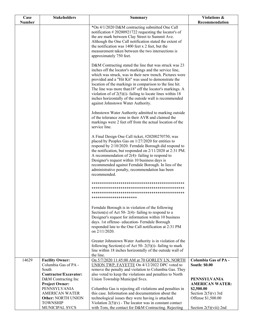| Case<br><b>Number</b> | <b>Stakeholders</b>                                                                                            | Summary                                                                                                                                                                                                                                                                                                                                                                                                                                                                                                                                                  | Violations &<br>Recommendation                                                       |
|-----------------------|----------------------------------------------------------------------------------------------------------------|----------------------------------------------------------------------------------------------------------------------------------------------------------------------------------------------------------------------------------------------------------------------------------------------------------------------------------------------------------------------------------------------------------------------------------------------------------------------------------------------------------------------------------------------------------|--------------------------------------------------------------------------------------|
|                       |                                                                                                                | *On 4/1/2020 D&M contracting submitted One Call<br>notification #20200921722 requesting the locator's of<br>the are mark between Clay Street to Summit Ave.<br>Although the One Call notification stated the extent of<br>the notification was 1400 feet x 2 feet, but the<br>measurement taken between the two intersections is                                                                                                                                                                                                                         |                                                                                      |
|                       |                                                                                                                | approximately 750 feet.<br>D&M Contracting stated the line that was struck was 23<br>inches off the locator's markings and the service line,<br>which was struck, was in their new trench. Pictures were<br>provided and a "Hit Kit" was used to demonstrate the<br>location of the markings in comparison to the line hit.<br>The line was more than 18" off the locator's markings. A<br>violation of of $2(5)(i)$ - failing to locate lines within 18<br>inches horizontally of the outside wall is recommended<br>against Johnstown Water Authority. |                                                                                      |
|                       |                                                                                                                | Johnstown Water Authority admitted to marking outside<br>of the tolerance zone in their AVR and claimed the<br>markings were 2 feet off from the actual location of the<br>service line.                                                                                                                                                                                                                                                                                                                                                                 |                                                                                      |
|                       |                                                                                                                | A Final Design One Call ticket, #20200270750, was<br>placed by Peoples Gas on 1/27/2020 for entities to<br>respond by 2/10/2020. Ferndale Borough did respond to<br>the notification, but responded on 2/11/2020 at 2:31 PM.<br>A recommendation of $2(4)$ - failing to respond to<br>Designer's request within 10 business days is<br>recommended against Ferndale Borough. In lieu of the<br>administrative penalty, recommendation has been<br>recommended.                                                                                           |                                                                                      |
|                       |                                                                                                                | **********************                                                                                                                                                                                                                                                                                                                                                                                                                                                                                                                                   |                                                                                      |
|                       |                                                                                                                | Ferndale Borough is in violation of the following<br>Section(s) of Act 50- 2(4)-failing to respond to a<br>Designer's request for information within 10 business<br>days. 1st offense- education- Ferndale Borough<br>responded late to the One Call notification at 2:31 PM<br>on 2/11/2020.                                                                                                                                                                                                                                                            |                                                                                      |
|                       |                                                                                                                | Greater Johnstown Water Authority is in violation of the<br>following Section(s) of Act 50- $2(5)(i)$ - failing to mark<br>line within 18 inches horizontally of the outside wall of<br>the line.                                                                                                                                                                                                                                                                                                                                                        |                                                                                      |
| 14629                 | <b>Facility Owner:</b><br>Columbia Gas of PA -<br>South                                                        | On 5/7/2020 11:45:00 AM at 70 GORLEY LN, NORTH<br>UNION TWP, FAYETTE On 4/12/2022 DPC voted to<br>remove the penalty and violation to Columbia Gas. They                                                                                                                                                                                                                                                                                                                                                                                                 | <b>Columbia Gas of PA -</b><br><b>South: \$0.00</b>                                  |
|                       | Contractor/Excavator:<br>D&M Contracting Inc<br><b>Project Owner:</b><br>PENNSYLVANIA<br><b>AMERICAN WATER</b> | also voted to keep the violations and penalties to North<br>Union Township Municipal Svcs.<br>Columbia Gas is rejecting all violations and penalties in<br>this case. Information and documentation about the                                                                                                                                                                                                                                                                                                                                            | <b>PENNSYLVANIA</b><br><b>AMERICAN WATER:</b><br>\$2,500.00<br>Section $2(5)(v)$ 3rd |
|                       | <b>Other: NORTH UNION</b><br><b>TOWNSHIP</b><br>MUNICIPAL SVCS                                                 | technological issues they were having is attached.<br>Violation $2(5)(v)$ - The locator was in constant contact<br>with Tom, the contact for D&M Contracting. Rejecting                                                                                                                                                                                                                                                                                                                                                                                  | Offense \$1,500.00<br>Section $2(5)(viii)$ 2nd                                       |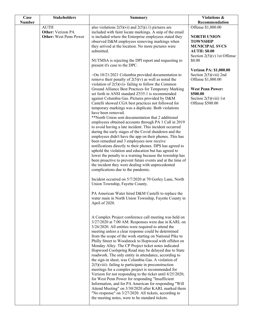| Case          | <b>Stakeholders</b>                                                      | <b>Summary</b>                                                                                                                                                                                                                                                                                                                                                                                                                                                                                                                                                                                                                                                                                                                                                                                                                                                                                                                                                                                                                                                                                                                                                                                                                                                                                                                                                                                                                                                                                                                                                                                                                                                                                                                                                                                                                                                                                                                                                                                                                                                                                                                                         | Violations &                                                                                                                                 |
|---------------|--------------------------------------------------------------------------|--------------------------------------------------------------------------------------------------------------------------------------------------------------------------------------------------------------------------------------------------------------------------------------------------------------------------------------------------------------------------------------------------------------------------------------------------------------------------------------------------------------------------------------------------------------------------------------------------------------------------------------------------------------------------------------------------------------------------------------------------------------------------------------------------------------------------------------------------------------------------------------------------------------------------------------------------------------------------------------------------------------------------------------------------------------------------------------------------------------------------------------------------------------------------------------------------------------------------------------------------------------------------------------------------------------------------------------------------------------------------------------------------------------------------------------------------------------------------------------------------------------------------------------------------------------------------------------------------------------------------------------------------------------------------------------------------------------------------------------------------------------------------------------------------------------------------------------------------------------------------------------------------------------------------------------------------------------------------------------------------------------------------------------------------------------------------------------------------------------------------------------------------------|----------------------------------------------------------------------------------------------------------------------------------------------|
| <b>Number</b> |                                                                          |                                                                                                                                                                                                                                                                                                                                                                                                                                                                                                                                                                                                                                                                                                                                                                                                                                                                                                                                                                                                                                                                                                                                                                                                                                                                                                                                                                                                                                                                                                                                                                                                                                                                                                                                                                                                                                                                                                                                                                                                                                                                                                                                                        | Recommendation                                                                                                                               |
|               | <b>AUTH</b><br><b>Other:</b> Verizon PA<br><b>Other:</b> West Penn Power | also violations $2(5)(vi)$ and $2(5)(i.1)$ pictures are<br>included with faint locate markings. A snip of the email<br>is included where the Enterprise employees stated they<br>observed D&M employees removing markings when<br>they arrived at the location. No more pictures were<br>submitted.                                                                                                                                                                                                                                                                                                                                                                                                                                                                                                                                                                                                                                                                                                                                                                                                                                                                                                                                                                                                                                                                                                                                                                                                                                                                                                                                                                                                                                                                                                                                                                                                                                                                                                                                                                                                                                                    | Offense \$1,000.00<br><b>NORTH UNION</b><br><b>TOWNSHIP</b><br><b>MUNICIPAL SVCS</b><br><b>AUTH: \$0.00</b><br>Section $2(5)(v)$ 1st Offense |
|               |                                                                          | NUTMSA is rejecting the DPI report and requesting to<br>present it's case to the DPC.                                                                                                                                                                                                                                                                                                                                                                                                                                                                                                                                                                                                                                                                                                                                                                                                                                                                                                                                                                                                                                                                                                                                                                                                                                                                                                                                                                                                                                                                                                                                                                                                                                                                                                                                                                                                                                                                                                                                                                                                                                                                  | \$0.00                                                                                                                                       |
|               |                                                                          | $\sim$ On 10/21/2021 Columbia provided documentation to<br>remove their penalty of $2(5)(v)$ as well as noted the<br>violation of $2(5)(vi)$ - failing to follow the Common<br>Ground Alliance Best Practices for Temporary Marking<br>set forth in ANSI standard Z535.1 is recommended                                                                                                                                                                                                                                                                                                                                                                                                                                                                                                                                                                                                                                                                                                                                                                                                                                                                                                                                                                                                                                                                                                                                                                                                                                                                                                                                                                                                                                                                                                                                                                                                                                                                                                                                                                                                                                                                | <b>Verizon PA: \$1,000.00</b><br>Section $2(5)(viii)$ 2nd<br>Offense \$1,000.00<br><b>West Penn Power:</b><br>\$500.00                       |
|               |                                                                          | against Columbia Gas. Pictures provided by D&M<br>Castelli showed CGA best practices not followed for<br>temporary markings was a duplicate. Both violations<br>have been removed.<br>**North Union sent documentation that 2 additional<br>employees obtained accounts through PA 1 Call in 2019<br>to avoid having a late incident. This incident occurred<br>during the early stages of the Covid shutdown and the<br>employees didn't have the app on their phones. This has<br>been remedied and 3 employees now receive<br>notifications directly to their phones. DPS has agreed to<br>uphold the violation and education but has agreed to<br>lower the penalty to a warning because the township has<br>been proactive to prevent future events and at the time of<br>the incident they were dealing with unprecedented<br>complications due to the pandemic.<br>Incident occurred on 5/7/2020 at 70 Gorley Lane, North<br>Union Township, Fayette County.<br>PA American Water hired D&M Castelli to replace the<br>water main in North Union Township, Fayette County in<br>April of 2020.<br>A Complex Project conference call meeting was held on<br>3/27/2020 at 7:00 AM. Responses were due in KARL on<br>$3/26/2020$ . All entities were required to attend the<br>meeting unless a clear response could be determined<br>from the scope of the work starting on National Pike to<br>Philly Street to Woodstock to Hopwood with offshot on<br>Monday Alley. The CP Project ticket notes indicated<br>Hopwood Coolspring Road may be delayed due to State<br>roadwork. The only entity in attendance, according to<br>the sign-in sheet, was Columbia Gas. A violation of<br>$2(5)$ (viii)- failing to participate in preconstruction<br>meetings for a complex project is recommended for<br>Verizon for not responding to the ticket until 4/25/2020,<br>for West Penn Power for responding "Insufficient<br>Information, and for PA American for responding "Will<br>Attend Meeting" on 3/30/2020 after KARL marked them<br>"No response" on 3/27/2020. All tickets, according to<br>the meeting notes, were to be standard tickets. | Section $2(5)(viii)$ 1st<br>Offense \$500.00                                                                                                 |
|               |                                                                          |                                                                                                                                                                                                                                                                                                                                                                                                                                                                                                                                                                                                                                                                                                                                                                                                                                                                                                                                                                                                                                                                                                                                                                                                                                                                                                                                                                                                                                                                                                                                                                                                                                                                                                                                                                                                                                                                                                                                                                                                                                                                                                                                                        |                                                                                                                                              |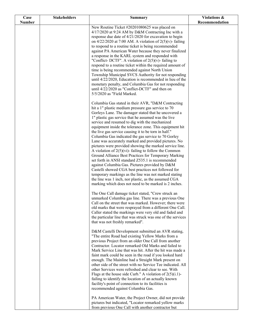| Case          | <b>Stakeholders</b> | <b>Summary</b>                                                                                                     | Violations &   |
|---------------|---------------------|--------------------------------------------------------------------------------------------------------------------|----------------|
| <b>Number</b> |                     |                                                                                                                    | Recommendation |
|               |                     | New Routine Ticket #20201080625 was placed on                                                                      |                |
|               |                     | 4/17/2020 at 9:24 AM by D&M Contracting Inc with a<br>response due date of 4/21/2020 for excavation to begin       |                |
|               |                     | on $4/22/2020$ at 7:00 AM. A violation of $2(5)(v)$ - failing                                                      |                |
|               |                     | to respond to a routine ticket is being recommended                                                                |                |
|               |                     | against PA American Water because they never finalized                                                             |                |
|               |                     | a response in the KARL system and responded with                                                                   |                |
|               |                     | "Conflict-DCTF". A violation of $2(5)(v)$ - failing to                                                             |                |
|               |                     | respond to a routine ticket within the required amount of                                                          |                |
|               |                     | time is being recommended against North Union<br>Township Municipal SVCS Authority for not responding              |                |
|               |                     | until 4/22/2020, Education is recommended in lieu of the                                                           |                |
|               |                     | monetary penalty, and Columbia Gas for not responding                                                              |                |
|               |                     | until 4/22/2020 as "Conflict-DCTF" and then on                                                                     |                |
|               |                     | 5/5/2020 as "Field Marked.                                                                                         |                |
|               |                     | Columbia Gas stated in their AVR, "D&M Contracting                                                                 |                |
|               |                     | hit a 1" plastic medium pressure gas service to 70                                                                 |                |
|               |                     | Gorleys Lane. The damager stated that he uncovered a                                                               |                |
|               |                     | 1" plastic gas service that he assumed was the live                                                                |                |
|               |                     | service and resumed to dig with the mechanized                                                                     |                |
|               |                     | equipment inside the tolerance zone. This equipment hit                                                            |                |
|               |                     | the live gas service causing it to be torn in half."<br>Columbia Gas indicated the gas service to 70 Gorley        |                |
|               |                     | Lane was accurately marked and provided pictures. No                                                               |                |
|               |                     | pictures were provided showing the marked service line.                                                            |                |
|               |                     | A violation of $2(5)(vi)$ - failing to follow the Common                                                           |                |
|               |                     | Ground Alliance Best Practices for Temporary Marking                                                               |                |
|               |                     | set forth in ANSI standard Z535.1 is recommended                                                                   |                |
|               |                     | against Columbia Gas. Pictures provided by D&M<br>Castelli showed CGA best practices not followed for              |                |
|               |                     | temporary markings as the line was not marked stating                                                              |                |
|               |                     | the line was 1 inch, nor plastic, as the assumed CGA                                                               |                |
|               |                     | marking which does not need to be marked is 2 inches.                                                              |                |
|               |                     | The One Call damage ticket stated, "Crew struck an                                                                 |                |
|               |                     | unmarked Columbia gas line. There was a previous One                                                               |                |
|               |                     | Call on the street that was marked. However; there were                                                            |                |
|               |                     | old marks that were resprayed from a different One Call.<br>Caller stated the markings were very old and faded and |                |
|               |                     | the particular line that was struck was one of the services                                                        |                |
|               |                     | that was not freshly remarked".                                                                                    |                |
|               |                     | D&M Castelli Development submitted an AVR stating,                                                                 |                |
|               |                     | "The entire Road had existing Yellow Marks from a                                                                  |                |
|               |                     | previous Project from an older One Call from another                                                               |                |
|               |                     | Contractor. Locator remarked Old Marks and failed to                                                               |                |
|               |                     | Mark Service Line that was hit. After the hit was made a                                                           |                |
|               |                     | faint mark could be seen in the road if you looked hard                                                            |                |
|               |                     | enough. The Mainline had a Straight Mark present on<br>other side of the street with no Service Tee indicated. All |                |
|               |                     | other Services were refreshed and clear to see. With                                                               |                |
|               |                     | Flags at the house side Curb." A violation of $2(5)(i.1)$ -                                                        |                |
|               |                     | failing to identify the location of an actually known                                                              |                |
|               |                     | facility's point of connection to its facilities is                                                                |                |
|               |                     | recommended against Columbia Gas.                                                                                  |                |
|               |                     | PA American Water, the Project Owner, did not provide                                                              |                |
|               |                     | pictures but indicated, "Locator remarked yellow marks                                                             |                |
|               |                     | from previous One Call with another contractor but                                                                 |                |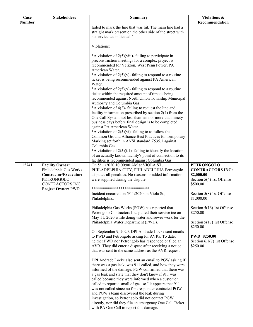| Case          | <b>Stakeholders</b>                                                                                                                            | <b>Summary</b>                                                                                                                                                                                                                                                                                                                                                                                                                                                                                                                                                                                                                                                                                                                                                                                                                                                                                                                                                                                                                                                                                                                                                     | Violations &                                                                                                                                                                                                                                                                           |
|---------------|------------------------------------------------------------------------------------------------------------------------------------------------|--------------------------------------------------------------------------------------------------------------------------------------------------------------------------------------------------------------------------------------------------------------------------------------------------------------------------------------------------------------------------------------------------------------------------------------------------------------------------------------------------------------------------------------------------------------------------------------------------------------------------------------------------------------------------------------------------------------------------------------------------------------------------------------------------------------------------------------------------------------------------------------------------------------------------------------------------------------------------------------------------------------------------------------------------------------------------------------------------------------------------------------------------------------------|----------------------------------------------------------------------------------------------------------------------------------------------------------------------------------------------------------------------------------------------------------------------------------------|
| <b>Number</b> |                                                                                                                                                |                                                                                                                                                                                                                                                                                                                                                                                                                                                                                                                                                                                                                                                                                                                                                                                                                                                                                                                                                                                                                                                                                                                                                                    | Recommendation                                                                                                                                                                                                                                                                         |
|               |                                                                                                                                                | failed to mark the line that was hit. The main line had a<br>straight mark present on the other side of the street with<br>no service tee indicated."                                                                                                                                                                                                                                                                                                                                                                                                                                                                                                                                                                                                                                                                                                                                                                                                                                                                                                                                                                                                              |                                                                                                                                                                                                                                                                                        |
|               |                                                                                                                                                | Violations:                                                                                                                                                                                                                                                                                                                                                                                                                                                                                                                                                                                                                                                                                                                                                                                                                                                                                                                                                                                                                                                                                                                                                        |                                                                                                                                                                                                                                                                                        |
|               |                                                                                                                                                | *A violation of 2(5)(viii)- failing to participate in<br>preconstruction meetings for a complex project is<br>recommended for Verizon, West Penn Power, PA<br>American Water.<br>*A violation of $2(5)(v)$ - failing to respond to a routine<br>ticket is being recommended against PA American<br>Water.<br>*A violation of $2(5)(v)$ - failing to respond to a routine<br>ticket within the required amount of time is being<br>recommended against North Union Township Municipal<br>Authority and Columbia Gas.<br>*A violation of 4(2)-failing to request the line and<br>facility information prescribed by section $2(4)$ from the<br>One Call System not less than ten nor more than ninety<br>business days before final design is to be completed<br>against PA American Water.<br>*A violation of $2(5)(vi)$ - failing to to follow the<br>Common Ground Alliance Best Practices for Temporary<br>Marking set forth in ANSI standard Z535.1 against<br>Columbia Gas.<br>*A violation of $2(5)(i.1)$ - failing to identify the location<br>of an actually known facility's point of connection to its<br>facilities is recommended against Columbia Gas. |                                                                                                                                                                                                                                                                                        |
| 15741         | <b>Facility Owner:</b><br>Philadelphia Gas Works<br>Contractor/Excavator:<br>PETRONGOLO<br><b>CONTRACTORS INC</b><br><b>Project Owner: PWD</b> | On 5/11/2020 10:00:00 AM at VIOLA ST,<br>PHILADELPHIA CITY, PHILADELPHIA Petrongolo<br>disputes all penalties. No reasons or added information<br>were supplied during the dispute.<br>*****************************<br>Incident occurred on 5/11/2020 on Viola St.,<br>Philadelphia<br>Philadelphia Gas Works (PGW) has reported that<br>Petrongolo Contractors Inc. pulled their service tee on<br>May 11, 2020 while doing water and sewer work for the<br>Philadelphia Water Department (PWD).<br>On September 9, 2020, DPI Andrade-Locke sent emails<br>to PWD and Petrongolo asking for AVRs. To date,<br>neither PWD nor Petrongolo has responded or filed an                                                                                                                                                                                                                                                                                                                                                                                                                                                                                               | <b>PETRONGOLO</b><br><b>CONTRACTORS INC:</b><br>\$2,000.00<br>Section 5(4) 1st Offense<br>\$500.00<br>Section 5(8) 1st Offense<br>\$1,000.00<br>Section 5(16) 1st Offense<br>\$250.00<br>Section 5(17) 1st Offense<br>\$250.00<br><b>PWD: \$250.00</b><br>Section $6.1(7)$ 1st Offense |
|               |                                                                                                                                                | AVR. They did enter a dispute after receiving a notice<br>that was sent to the same address as the AVR request.<br>DPI Andrade Locke also sent an email to PGW asking if<br>there was a gas leak, was 911 called, and how they were<br>informed of the damage. PGW confirmed that there was<br>a gas leak and state that they don't know if 911 was<br>called because they were informed when a customer<br>called to report a small of gas, so I it appears that 911<br>was not called since no first responder contacted PGW<br>and PGW's team discovered the leak during<br>investigation, so Petrongolo did not contact PGW<br>directly, nor did they file an emergency One Call Ticket<br>with PA One Call to report this damage.                                                                                                                                                                                                                                                                                                                                                                                                                             | \$250.00                                                                                                                                                                                                                                                                               |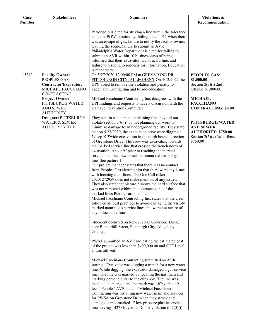| Case          | <b>Stakeholders</b>                                                               | <b>Summary</b>                                                                                                                                                                                                                                                                                                                                                                                                                                                                                                                                                                                                                                                                                                                                                                                                                                                                                                                                                                                                                                                                                                                                                                                                                                                                                                                                                                                                                                                                                                                                                                                                                                                                                                        | Violations &                                                                                                    |
|---------------|-----------------------------------------------------------------------------------|-----------------------------------------------------------------------------------------------------------------------------------------------------------------------------------------------------------------------------------------------------------------------------------------------------------------------------------------------------------------------------------------------------------------------------------------------------------------------------------------------------------------------------------------------------------------------------------------------------------------------------------------------------------------------------------------------------------------------------------------------------------------------------------------------------------------------------------------------------------------------------------------------------------------------------------------------------------------------------------------------------------------------------------------------------------------------------------------------------------------------------------------------------------------------------------------------------------------------------------------------------------------------------------------------------------------------------------------------------------------------------------------------------------------------------------------------------------------------------------------------------------------------------------------------------------------------------------------------------------------------------------------------------------------------------------------------------------------------|-----------------------------------------------------------------------------------------------------------------|
| <b>Number</b> |                                                                                   |                                                                                                                                                                                                                                                                                                                                                                                                                                                                                                                                                                                                                                                                                                                                                                                                                                                                                                                                                                                                                                                                                                                                                                                                                                                                                                                                                                                                                                                                                                                                                                                                                                                                                                                       | Recommendation                                                                                                  |
|               |                                                                                   | Petrongolo is cited for striking a line within the tolerance<br>zone per PGW's testimony, failing to call 911 when there<br>was an escape of gas, failure to notify the facility owner,<br>leaving the scene, failure to submit an AVR<br>Philadelphia Water Department is cited for failing to<br>submit an AVR within 10 business days of being<br>informed that their excavator had struck a line, and<br>failure to respond to requests for information. Education<br>is mandatory.                                                                                                                                                                                                                                                                                                                                                                                                                                                                                                                                                                                                                                                                                                                                                                                                                                                                                                                                                                                                                                                                                                                                                                                                                               |                                                                                                                 |
| 15242         | <b>Facility Owner:</b>                                                            | On 5/27/2020 12:00:00 PM at GREYSTONE DR.                                                                                                                                                                                                                                                                                                                                                                                                                                                                                                                                                                                                                                                                                                                                                                                                                                                                                                                                                                                                                                                                                                                                                                                                                                                                                                                                                                                                                                                                                                                                                                                                                                                                             | <b>PEOPLES GAS:</b>                                                                                             |
|               | PEOPLES GAS<br>Contractor/Excavator:<br>MICHAEL FACCHIANO<br>CONTRACTING          | PITTSBURGH CITY, ALLEGHENY On 4/12/2022 the<br>DPC voted to remove the violation and penalty to<br>Facchiano Contracting and to add education.                                                                                                                                                                                                                                                                                                                                                                                                                                                                                                                                                                                                                                                                                                                                                                                                                                                                                                                                                                                                                                                                                                                                                                                                                                                                                                                                                                                                                                                                                                                                                                        | \$1,000.00<br>Section $2(5)(i)$ 2nd<br>Offense \$1,000.00                                                       |
|               | <b>Project Owner:</b><br>PITTSBURGH WATER<br><b>AND SEWER</b><br><b>AUTHORITY</b> | Michael Facchiano Contracting Inc. disagrees with the<br>DPI findings and requests to have a discussion with the<br>Damage Prevention Committee.                                                                                                                                                                                                                                                                                                                                                                                                                                                                                                                                                                                                                                                                                                                                                                                                                                                                                                                                                                                                                                                                                                                                                                                                                                                                                                                                                                                                                                                                                                                                                                      | <b>MICHAEL</b><br><b>FACCHIANO</b><br><b>CONTRACTING: \$0.00</b>                                                |
|               | Designer: PITTSBURGH<br><b>WATER &amp; SEWER</b><br><b>AUTHORITY THE</b>          | They sent in a statement explaining that they did not<br>violate section $5(6)(i)$ by not planning our work to<br>minimize damage to an underground facility. They state<br>that on $5/27/2020$ , the excavation crew were digging a<br>5'deep X 3'wide excavation in the north bound direction<br>of Greystone Drive. The crew was excavating towards<br>the marked service line that crossed the trench north of<br>excavation. About 9' prior to reaching the marked<br>service line, the crew struck an unmarked natural gas<br>line. See picture 1.<br>Our project manager states that there was no contact<br>from Peoples Gas alerting him that there were any issues<br>with locating their lines. The One Call ticket<br>20201272959 does not make mention of any issues.<br>They also state that picture 2 shows the hard surface that<br>was not removed within the tolerance zone of the<br>marked lines Pictures are included.<br>Michael Facchiano Contracting Inc. states that the crew<br>followed all best practices to avoid damaging the visibly<br>marked natural gas service lines and were not aware of<br>any unlocatable lines.<br>$\sim$ Incident occurred on 5/27/2020 at Greystone Drive,<br>near Bunkerhill Street, Pittsburgh City, Allegheny<br>County.<br>PWSA submitted an AVR indicating the estimated cost<br>of the project was less than \$400,000.00 and SUE Level<br>C was utilized.<br>Michael Facchiano Contracting submitted an AVR<br>stating, "Excavator was digging a trench for a new water<br>line. While digging, the excavator damaged a gas service<br>line. The line was marked by locating the gas main and<br>marking perpendicular to the curb box. The line was | PITTSBURGH WATER<br><b>AND SEWER</b><br><b>AUTHORITY: \$750.00</b><br>Section $2(5)(v)$ 3rd offense<br>\$750.00 |
|               |                                                                                   | installed at an angle and the mark was off by about 9<br>feet." Peoples' AVR stated, "Michael Facchiano<br>Contracting was installing new water main and services<br>for PWSA on Greystone Dr. when they struck and<br>damaged a mis-marked 1" low pressure plastic service<br>line serving 1427 Greystone Dr." A violation of $2(5)(i)$ -                                                                                                                                                                                                                                                                                                                                                                                                                                                                                                                                                                                                                                                                                                                                                                                                                                                                                                                                                                                                                                                                                                                                                                                                                                                                                                                                                                            |                                                                                                                 |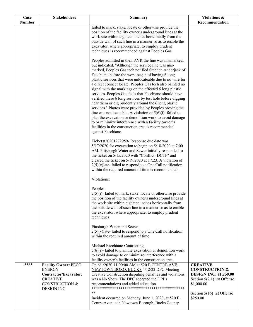| Case<br><b>Number</b> | <b>Stakeholders</b>                                                                                                                        | <b>Summary</b>                                                                                                                                                                                                                                                                                                                                                                                                                                                                                                                                                                                                                                                                                                                                                                                                                                                                                                         | Violations &<br>Recommendation                                                                                                                                     |
|-----------------------|--------------------------------------------------------------------------------------------------------------------------------------------|------------------------------------------------------------------------------------------------------------------------------------------------------------------------------------------------------------------------------------------------------------------------------------------------------------------------------------------------------------------------------------------------------------------------------------------------------------------------------------------------------------------------------------------------------------------------------------------------------------------------------------------------------------------------------------------------------------------------------------------------------------------------------------------------------------------------------------------------------------------------------------------------------------------------|--------------------------------------------------------------------------------------------------------------------------------------------------------------------|
|                       |                                                                                                                                            | failed to mark, stake, locate or otherwise provide the<br>position of the facility owner's underground lines at the<br>work site within eighteen inches horizontally from the<br>outside wall of such line in a manner so as to enable the<br>excavator, where appropriate, to employ prudent<br>techniques is recommended against Peoples Gas.                                                                                                                                                                                                                                                                                                                                                                                                                                                                                                                                                                        |                                                                                                                                                                    |
|                       |                                                                                                                                            | Peoples admitted in their AVR the line was mismarked,<br>but indicated, "Although the service line was mis-<br>marked, Peoples Gas tech notified Stephen Anderjack of<br>Facchiano before the work began of having 6 long<br>plastic services that were unlocateable due to no wire for<br>a direct connect locate. Peoples Gas tech also painted no<br>signal with the markings on the affected 6 long plastic<br>services. Peoples Gas feels that Facchiano should have<br>verified these 6 long services by test hole before digging<br>near them or dig prudently around the 6 long plastic<br>services." Photos were provided by Peoples proving the<br>line was not locatable. A violation of $5(6)(i)$ - failed to<br>plan the excavation or demolition work to avoid damage<br>to or minimize interference with a facility owner's<br>facilities in the construction area is recommended<br>against Facchiano. |                                                                                                                                                                    |
|                       |                                                                                                                                            | Ticket #20201272959- Response due date was<br>5/17/2020 for excavation to begin on 5/18/2020 at 7:00<br>AM. Pittsburgh Water and Sewer initially responded to<br>the ticket on 5/15/2020 with "Conflict-DCTF" and<br>cleared the ticket on 5/19/2020 at 17:23. A violation of<br>$2(5)(v)$ late-failed to respond to a One Call notification<br>within the required amount of time is recommended.                                                                                                                                                                                                                                                                                                                                                                                                                                                                                                                     |                                                                                                                                                                    |
|                       |                                                                                                                                            | Violations:<br>Peoples-<br>$2(5)(i)$ - failed to mark, stake, locate or otherwise provide<br>the position of the facility owner's underground lines at<br>the work site within eighteen inches horizontally from<br>the outside wall of such line in a manner so as to enable<br>the excavator, where appropriate, to employ prudent<br>techniques                                                                                                                                                                                                                                                                                                                                                                                                                                                                                                                                                                     |                                                                                                                                                                    |
|                       |                                                                                                                                            | Pittsburgh Water and Sewer-<br>$2(5)(v)$ late-failed to respond to a One Call notification<br>within the required amount of time<br>Michael Facchiano Contracting-                                                                                                                                                                                                                                                                                                                                                                                                                                                                                                                                                                                                                                                                                                                                                     |                                                                                                                                                                    |
|                       |                                                                                                                                            | $5(6)(i)$ - failed to plan the excavation or demolition work<br>to avoid damage to or minimize interference with a<br>facility owner's facilities in the construction area.                                                                                                                                                                                                                                                                                                                                                                                                                                                                                                                                                                                                                                                                                                                                            |                                                                                                                                                                    |
| 15585                 | <b>Facility Owner: PECO</b><br><b>ENERGY</b><br>Contractor/Excavator:<br><b>CREATIVE</b><br><b>CONSTRUCTION &amp;</b><br><b>DESIGN INC</b> | On 6/1/2020 11:00:00 AM at 520 E CENTRE AVE,<br>NEWTOWN BORO, BUCKS 4/12/22 DPC Meeting-<br>Creative Construction disputing penalties and violations,<br>was a No Show. The DPC accepted the DPI's<br>recommendations and added education.<br>**<br>Incident occurred on Monday, June 1, 2020, at 520 E.<br>Centre Avenue in Newtown Borough, Bucks County.                                                                                                                                                                                                                                                                                                                                                                                                                                                                                                                                                            | <b>CREATIVE</b><br><b>CONSTRUCTION &amp;</b><br><b>DESIGN INC: \$1,250.00</b><br>Section 5(2.1) 1st Offense<br>\$1,000.00<br>Section 5(16) 1st Offense<br>\$250.00 |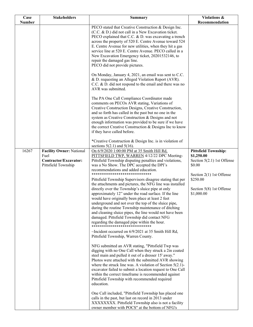| Case          | <b>Stakeholders</b>                                                                     | <b>Summary</b>                                                                                                                                                                                                                                                                                                                                                                                                                                                                                                   | Violations &                                                                                                      |
|---------------|-----------------------------------------------------------------------------------------|------------------------------------------------------------------------------------------------------------------------------------------------------------------------------------------------------------------------------------------------------------------------------------------------------------------------------------------------------------------------------------------------------------------------------------------------------------------------------------------------------------------|-------------------------------------------------------------------------------------------------------------------|
| <b>Number</b> |                                                                                         | PECO stated that Creative Construction & Design Inc.                                                                                                                                                                                                                                                                                                                                                                                                                                                             | Recommendation                                                                                                    |
|               |                                                                                         | (C.C. & D.) did not call in a New Excavation ticket.<br>PECO explained that C.C. & D. was excavating a trench<br>across the property of 520 E. Centre Avenue toward 524<br>E. Centre Avenue for new utilities, when they hit a gas<br>service line at 520 E. Centre Avenue. PECO called in a<br>New Excavation Emergency ticket, 20201532146, to<br>repair the damaged gas line.<br>PECO did not provide pictures.                                                                                               |                                                                                                                   |
|               |                                                                                         | On Monday, January 4, 2021, an email was sent to C.C.<br>& D. requesting an Alleged Violation Report (AVR).<br>C.C. & D. did not respond to the email and there was no<br>AVR was submitted.                                                                                                                                                                                                                                                                                                                     |                                                                                                                   |
|               |                                                                                         | The PA One Call Compliance Coordinator made<br>comments on PECOs AVR stating, Variations of<br>Creative Construction Designs, Creative Construction,<br>and so forth has called in the past but no one in the<br>system as Creative Construction & Designs and not<br>enough information was provided to be sure if we have<br>the correct Creative Construction & Designs Inc to know<br>if they have called before.                                                                                            |                                                                                                                   |
|               |                                                                                         | *Creative Construction & Design Inc. is in violation of<br>sections $5(2.1)$ and $5(16)$ .                                                                                                                                                                                                                                                                                                                                                                                                                       |                                                                                                                   |
| 16267         | <b>Facility Owner: National</b><br>Fuel<br>Contractor/Excavator:<br>Pittsfield Township | On 6/9/2020 1:00:00 PM at 35 Smith Hill Rd,<br>PITTSFIELD TWP, WARREN 4/12/22 DPC Meeting-<br>Pittsfield Township disputing penalties and violations,<br>was a No Show. The DPC accepted the DPI's<br>recommendations and added education.<br>*****************************                                                                                                                                                                                                                                      | <b>Pittsfield Township:</b><br>\$1,250.00<br>Section $5(2.1)$ 1st Offense<br>\$0.00<br>Section $2(1)$ 1st Offense |
|               |                                                                                         | Pittsfield Township Supervisors disagree stating that per<br>the attachments and pictures, the NFG line was installed<br>directly over the Township's sluice pipe at only<br>approximately 12" under the road surface. If the line<br>would have originally been place at least 2 feet<br>underground and not over the top of the sluice pipe,<br>during the routine Township maintenance of ditching<br>and cleaning sluice pipes, the line would not have been<br>damaged. Pittsfield Township did contact NFG | \$250.00<br>Section 5(8) 1st Offense<br>\$1,000.00                                                                |
|               |                                                                                         | $\sim$ Incident occurred on 6/9/2021 at 35 Smith Hill Rd,<br>Pittsfield Township, Warren County.                                                                                                                                                                                                                                                                                                                                                                                                                 |                                                                                                                   |
|               |                                                                                         | NFG submitted an AVR stating, "Pittsfield Twp was<br>digging with no One Call when they struck a 2in coated<br>steel main and pulled it out of a dresser 15' away."<br>Photos were attached with the submitted AVR showing<br>where the struck line was. A violation of Section $5(2.1)$ -<br>excavator failed to submit a location request to One Call<br>within the correct timeframe is recommended against<br>Pittsfield Township with recommended required<br>education.                                    |                                                                                                                   |
|               |                                                                                         | One Call included, "Pittsfield Township has placed one<br>calls in the past, but last on record in 2013 under<br>XXXXXXXX. Pittsfield Township also is not a facility<br>owner member with POCS" at the bottom of NFG's                                                                                                                                                                                                                                                                                          |                                                                                                                   |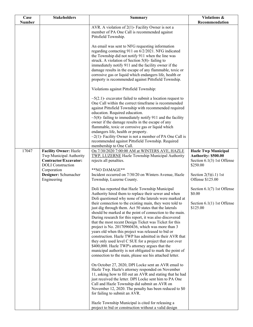| Case          | <b>Stakeholders</b>                 | <b>Summary</b>                                                                                             | Violations &                 |
|---------------|-------------------------------------|------------------------------------------------------------------------------------------------------------|------------------------------|
| <b>Number</b> |                                     |                                                                                                            | Recommendation               |
|               |                                     | AVR. A violation of 2(1)- Facility Owner is not a                                                          |                              |
|               |                                     | member of PA One Call is recommended against<br>Pittsfield Township.                                       |                              |
|               |                                     |                                                                                                            |                              |
|               |                                     | An email was sent to NFG requesting information                                                            |                              |
|               |                                     | regarding contacting 911 on 6/2/2021. NFG indicated                                                        |                              |
|               |                                     | the Township did not notify 911 when the line was                                                          |                              |
|               |                                     | struck. A violation of Section 5(8)-failing to                                                             |                              |
|               |                                     | immediately notify 911 and the facility owner if the                                                       |                              |
|               |                                     | damage results in the escape of any flammable, toxic or                                                    |                              |
|               |                                     | corrosive gas or liquid which endangers life, health or                                                    |                              |
|               |                                     | property is recommended against Pittsfield Township.                                                       |                              |
|               |                                     | Violations against Pittsfield Township:                                                                    |                              |
|               |                                     | $\sim$ 5(2.1)- excavator failed to submit a location request to                                            |                              |
|               |                                     | One Call within the correct timeframe is recommended                                                       |                              |
|               |                                     | against Pittsfield Township with recommended required                                                      |                              |
|               |                                     | education. Required education.                                                                             |                              |
|               |                                     | $\sim$ 5(8)-failing to immediately notify 911 and the facility                                             |                              |
|               |                                     | owner if the damage results in the escape of any                                                           |                              |
|               |                                     | flammable, toxic or corrosive gas or liquid which                                                          |                              |
|               |                                     | endangers life, health or property.                                                                        |                              |
|               |                                     | $\sim$ 2(1)- Facility Owner is not a member of PA One Call is                                              |                              |
|               |                                     | recommended against Pittsfield Township. Required                                                          |                              |
|               |                                     | membership to One Call.                                                                                    |                              |
| 17047         | <b>Facility Owner: Hazle</b>        | On 7/30/2020 7:00:00 AM at WINTERS AVE, HAZLE                                                              | <b>Hazle Twp Municipal</b>   |
|               | Twp Municipal Authority             | TWP, LUZERNE Hazle Township Municipal Authority                                                            | Authority: \$500.00          |
|               | Contractor/Excavator:               | rejects all penalties.                                                                                     | Section $6.1(3)$ 1st Offense |
|               | <b>DOLI</b> Construction            | **NO DAMAGE**                                                                                              | \$250.00                     |
|               | Corporation<br>Designer: Schumacher | Incident occurred on 7/30/20 on Winters Avenue, Hazle                                                      | Section $2(5)(i.1)$ 1st      |
|               | Engineering                         | Township, Luzerne County.                                                                                  | Offense \$125.00             |
|               |                                     |                                                                                                            |                              |
|               |                                     | Doli has reported that Hazle Township Municipal                                                            | Section $6.1(7)$ 1st Offense |
|               |                                     | Authority hired them to replace their sewer and when                                                       | \$0.00                       |
|               |                                     | Doli questioned why none of the laterals were marked at                                                    |                              |
|               |                                     | their connection to the existing main, they were told to                                                   | Section $6.1(1)$ 1st Offense |
|               |                                     | just dig through them. Act 50 states that the laterals                                                     | \$125.00                     |
|               |                                     | should be marked at the point of connection to the main.                                                   |                              |
|               |                                     | During research for this report, it was also discovered                                                    |                              |
|               |                                     | that the most recent Design Ticket was Ticket for this                                                     |                              |
|               |                                     | project is No. 20170960436, which was more than 3                                                          |                              |
|               |                                     | years old when this project was released to bid or                                                         |                              |
|               |                                     | construction. Hazle TWP has admitted in their AVR that                                                     |                              |
|               |                                     | they only used level C SUE for a project that cost over<br>\$400,000. Hazle TWP's attorney argues that the |                              |
|               |                                     | municipal authority is not obligated to mark the point of                                                  |                              |
|               |                                     | connection to the main, please see his attached letter.                                                    |                              |
|               |                                     | On October 27, 2020, DPI Locke sent an AVR email to                                                        |                              |
|               |                                     | Hazle Twp. Hazle's attorney responded on November                                                          |                              |
|               |                                     | 11, asking how to fill out an AVR and stating that he had                                                  |                              |
|               |                                     | just received the letter. DPI Locke sent him to PA One                                                     |                              |
|               |                                     | Call and Hazle Township did submit an AVR on                                                               |                              |
|               |                                     | November 12, 2020. The penalty has been reduced to \$0                                                     |                              |
|               |                                     | for failing to submit an AVR.                                                                              |                              |
|               |                                     |                                                                                                            |                              |
|               |                                     | Hazle Township Municipal is cited for releasing a                                                          |                              |
|               |                                     | project to bid or construction without a valid design                                                      |                              |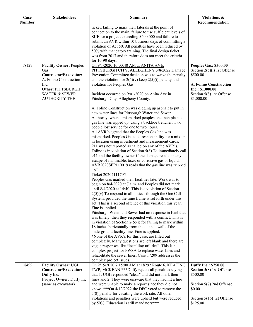| Recommendation<br><b>Number</b><br>ticket, failing to mark their laterals at the point of<br>connection to the main, failure to use sufficient levels of<br>SUE for a project exceeding \$400,000 and failure to<br>submit an AVR within 10 business days of committing a<br>violation of Act 50. All penalties have been reduced by<br>50% with mandatory training. The final design ticket<br>was from 2017 and therefore does not meet the criteria<br>for 10-90 days.<br>18127<br>On 9/1/2020 10:00:40 AM at ANITA AVE,<br><b>Facility Owner: Peoples</b><br>Peoples Gas: \$500.00<br>Gas<br>PITTSBURGH CITY, ALLEGHENY 3/8/2022 Damage<br>Section $2(5)(i)$ 1st Offense<br>Contractor/Excavator:<br>Prevention Committee decision was to waive the penalty<br>\$500.00<br>A. Folino Construction<br>and the violation for $2(5)(v)$ keep $2(5)(i)$ penalty and<br><b>A. Folino Construction</b><br>violation for Peoples Gas.<br>Inc.<br>Other: PITTSBURGH<br>Inc.: \$1,000.00<br><b>WATER &amp; SEWER</b><br>Incident occurred on 9/01/2020 on Anita Ave in<br>Section 5(8) 1st Offense<br><b>AUTHORITY THE</b><br>Pittsburgh City, Allegheny County.<br>\$1,000.00<br>A. Folino Construction was digging up asphalt to put in<br>new water lines for Pittsburgh Water and Sewer<br>Authority, when a mismarked peoples one inch plastic |
|------------------------------------------------------------------------------------------------------------------------------------------------------------------------------------------------------------------------------------------------------------------------------------------------------------------------------------------------------------------------------------------------------------------------------------------------------------------------------------------------------------------------------------------------------------------------------------------------------------------------------------------------------------------------------------------------------------------------------------------------------------------------------------------------------------------------------------------------------------------------------------------------------------------------------------------------------------------------------------------------------------------------------------------------------------------------------------------------------------------------------------------------------------------------------------------------------------------------------------------------------------------------------------------------------------------------------------------------|
|                                                                                                                                                                                                                                                                                                                                                                                                                                                                                                                                                                                                                                                                                                                                                                                                                                                                                                                                                                                                                                                                                                                                                                                                                                                                                                                                                |
|                                                                                                                                                                                                                                                                                                                                                                                                                                                                                                                                                                                                                                                                                                                                                                                                                                                                                                                                                                                                                                                                                                                                                                                                                                                                                                                                                |
|                                                                                                                                                                                                                                                                                                                                                                                                                                                                                                                                                                                                                                                                                                                                                                                                                                                                                                                                                                                                                                                                                                                                                                                                                                                                                                                                                |
|                                                                                                                                                                                                                                                                                                                                                                                                                                                                                                                                                                                                                                                                                                                                                                                                                                                                                                                                                                                                                                                                                                                                                                                                                                                                                                                                                |
|                                                                                                                                                                                                                                                                                                                                                                                                                                                                                                                                                                                                                                                                                                                                                                                                                                                                                                                                                                                                                                                                                                                                                                                                                                                                                                                                                |
|                                                                                                                                                                                                                                                                                                                                                                                                                                                                                                                                                                                                                                                                                                                                                                                                                                                                                                                                                                                                                                                                                                                                                                                                                                                                                                                                                |
|                                                                                                                                                                                                                                                                                                                                                                                                                                                                                                                                                                                                                                                                                                                                                                                                                                                                                                                                                                                                                                                                                                                                                                                                                                                                                                                                                |
|                                                                                                                                                                                                                                                                                                                                                                                                                                                                                                                                                                                                                                                                                                                                                                                                                                                                                                                                                                                                                                                                                                                                                                                                                                                                                                                                                |
|                                                                                                                                                                                                                                                                                                                                                                                                                                                                                                                                                                                                                                                                                                                                                                                                                                                                                                                                                                                                                                                                                                                                                                                                                                                                                                                                                |
|                                                                                                                                                                                                                                                                                                                                                                                                                                                                                                                                                                                                                                                                                                                                                                                                                                                                                                                                                                                                                                                                                                                                                                                                                                                                                                                                                |
|                                                                                                                                                                                                                                                                                                                                                                                                                                                                                                                                                                                                                                                                                                                                                                                                                                                                                                                                                                                                                                                                                                                                                                                                                                                                                                                                                |
|                                                                                                                                                                                                                                                                                                                                                                                                                                                                                                                                                                                                                                                                                                                                                                                                                                                                                                                                                                                                                                                                                                                                                                                                                                                                                                                                                |
|                                                                                                                                                                                                                                                                                                                                                                                                                                                                                                                                                                                                                                                                                                                                                                                                                                                                                                                                                                                                                                                                                                                                                                                                                                                                                                                                                |
|                                                                                                                                                                                                                                                                                                                                                                                                                                                                                                                                                                                                                                                                                                                                                                                                                                                                                                                                                                                                                                                                                                                                                                                                                                                                                                                                                |
|                                                                                                                                                                                                                                                                                                                                                                                                                                                                                                                                                                                                                                                                                                                                                                                                                                                                                                                                                                                                                                                                                                                                                                                                                                                                                                                                                |
|                                                                                                                                                                                                                                                                                                                                                                                                                                                                                                                                                                                                                                                                                                                                                                                                                                                                                                                                                                                                                                                                                                                                                                                                                                                                                                                                                |
|                                                                                                                                                                                                                                                                                                                                                                                                                                                                                                                                                                                                                                                                                                                                                                                                                                                                                                                                                                                                                                                                                                                                                                                                                                                                                                                                                |
|                                                                                                                                                                                                                                                                                                                                                                                                                                                                                                                                                                                                                                                                                                                                                                                                                                                                                                                                                                                                                                                                                                                                                                                                                                                                                                                                                |
| gas line was ripped up, using a backhoe trencher. Two<br>people lost service for one to two hours.                                                                                                                                                                                                                                                                                                                                                                                                                                                                                                                                                                                                                                                                                                                                                                                                                                                                                                                                                                                                                                                                                                                                                                                                                                             |
| All AVR's agreed that the Peoples Gas line was                                                                                                                                                                                                                                                                                                                                                                                                                                                                                                                                                                                                                                                                                                                                                                                                                                                                                                                                                                                                                                                                                                                                                                                                                                                                                                 |
| mismarked. Peoples Gas took responsibility for a mix up                                                                                                                                                                                                                                                                                                                                                                                                                                                                                                                                                                                                                                                                                                                                                                                                                                                                                                                                                                                                                                                                                                                                                                                                                                                                                        |
| in location using investment and measurement cards.                                                                                                                                                                                                                                                                                                                                                                                                                                                                                                                                                                                                                                                                                                                                                                                                                                                                                                                                                                                                                                                                                                                                                                                                                                                                                            |
| 911 was not reported as called on any of the AVR's.                                                                                                                                                                                                                                                                                                                                                                                                                                                                                                                                                                                                                                                                                                                                                                                                                                                                                                                                                                                                                                                                                                                                                                                                                                                                                            |
| Folino is in violation of Section 5(8) To immediately call<br>911 and the facility owner if the damage results in any                                                                                                                                                                                                                                                                                                                                                                                                                                                                                                                                                                                                                                                                                                                                                                                                                                                                                                                                                                                                                                                                                                                                                                                                                          |
| escape of flammable, toxic or corrosive gas or liquid.                                                                                                                                                                                                                                                                                                                                                                                                                                                                                                                                                                                                                                                                                                                                                                                                                                                                                                                                                                                                                                                                                                                                                                                                                                                                                         |
| AVR2020SEP110019 reads that the gas line was "ripped                                                                                                                                                                                                                                                                                                                                                                                                                                                                                                                                                                                                                                                                                                                                                                                                                                                                                                                                                                                                                                                                                                                                                                                                                                                                                           |
| $up$ ".                                                                                                                                                                                                                                                                                                                                                                                                                                                                                                                                                                                                                                                                                                                                                                                                                                                                                                                                                                                                                                                                                                                                                                                                                                                                                                                                        |
| Ticket 20202111795                                                                                                                                                                                                                                                                                                                                                                                                                                                                                                                                                                                                                                                                                                                                                                                                                                                                                                                                                                                                                                                                                                                                                                                                                                                                                                                             |
| Peoples Gas marked their facilities late. Work was to<br>begin on 8/4/2020 at 7 a.m. and Peoples did not mark                                                                                                                                                                                                                                                                                                                                                                                                                                                                                                                                                                                                                                                                                                                                                                                                                                                                                                                                                                                                                                                                                                                                                                                                                                  |
| until 8/4/2020 at 14:40. This is a violation of Section                                                                                                                                                                                                                                                                                                                                                                                                                                                                                                                                                                                                                                                                                                                                                                                                                                                                                                                                                                                                                                                                                                                                                                                                                                                                                        |
| $2(5)(v)$ To respond to all notices through the One Call                                                                                                                                                                                                                                                                                                                                                                                                                                                                                                                                                                                                                                                                                                                                                                                                                                                                                                                                                                                                                                                                                                                                                                                                                                                                                       |
| System, provided the time frame is set forth under this                                                                                                                                                                                                                                                                                                                                                                                                                                                                                                                                                                                                                                                                                                                                                                                                                                                                                                                                                                                                                                                                                                                                                                                                                                                                                        |
| act. This is a second offence of this violation this year.<br>Fine is applied.                                                                                                                                                                                                                                                                                                                                                                                                                                                                                                                                                                                                                                                                                                                                                                                                                                                                                                                                                                                                                                                                                                                                                                                                                                                                 |
| Pittsburgh Water and Sewer had no response in Karl that                                                                                                                                                                                                                                                                                                                                                                                                                                                                                                                                                                                                                                                                                                                                                                                                                                                                                                                                                                                                                                                                                                                                                                                                                                                                                        |
| was timely, then they responded with a conflict. This is                                                                                                                                                                                                                                                                                                                                                                                                                                                                                                                                                                                                                                                                                                                                                                                                                                                                                                                                                                                                                                                                                                                                                                                                                                                                                       |
| in violation of Section $2(5)(i)$ for failing to mark within                                                                                                                                                                                                                                                                                                                                                                                                                                                                                                                                                                                                                                                                                                                                                                                                                                                                                                                                                                                                                                                                                                                                                                                                                                                                                   |
| 18 inches horizontally from the outside wall of the                                                                                                                                                                                                                                                                                                                                                                                                                                                                                                                                                                                                                                                                                                                                                                                                                                                                                                                                                                                                                                                                                                                                                                                                                                                                                            |
| underground facility line. Fine is applied.<br>*None of the AVR's for this case, are filled out                                                                                                                                                                                                                                                                                                                                                                                                                                                                                                                                                                                                                                                                                                                                                                                                                                                                                                                                                                                                                                                                                                                                                                                                                                                |
| completely. Many questions are left blank and there are                                                                                                                                                                                                                                                                                                                                                                                                                                                                                                                                                                                                                                                                                                                                                                                                                                                                                                                                                                                                                                                                                                                                                                                                                                                                                        |
| vague responses like "installing utilities". This is a                                                                                                                                                                                                                                                                                                                                                                                                                                                                                                                                                                                                                                                                                                                                                                                                                                                                                                                                                                                                                                                                                                                                                                                                                                                                                         |
| complex project for PWSA to replace water lines and                                                                                                                                                                                                                                                                                                                                                                                                                                                                                                                                                                                                                                                                                                                                                                                                                                                                                                                                                                                                                                                                                                                                                                                                                                                                                            |
| rehabilitate the sewer lines. Case 17209 addresses the                                                                                                                                                                                                                                                                                                                                                                                                                                                                                                                                                                                                                                                                                                                                                                                                                                                                                                                                                                                                                                                                                                                                                                                                                                                                                         |
| complex project issues.<br>18499<br><b>Facility Owner: UGI</b><br><b>Duffy Inc.: \$750.00</b><br>On 9/15/2020 7:15:00 AM at 18292 Route 6, KEATING                                                                                                                                                                                                                                                                                                                                                                                                                                                                                                                                                                                                                                                                                                                                                                                                                                                                                                                                                                                                                                                                                                                                                                                             |
| TWP, MCKEAN *** Duffy rejects all penalties saying<br>Contractor/Excavator:<br>Section 5(8) 1st Offense                                                                                                                                                                                                                                                                                                                                                                                                                                                                                                                                                                                                                                                                                                                                                                                                                                                                                                                                                                                                                                                                                                                                                                                                                                        |
| that 1. UGI responded "clear" and did not mark their<br>Duffy Inc.<br>\$500.00                                                                                                                                                                                                                                                                                                                                                                                                                                                                                                                                                                                                                                                                                                                                                                                                                                                                                                                                                                                                                                                                                                                                                                                                                                                                 |
| Project Owner: Duffy Inc<br>lines and 2. They were unaware that they had hit a line                                                                                                                                                                                                                                                                                                                                                                                                                                                                                                                                                                                                                                                                                                                                                                                                                                                                                                                                                                                                                                                                                                                                                                                                                                                            |
| and were unable to make a report since they did not<br>(same as excavator)<br>Section $5(7)$ 2nd Offense<br>know. *** On 4/12/2022 the DPC voted to remove the                                                                                                                                                                                                                                                                                                                                                                                                                                                                                                                                                                                                                                                                                                                                                                                                                                                                                                                                                                                                                                                                                                                                                                                 |
| \$0.00<br>$5(8)$ penalty for vacating the work site. All other                                                                                                                                                                                                                                                                                                                                                                                                                                                                                                                                                                                                                                                                                                                                                                                                                                                                                                                                                                                                                                                                                                                                                                                                                                                                                 |
| violations and penalties were upheld but were reduced<br>Section $5(16)$ 1st Offense                                                                                                                                                                                                                                                                                                                                                                                                                                                                                                                                                                                                                                                                                                                                                                                                                                                                                                                                                                                                                                                                                                                                                                                                                                                           |
| by 50%. Education is still mandatory***<br>\$125.00                                                                                                                                                                                                                                                                                                                                                                                                                                                                                                                                                                                                                                                                                                                                                                                                                                                                                                                                                                                                                                                                                                                                                                                                                                                                                            |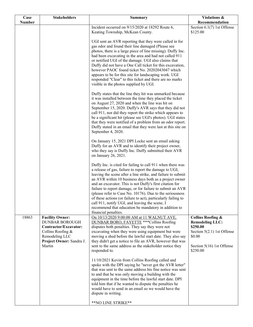| Case          | <b>Stakeholders</b>                                                                                                                                   | <b>Summary</b>                                                                                                                                                                                                                                                                                                                                                                                                                                                                                                                                                                                                                         | Violations &                                                                                                                                        |
|---------------|-------------------------------------------------------------------------------------------------------------------------------------------------------|----------------------------------------------------------------------------------------------------------------------------------------------------------------------------------------------------------------------------------------------------------------------------------------------------------------------------------------------------------------------------------------------------------------------------------------------------------------------------------------------------------------------------------------------------------------------------------------------------------------------------------------|-----------------------------------------------------------------------------------------------------------------------------------------------------|
| <b>Number</b> |                                                                                                                                                       | Incident occurred on 9/15/2020 at 18292 Route 6,                                                                                                                                                                                                                                                                                                                                                                                                                                                                                                                                                                                       | Recommendation<br>Section $6.1(7)$ 1st Offense                                                                                                      |
|               |                                                                                                                                                       | Keating Township, McKean County.                                                                                                                                                                                                                                                                                                                                                                                                                                                                                                                                                                                                       | \$125.00                                                                                                                                            |
|               |                                                                                                                                                       | UGI sent an AVR reporting that they were called in for<br>gas odor and found their line damaged (Please see<br>photos, there is a large piece of line missing). Duffy Inc.<br>had been excavating in the area and had not called 911<br>or notified UGI of the damage. UGI also claims that<br>Duffy did not have a One Call ticket for this excavation,<br>however PAOC found ticket No. 20202043047 which<br>appears to be for this site for landscaping work. UGI<br>responded "Clear" to this ticket and there are no marks<br>visible in the photos supplied by UGI.                                                              |                                                                                                                                                     |
|               |                                                                                                                                                       | Duffy states that the line they hit was unmarked because<br>it was installed between the time they placed the ticket<br>on August 27, 2020 and when the line was hit on<br>September 15, 2020. Duffy's AVR says that they did not<br>call 911, nor did they report the strike which appears to<br>be a significant hit (please see UGI's photos). UGI states<br>that they were notified of a problem from an odor report.<br>Duffy stated in an email that they were last at this site on<br>September 4, 2020.                                                                                                                        |                                                                                                                                                     |
|               |                                                                                                                                                       | On January 15, 2021 DPI Locke sent an email asking<br>Duffy for an AVR and to identify their project owner,<br>who they say is Duffy Inc. Duffy submitted their AVR<br>on January 26, 2021.                                                                                                                                                                                                                                                                                                                                                                                                                                            |                                                                                                                                                     |
|               |                                                                                                                                                       | Duffy Inc. is cited for failing to call 911 when there was<br>a release of gas, failure to report the damage to UGI,<br>leaving the scene after a line strike, and failure to submit<br>an AVR within 10 business days both as a project owner<br>and an excavator. This is not Duffy's first citation for<br>failure to report damage, or for failure to submit an AVR<br>(please refer to Case No. 10176). Due to the seriousness<br>of these actions (or failure to act), particularly failing to<br>call 911, notify UGI, and leaving the scene, I<br>recommend that education be mandatory in addition to<br>financial penalties. |                                                                                                                                                     |
| 18863         | <b>Facility Owner:</b><br><b>DUNBAR BOROUGH</b><br>Contractor/Excavator:<br>Collins Roofing &<br>Remodeling LLC<br>Project Owner: Sandra J.<br>Martin | On 10/13/2020 9:00:00 AM at 11 WALNUT AVE,<br>DUNBAR BORO, FAYETTE *** Collins Roofing<br>disputes both penalties. They say they were not<br>excavating when they were using equipment but were<br>moving a shed before the lawful start date. They also say<br>they didn't get a notice to file an AVR, however that was<br>sent to the same address as the stakeholder notice they<br>responded to.                                                                                                                                                                                                                                  | <b>Collins Roofing &amp;</b><br><b>Remodeling LLC:</b><br>\$250.00<br>Section 5(2.1) 1st Offense<br>\$0.00<br>Section 5(16) 1st Offense<br>\$250.00 |
|               |                                                                                                                                                       | 11/10/2021 Kevin from Collins Roofing called and<br>spoke with the DPI saying he "never got the AVR letter"<br>that was sent to the same address his fine notice was sent<br>to and that he was only moving a building with the<br>equipment in the time before the lawful start date. DPI<br>told him that if he wanted to dispute the penalties he<br>would have to send in an email so we would have the<br>dispute in writing.<br>**NO LINE STRIKE**                                                                                                                                                                               |                                                                                                                                                     |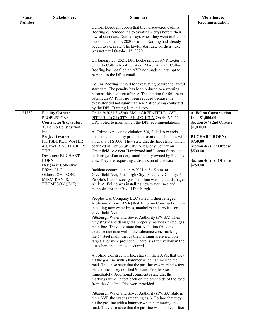| Case          | <b>Stakeholders</b>                                                                                                                                                                                                 | <b>Summary</b>                                                                                                                                                                                                                                                                                                                                                                                                                                                                                                                                                                                                                                                                                                                                                                                                                                                                                                                                                                                                                                   | Violations &                                                                                                     |
|---------------|---------------------------------------------------------------------------------------------------------------------------------------------------------------------------------------------------------------------|--------------------------------------------------------------------------------------------------------------------------------------------------------------------------------------------------------------------------------------------------------------------------------------------------------------------------------------------------------------------------------------------------------------------------------------------------------------------------------------------------------------------------------------------------------------------------------------------------------------------------------------------------------------------------------------------------------------------------------------------------------------------------------------------------------------------------------------------------------------------------------------------------------------------------------------------------------------------------------------------------------------------------------------------------|------------------------------------------------------------------------------------------------------------------|
| <b>Number</b> |                                                                                                                                                                                                                     |                                                                                                                                                                                                                                                                                                                                                                                                                                                                                                                                                                                                                                                                                                                                                                                                                                                                                                                                                                                                                                                  | Recommendation                                                                                                   |
|               |                                                                                                                                                                                                                     | Dunbar Borough reports that they discovered Collins<br>Roofing & Remodeling excavating 2 days before their<br>lawful start date. Dunbar says when they went to the job<br>site on October 13, 2020, Collins Roofing had already<br>begun to excavate. The lawful start date on their ticket<br>was not until October 15, 2020.                                                                                                                                                                                                                                                                                                                                                                                                                                                                                                                                                                                                                                                                                                                   |                                                                                                                  |
|               |                                                                                                                                                                                                                     | On January 27, 2021, DPI Locke sent an AVR Letter via<br>email to Collins Roofing. As of March 4, 2021 Collins<br>Roofing has not filed an AVR nor made an attempt to<br>respond to the DPI's email.                                                                                                                                                                                                                                                                                                                                                                                                                                                                                                                                                                                                                                                                                                                                                                                                                                             |                                                                                                                  |
|               |                                                                                                                                                                                                                     | Collins Roofing is cited for excavating before the lawful<br>start date. The penalty has been reduced to a warning<br>because this is a first offense. The citation for failure to<br>submit an AVR has not been reduced because the<br>excavator did not submit an AVR after being contacted                                                                                                                                                                                                                                                                                                                                                                                                                                                                                                                                                                                                                                                                                                                                                    |                                                                                                                  |
|               |                                                                                                                                                                                                                     | by the DPI. Training is mandatory.                                                                                                                                                                                                                                                                                                                                                                                                                                                                                                                                                                                                                                                                                                                                                                                                                                                                                                                                                                                                               |                                                                                                                  |
| 21732         | <b>Facility Owner:</b><br>PEOPLES GAS<br><b>Contractor/Excavator:</b><br>A. Folino Construction                                                                                                                     | On 1/19/2021 8:45:00 AM at GREENFIELD AVE,<br>PITTSBURGH CITY, ALLEGHENY On 4/12/2022<br>DPC voted to maintain all the DPI recommendations.                                                                                                                                                                                                                                                                                                                                                                                                                                                                                                                                                                                                                                                                                                                                                                                                                                                                                                      | <b>A. Folino Construction</b><br>Inc.: \$1,000.00<br>Section 5(4) 2nd Offense<br>\$1,000.00                      |
|               | Inc.<br><b>Project Owner:</b><br>PITTSBURGH WATER<br>& SEWER AUTHORITY<br><b>THE</b><br>Designer: BUCHART<br><b>HORN</b><br>Designer: Collective<br>Efforts LLC<br>Other: JOHNSON,<br>MIRMIRAN, &<br>THOMPSON (JMT) | A. Folino is rejecting violation 5(4) failed to exercise<br>due care and employ prudent excavation techniques with<br>a penalty of \$1000. They state that the line strike, which<br>occurred in Pittsburgh City, Allegheny County on<br>Greenfield Ave near Hazelwood and Loretta St resulted<br>in damage of an underground facility owned by Peoples<br>Gas. They are requesting a discussion of this case.<br>Incident occurred on 1/19/2021 at 8:45 a.m. at<br>Greenfield Ave, Pittsburgh City, Allegheny County. A<br>People's Gas 6" steel gas main line was hit and damaged<br>while A. Folino was installing new water lines and<br>manholes for the City of Pittsburgh.<br>Peoples Gas Company LLC stated in their Alleged<br>Violation Report (AVR) that A Folino Construction was<br>installing new water lines, manholes and services on<br>Greenfield Ave for<br>Pittsburgh Water and Sewer Authority (PWSA) when<br>they struck and damaged a properly marked 6" steel gas<br>main line. They also state that A. Folino failed to | <b>BUCHART HORN:</b><br>\$750.00<br>Section 4(2) 1st Offense<br>\$500.00<br>Section 4(4) 1st Offense<br>\$250.00 |
|               |                                                                                                                                                                                                                     | exercise due care within the tolerance zone markings for<br>the 6" steel main line, as the markings were right on<br>target. Pics were provided. There is a little yellow in the<br>dirt where the damage occurred.<br>A.Folino Construction Inc. states in their AVR that they<br>hit the gas line with a hammer when hammering the<br>road. They also state that the gas line was marked 4 feet<br>off the line. They notified 911 and Peoples Gas<br>immediately. Additional comments state that the<br>markings were 12 feet back on the other side of the road<br>from the Gas line. Pics were provided.<br>Pittsburgh Water and Sewer Authority (PWSA) state in<br>their AVR the exact same thing as A. Folino: that they<br>hit the gas line with a hammer when hammering the<br>road. They also state that the gas line was marked 4 feet                                                                                                                                                                                                |                                                                                                                  |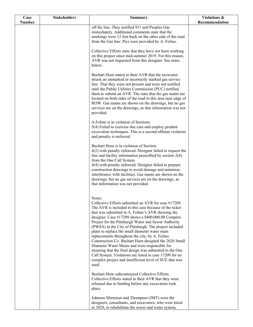| Case          | <b>Stakeholders</b> | <b>Summary</b>                                                                                                      | Violations &   |
|---------------|---------------------|---------------------------------------------------------------------------------------------------------------------|----------------|
| <b>Number</b> |                     |                                                                                                                     | Recommendation |
|               |                     | off the line. They notified 911 and Peoples Gas<br>immediately. Additional comments state that the                  |                |
|               |                     | markings were 12 feet back on the other side of the road                                                            |                |
|               |                     | from the Gas line. Pics were provided by A. Folino.                                                                 |                |
|               |                     | Collective Efforts state that they have not been working                                                            |                |
|               |                     | on this project since mid-summer 2019. For this reason,                                                             |                |
|               |                     | AVR was not requested from this designer. See notes<br>below.                                                       |                |
|               |                     | Buchart Horn stated in their AVR that the excavator                                                                 |                |
|               |                     | struck an unmarked or incorrectly marked gas service<br>line. That they were not present and were not notified      |                |
|               |                     | until the Public Utilities Commission (PUC) notified                                                                |                |
|               |                     | them to submit an AVR. The state that the gas mains are                                                             |                |
|               |                     | located on both sides of the road in this area near edge of<br>ROW. Gas mains are shown on the drawings, but no gas |                |
|               |                     | services are on the drawings, as that information was not                                                           |                |
|               |                     | provided.                                                                                                           |                |
|               |                     | A.Folino is in violation of Sections:                                                                               |                |
|               |                     | 5(4) Failed to exercise due care and employ prudent                                                                 |                |
|               |                     | excavation techniques. This is a second offense violation<br>and penalty is enforced.                               |                |
|               |                     | Buchart Horn is in violation of Section:                                                                            |                |
|               |                     | 4(2) with penalty enforced. Designer failed to request the                                                          |                |
|               |                     | line and facility information prescribed by section $2(4)$<br>from the One Call System.                             |                |
|               |                     | 4(4) with penalty enforced. Designer failed to prepare                                                              |                |
|               |                     | construction drawings to avoid damage and minimize                                                                  |                |
|               |                     | interference with facilities. Gas mains are shown on the<br>drawings, but no gas services are on the drawings, as   |                |
|               |                     | that information was not provided.                                                                                  |                |
|               |                     |                                                                                                                     |                |
|               |                     | Notes:                                                                                                              |                |
|               |                     | Collective Efforts submitted an AVR for case #17209.                                                                |                |
|               |                     | The AVR is included in this case because of the ticket<br>that was submitted in A. Folino's AVR showing the         |                |
|               |                     | designer. Case #17209 shows a $$400,000.00$ Complex                                                                 |                |
|               |                     | Project for the Pittsburgh Water and Sewer Authority                                                                |                |
|               |                     | (PWSA) in the City of Pittsburgh. The project included<br>plans to replace the small diameter water main            |                |
|               |                     | replacements throughout the city, by A. Folino                                                                      |                |
|               |                     | Construction Co. Buchart Horn designed the 2020 Small                                                               |                |
|               |                     | Diameter Water Mains and were responsible for                                                                       |                |
|               |                     | ensuring that the final design was submitted to the One<br>Call System. Violations are listed in case 17209 for no  |                |
|               |                     | complex project and insufficient level of SUE that was                                                              |                |
|               |                     | used.                                                                                                               |                |
|               |                     | Buchart Horn subcontracted Collective Efforts.                                                                      |                |
|               |                     | Collective Efforts stated in their AVR that they were                                                               |                |
|               |                     | released due to funding before any excavation took<br>place.                                                        |                |
|               |                     | Johnson Mirmiran and Thompson (JMT) were the                                                                        |                |
|               |                     | designers, consultants, and excavators, who were hired                                                              |                |
|               |                     | in 2020, to rehabilitate the sewer and water system,                                                                |                |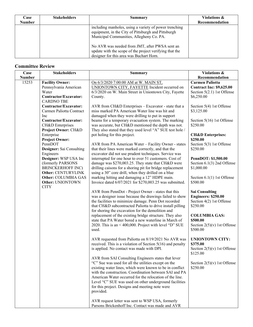| Case<br><b>Number</b> | <b>Stakeholders</b> | Summary                                                                                                                                                                                                                                                                                                            | <b>Violations &amp;</b><br>Recommendation |
|-----------------------|---------------------|--------------------------------------------------------------------------------------------------------------------------------------------------------------------------------------------------------------------------------------------------------------------------------------------------------------------|-------------------------------------------|
|                       |                     | including manholes, using a variety of power trenching<br>equipment, in the City of Pittsburgh and Pittsburgh<br>Municipal Communities, Allegheny Co. PA.<br>No AVR was needed from JMT, after PWSA sent an<br>update with the scope of the project verifying that the<br>designer for this area was Buchart Horn. |                                           |

### **Committee Review**

| Case          | <b>Stakeholders</b>                     | <b>Summary</b>                                                                                                   | <b>Violations &amp;</b>                   |
|---------------|-----------------------------------------|------------------------------------------------------------------------------------------------------------------|-------------------------------------------|
| <b>Number</b> |                                         |                                                                                                                  | Recommendation                            |
| 15253         | <b>Facility Owner:</b>                  | On 6/3/2020 7:00:00 AM at W. MAIN ST,                                                                            | <b>Carmen Paliotta</b>                    |
|               | Pennsylvania American                   | UNIONTOWN CITY, FAYETTE Incident occurred on                                                                     | <b>Contract Inc: \$9,625.00</b>           |
|               | Water                                   | 6/3/2020 on W. Main Street in Uniontown City, Fayette                                                            | Section 5(2.1) 1st Offense                |
|               | Contractor/Excavator:                   | County.                                                                                                          | \$6,250.00                                |
|               | <b>CARDNO TBE</b>                       |                                                                                                                  |                                           |
|               | Contractor/Excavator:                   | AVR from CH&D Enterprises – Excavator - state that a                                                             | Section 5(4) 1st Offense                  |
|               | Carmen Paliotta Contract                | miss marked PA American Water line was hit and                                                                   | \$3,125.00                                |
|               | Inc                                     | damaged when they were drilling to put in support                                                                |                                           |
|               | Contractor/Excavator:                   | beams for a temporary evacuation system. The marking                                                             | Section 5(16) 1st Offense<br>\$250.00     |
|               | CH&D Enterprises<br>Project Owner: CH&D | was accurate, but CH&D mentioned the depth was not.<br>They also stated that they used level "A" SUE test hole / |                                           |
|               | Enterprise                              | pot holing for this project.                                                                                     | <b>CH&amp;D Enterprises:</b>              |
|               | <b>Project Owner:</b>                   |                                                                                                                  | \$250.00                                  |
|               | PennDOT                                 | AVR from PA American Water - Facility Owner - states                                                             | Section 5(3) 1st Offense                  |
|               | Designer: Sai Consulting                | that their lines were marked correctly, and that the                                                             | \$250.00                                  |
|               | Engineers                               | excavator did not use prudent techniques. Service was                                                            |                                           |
|               | Designer: WSP USA Inc                   | interrupted for one hour to over 51 customers. Cost of                                                           | PennDOT: \$1,500.00                       |
|               | (formerly PARSONS                       | damage was \$270,003.25. They state that CH&D were                                                               | Section 6.1(3) 2nd Offense                |
|               | <b>BRINCKERHOFF INC)</b>                | drilling caisons for a shoring pit for bridge replacement                                                        | \$1,000.00                                |
|               | Other: CENTURYLINK                      | using a 30" core drill, when they drilled on a blue                                                              |                                           |
|               | Other: COLUMBIA GAS                     | marking hitting and damaging a 12" HDPE main.                                                                    | Section 6.1(1) 1st Offense                |
|               | Other: UNIONTOWN                        | Invoice dated 6/07/2021 for \$270,003.25 was submitted.                                                          | \$500.00                                  |
|               | <b>CITY</b>                             |                                                                                                                  |                                           |
|               |                                         | AVR from PennDot - Project Owner - states that this                                                              | <b>Sai Consulting</b>                     |
|               |                                         | was a designer issue because the drawings failed to show                                                         | <b>Engineers: \$250.00</b>                |
|               |                                         | the facilities to minimize damage. Penn Dot recorded                                                             | Section 4(2) 1st Offense                  |
|               |                                         | that CH&D subcontracted Paliotta to drive install pilling                                                        | \$250.00                                  |
|               |                                         | for shoring the excavation for the demolition and                                                                |                                           |
|               |                                         | replacement of the existing bridge structure. They also                                                          | <b>COLUMBIA GAS:</b><br>\$500.00          |
|               |                                         | state that PA Water bored a new waterline in March of<br>2020. This is an < 400,000. Project with level "D" SUE  |                                           |
|               |                                         | used.                                                                                                            | Section $2(5)(v)$ 1st Offense<br>\$500.00 |
|               |                                         |                                                                                                                  |                                           |
|               |                                         | AVR requested from Paliotta on 8/19/2021 No AVR was                                                              | <b>UNIONTOWN CITY:</b>                    |
|               |                                         | received. This is a violation of Section $5(16)$ and penalty                                                     | \$375.00                                  |
|               |                                         | is applied. No contact was made with DPI.                                                                        | Section $2(5)(v)$ 1st Offense             |
|               |                                         |                                                                                                                  | \$125.00                                  |
|               |                                         | AVR from SAI Consulting Engineers states that lever                                                              |                                           |
|               |                                         | "C" Sue was used for all the utilities except on the                                                             | Section $2(5)(v)$ 1st Offense             |
|               |                                         | existing water lines, which were known to be in conflict                                                         | \$250.00                                  |
|               |                                         | with the construction. Coordination between SAI and PA                                                           |                                           |
|               |                                         | American Water occurred for the relocation of the line.                                                          |                                           |
|               |                                         | Level "C" SUE was used on other underground facilities                                                           |                                           |
|               |                                         | for this project. Designs and meeting note were                                                                  |                                           |
|               |                                         | provided.                                                                                                        |                                           |
|               |                                         |                                                                                                                  |                                           |
|               |                                         | AVR request letter was sent to WSP USA, formerly                                                                 |                                           |
|               |                                         | Parsons Brickenhoff Inc. Contact was made and AVR                                                                |                                           |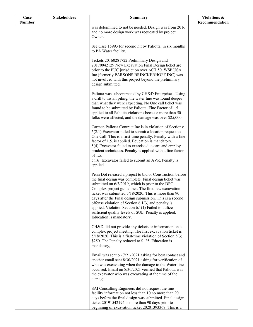| Case          | <b>Stakeholders</b> | Summary                                                                                                                                                                                                                                                                                                                                                                                                                                                                                                                                                  | Violations &   |
|---------------|---------------------|----------------------------------------------------------------------------------------------------------------------------------------------------------------------------------------------------------------------------------------------------------------------------------------------------------------------------------------------------------------------------------------------------------------------------------------------------------------------------------------------------------------------------------------------------------|----------------|
| <b>Number</b> |                     |                                                                                                                                                                                                                                                                                                                                                                                                                                                                                                                                                          | Recommendation |
|               |                     | was determined to not be needed. Design was from 2016<br>and no more design work was requested by project<br>Owner.                                                                                                                                                                                                                                                                                                                                                                                                                                      |                |
|               |                     | See Case 15993 for second hit by Paliotta, in six months<br>to PA Water facility.                                                                                                                                                                                                                                                                                                                                                                                                                                                                        |                |
|               |                     | Tickets 20160281722 Preliminary Design and<br>20170042129 New Excavation Final Design ticket are<br>prior to the PUC jurisdiction over ACT 50. WSP USA<br>Inc (formerly PARSONS BRINCKERHOFF INC) was<br>not involved with this project beyond the preliminary<br>design submitted.                                                                                                                                                                                                                                                                      |                |
|               |                     | Paliotta was subcontracted by CH&D Enterprises. Using<br>a drill to install piling, the water line was found deeper<br>than what they were expecting. No One call ticket was<br>found to be submitted by Paliotta. Fine Factor of 1.5<br>applied to all Paliotta violations because more than 50<br>folks were affected, and the damage was over \$25,000.                                                                                                                                                                                               |                |
|               |                     | Carmen Paliotta Contract Inc is in violation of Sections:<br>$5(2.1)$ Excavator failed to submit a location request to<br>One Call. This is a first-time penalty. Penalty with a fine<br>factor of 1.5. is applied. Education is mandatory.<br>5(4) Excavator failed to exercise due care and employ<br>prudent techniques. Penalty is applied with a fine factor<br>of 1.5.<br>5(16) Excavator failed to submit an AVR. Penalty is<br>applied.                                                                                                          |                |
|               |                     | Penn Dot released a project to bid or Construction before<br>the final design was complete. Final design ticket was<br>submitted on 6/3/2019, which is prior to the DPC<br>Complex project guidelines. The first new excavation<br>ticket was submitted 5/18/2020. This is more than 90<br>days after the Final design submission. This is a second<br>offense violation of Section $6.1(3)$ and penalty is<br>applied. Violation Section $6.1(1)$ Failed to utilize<br>sufficient quality levels of SUE. Penalty is applied.<br>Education is mandatory. |                |
|               |                     | CH&D did not provide any tickets or information on a<br>complex project meeting. The first excavation ticket is<br>$5/18/2020$ . This is a first-time violation of Section 5(3)<br>\$250. The Penalty reduced to \$125. Education is<br>mandatory,                                                                                                                                                                                                                                                                                                       |                |
|               |                     | Email was sent on 7/21/2021 asking for best contact and<br>another email sent 8/30/2021 asking for verification of<br>who was excavating when the damage to the Water line<br>occurred. Email on 8/30/2021 verified that Paliotta was<br>the excavator who was excavating at the time of the<br>damage.                                                                                                                                                                                                                                                  |                |
|               |                     | SAI Consulting Engineers did not request the line<br>facility information not less than 10 no more than 90<br>days before the final design was submitted. Final design<br>ticket 20191542194 is more than 90 days prior to<br>beginning of excavation ticket 20201393369. This is a                                                                                                                                                                                                                                                                      |                |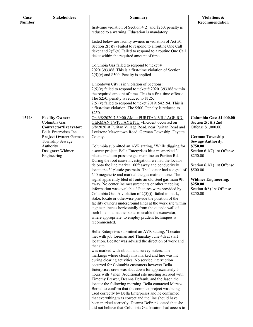| <b>Stakeholders</b>                                             | <b>Summary</b>                                                                                                                                                                 | Violations &                                                                                                                                                                                                                                                                                                                                                                                                                                                                                                                                                                                                                                                                                                                                                                                                                                                                                                                                                                                                   |
|-----------------------------------------------------------------|--------------------------------------------------------------------------------------------------------------------------------------------------------------------------------|----------------------------------------------------------------------------------------------------------------------------------------------------------------------------------------------------------------------------------------------------------------------------------------------------------------------------------------------------------------------------------------------------------------------------------------------------------------------------------------------------------------------------------------------------------------------------------------------------------------------------------------------------------------------------------------------------------------------------------------------------------------------------------------------------------------------------------------------------------------------------------------------------------------------------------------------------------------------------------------------------------------|
|                                                                 |                                                                                                                                                                                | Recommendation                                                                                                                                                                                                                                                                                                                                                                                                                                                                                                                                                                                                                                                                                                                                                                                                                                                                                                                                                                                                 |
|                                                                 | reduced to a warning. Education is mandatory.                                                                                                                                  |                                                                                                                                                                                                                                                                                                                                                                                                                                                                                                                                                                                                                                                                                                                                                                                                                                                                                                                                                                                                                |
|                                                                 | Listed below are facility owners in violation of Act 50,<br>Section $2(5)(v)$ Failed to respond to a routine One Call                                                          |                                                                                                                                                                                                                                                                                                                                                                                                                                                                                                                                                                                                                                                                                                                                                                                                                                                                                                                                                                                                                |
|                                                                 | ticket within the required amount of time.                                                                                                                                     |                                                                                                                                                                                                                                                                                                                                                                                                                                                                                                                                                                                                                                                                                                                                                                                                                                                                                                                                                                                                                |
|                                                                 | Columbia Gas failed to respond to ticket #<br>20201393368. This is a first-time violation of Section<br>$2(5)(v)$ and \$500. Penalty is applied.                               |                                                                                                                                                                                                                                                                                                                                                                                                                                                                                                                                                                                                                                                                                                                                                                                                                                                                                                                                                                                                                |
|                                                                 | Uniontown City is in violation of Sections:<br>$2(5)(v)$ failed to respond to ticket #20201393368 within                                                                       |                                                                                                                                                                                                                                                                                                                                                                                                                                                                                                                                                                                                                                                                                                                                                                                                                                                                                                                                                                                                                |
|                                                                 | The \$250. penalty is reduced to \$125.                                                                                                                                        |                                                                                                                                                                                                                                                                                                                                                                                                                                                                                                                                                                                                                                                                                                                                                                                                                                                                                                                                                                                                                |
|                                                                 | a first-time violation. The \$500. Penalty is reduced to<br>\$250.                                                                                                             |                                                                                                                                                                                                                                                                                                                                                                                                                                                                                                                                                                                                                                                                                                                                                                                                                                                                                                                                                                                                                |
| <b>Facility Owner:</b><br>Columbia Gas<br>Contractor/Excavator: | On 6/8/2020 7:30:00 AM at PURITAN VILLAGE RD,<br>GERMAN TWP, FAYETTE ~Incident occurred on<br>6/8/2020 at Puritan Village Road, near Puritan Road and                          | Columbia Gas: \$1,000.00<br>Section $2(5)(i)$ 2nd<br>Offense \$1,000.00                                                                                                                                                                                                                                                                                                                                                                                                                                                                                                                                                                                                                                                                                                                                                                                                                                                                                                                                        |
| Project Owner: German<br>Township Sewage                        | County.                                                                                                                                                                        | <b>German Township</b><br><b>Sewage Authority:</b>                                                                                                                                                                                                                                                                                                                                                                                                                                                                                                                                                                                                                                                                                                                                                                                                                                                                                                                                                             |
| Designer: Widmer<br>Engineering                                 | a sewer project, Bella Enterprises hit a mismarked 3"                                                                                                                          | \$750.00<br>Section $6.1(7)$ 1st Offense<br>\$250.00                                                                                                                                                                                                                                                                                                                                                                                                                                                                                                                                                                                                                                                                                                                                                                                                                                                                                                                                                           |
|                                                                 | During the root cause investigation, we had the locator<br>tie onto the line marker 100ft away and conductively<br>locate the 3" plastic gas main. The locator had a signal of | Section $6.1(1)$ 1st Offense<br>\$500.00                                                                                                                                                                                                                                                                                                                                                                                                                                                                                                                                                                                                                                                                                                                                                                                                                                                                                                                                                                       |
|                                                                 | signal apparently bled off onto an old steel gas main 9ft<br>away. No centerline measurements or other mapping                                                                 | <b>Widmer Engineering:</b><br>\$250.00                                                                                                                                                                                                                                                                                                                                                                                                                                                                                                                                                                                                                                                                                                                                                                                                                                                                                                                                                                         |
|                                                                 | Columbia Gas. A violation of $2(5)(i)$ - failed to mark,<br>stake, locate or otherwise provide the position of the                                                             | Section 4(8) 1st Offense<br>\$250.00                                                                                                                                                                                                                                                                                                                                                                                                                                                                                                                                                                                                                                                                                                                                                                                                                                                                                                                                                                           |
|                                                                 | eighteen inches horizontally from the outside wall of                                                                                                                          |                                                                                                                                                                                                                                                                                                                                                                                                                                                                                                                                                                                                                                                                                                                                                                                                                                                                                                                                                                                                                |
|                                                                 | where appropriate, to employ prudent techniques is<br>recommended.                                                                                                             |                                                                                                                                                                                                                                                                                                                                                                                                                                                                                                                                                                                                                                                                                                                                                                                                                                                                                                                                                                                                                |
|                                                                 | Bella Enterprises submitted an AVR stating, "Locator<br>met with job foreman and Thursday June 4th at start                                                                    |                                                                                                                                                                                                                                                                                                                                                                                                                                                                                                                                                                                                                                                                                                                                                                                                                                                                                                                                                                                                                |
|                                                                 | that site                                                                                                                                                                      |                                                                                                                                                                                                                                                                                                                                                                                                                                                                                                                                                                                                                                                                                                                                                                                                                                                                                                                                                                                                                |
|                                                                 | markings where clearly mis marked and line was hit<br>during clearing activities. No service interruption                                                                      |                                                                                                                                                                                                                                                                                                                                                                                                                                                                                                                                                                                                                                                                                                                                                                                                                                                                                                                                                                                                                |
|                                                                 | Enterprises crew was shut down for approximately 5                                                                                                                             |                                                                                                                                                                                                                                                                                                                                                                                                                                                                                                                                                                                                                                                                                                                                                                                                                                                                                                                                                                                                                |
|                                                                 | Timothy Brewer, Deanna Defrank, and the Jason the                                                                                                                              |                                                                                                                                                                                                                                                                                                                                                                                                                                                                                                                                                                                                                                                                                                                                                                                                                                                                                                                                                                                                                |
|                                                                 | Bernal to confirm that the complex project was being<br>used correctly by Bella Enterprises and he confirmed                                                                   |                                                                                                                                                                                                                                                                                                                                                                                                                                                                                                                                                                                                                                                                                                                                                                                                                                                                                                                                                                                                                |
|                                                                 | that everything was correct and the line should have<br>been marked correctly. Deanna DeFrank stated that she                                                                  |                                                                                                                                                                                                                                                                                                                                                                                                                                                                                                                                                                                                                                                                                                                                                                                                                                                                                                                                                                                                                |
|                                                                 | Bella Enterprises Inc<br>Authority                                                                                                                                             | first-time violation of Section $4(2)$ and \$250. penalty is<br>ticket and $2(5)(v)$ Failed to respond to a routine One Call<br>the required amount of time. This is a first-time offense.<br>$2(5)(v)$ failed to respond to ticket 20191542194. This is<br>Leckrone Masontown Road, German Township, Fayette<br>Columbia submitted an AVR stating, "While digging for<br>plastic medium pressure gas mainline on Puritan Rd.<br>640 megahertz and marked the gas main on tone. The<br>information was available." Pictures were provided by<br>facility owner's underground lines at the work site within<br>such line in a manner so as to enable the excavator,<br>location. Locator was advised the direction of work and<br>was marked with ribbon and survey stakes. The<br>occurred for Columbia customers however Bella<br>hours with 7 men. Additional site meeting accrued with<br>locator the following morning. Bella contacted Marcos<br>did not believe that Columbia Gas locators had access to |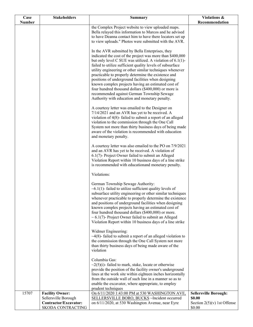| Case          | <b>Stakeholders</b>                           | <b>Summary</b>                                                                                                          | Violations &                            |
|---------------|-----------------------------------------------|-------------------------------------------------------------------------------------------------------------------------|-----------------------------------------|
| <b>Number</b> |                                               | the Complex Project website to view uploaded maps.                                                                      | Recommendation                          |
|               |                                               | Bella relayed this information to Marcos and he advised                                                                 |                                         |
|               |                                               | to have Deanna contact him to have there locators set up                                                                |                                         |
|               |                                               | to view uploads." Photos were submitted with the AVR.                                                                   |                                         |
|               |                                               | In the AVR submitted by Bella Enterprises, they                                                                         |                                         |
|               |                                               | indicated the cost of the project was more than \$400,000                                                               |                                         |
|               |                                               | but only level C SUE was utilized. A violation of 6.1(1)-                                                               |                                         |
|               |                                               | failed to utilize sufficient quality levels of subsurface<br>utility engineering or other similar techniques whenever   |                                         |
|               |                                               | practicable to properly determine the existence and                                                                     |                                         |
|               |                                               | positions of underground facilities when designing                                                                      |                                         |
|               |                                               | known complex projects having an estimated cost of<br>four hundred thousand dollars (\$400,000) or more is              |                                         |
|               |                                               | recommended against German Township Sewage                                                                              |                                         |
|               |                                               | Authority with education and monetary penalty.                                                                          |                                         |
|               |                                               |                                                                                                                         |                                         |
|               |                                               | A courtesy letter was emailed to the Designer on<br>7/14/2021 and an AVR has yet to be received. A                      |                                         |
|               |                                               | violation of 4(8)-failed to submit a report of an alleged                                                               |                                         |
|               |                                               | violation to the commission through the One Call                                                                        |                                         |
|               |                                               | System not more than thirty business days of being made<br>aware of the violation is recommended with education         |                                         |
|               |                                               | and monetary penalty.                                                                                                   |                                         |
|               |                                               |                                                                                                                         |                                         |
|               |                                               | A courtesy letter was also emailed to the PO on 7/9/2021                                                                |                                         |
|               |                                               | and an AVR has yet to be received. A violation of<br>6.1(7)- Project Owner failed to submit an Alleged                  |                                         |
|               |                                               | Violation Report within 10 business days of a line strike                                                               |                                         |
|               |                                               | is recommended with educationand monetary penalty.                                                                      |                                         |
|               |                                               | Violations:                                                                                                             |                                         |
|               |                                               | German Township Sewage Authority:                                                                                       |                                         |
|               |                                               | $~6.1(1)$ - failed to utilize sufficient quality levels of                                                              |                                         |
|               |                                               | subsurface utility engineering or other similar techniques                                                              |                                         |
|               |                                               | whenever practicable to properly determine the existence<br>and positions of underground facilities when designing      |                                         |
|               |                                               | known complex projects having an estimated cost of                                                                      |                                         |
|               |                                               | four hundred thousand dollars (\$400,000) or more.                                                                      |                                         |
|               |                                               | $\sim 6.1(7)$ - Project Owner failed to submit an Alleged<br>Violation Report within 10 business days of a line strike  |                                         |
|               |                                               |                                                                                                                         |                                         |
|               |                                               | Widmer Engineering:                                                                                                     |                                         |
|               |                                               | $\sim$ 4(8)-failed to submit a report of an alleged violation to<br>the commission through the One Call System not more |                                         |
|               |                                               | than thirty business days of being made aware of the                                                                    |                                         |
|               |                                               | violation                                                                                                               |                                         |
|               |                                               | Columbia Gas:                                                                                                           |                                         |
|               |                                               | $\sim$ 2(5)(i)-failed to mark, stake, locate or otherwise                                                               |                                         |
|               |                                               | provide the position of the facility owner's underground                                                                |                                         |
|               |                                               | lines at the work site within eighteen inches horizontally<br>from the outside wall of such line in a manner so as to   |                                         |
|               |                                               | enable the excavator, where appropriate, to employ                                                                      |                                         |
|               |                                               | prudent techniques                                                                                                      |                                         |
| 15707         | <b>Facility Owner:</b>                        | On 6/11/2020 1:43:00 PM at 530 WASHINGTON AVE,                                                                          | <b>Sellersville Borough:</b>            |
|               | Sellersville Borough<br>Contractor/Excavator: | SELLERSVILLE BORO, BUCKS ~Incident occurred<br>on 6/11/2020, at 530 Washington Avenue, near Eyre                        | \$0.00<br>Section $2(5)(v)$ 1st Offense |
|               | SKODA CONTRACTING                             |                                                                                                                         | \$0.00                                  |